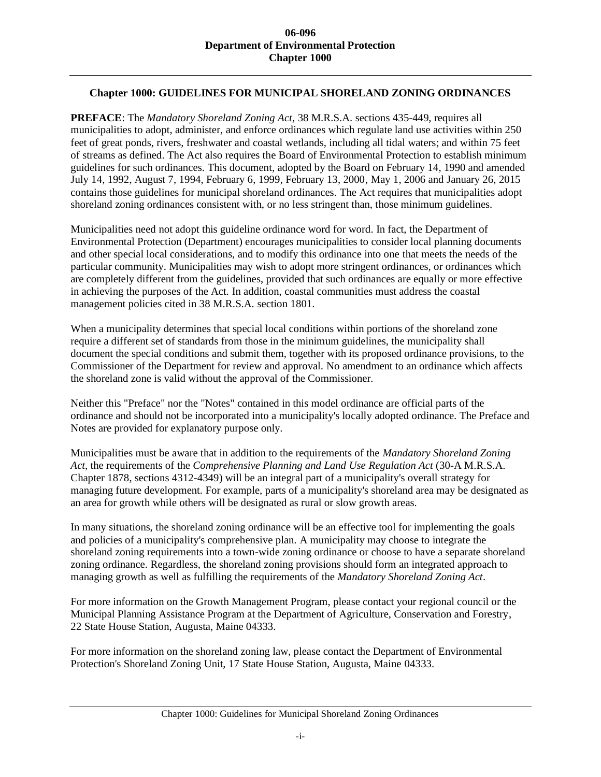## **Chapter 1000: GUIDELINES FOR MUNICIPAL SHORELAND ZONING ORDINANCES**

**PREFACE**: The *Mandatory Shoreland Zoning Act*, 38 M.R.S.A. sections 435-449, requires all municipalities to adopt, administer, and enforce ordinances which regulate land use activities within 250 feet of great ponds, rivers, freshwater and coastal wetlands, including all tidal waters; and within 75 feet of streams as defined. The Act also requires the Board of Environmental Protection to establish minimum guidelines for such ordinances. This document, adopted by the Board on February 14, 1990 and amended July 14, 1992, August 7, 1994, February 6, 1999, February 13, 2000, May 1, 2006 and January 26, 2015 contains those guidelines for municipal shoreland ordinances. The Act requires that municipalities adopt shoreland zoning ordinances consistent with, or no less stringent than, those minimum guidelines.

Municipalities need not adopt this guideline ordinance word for word. In fact, the Department of Environmental Protection (Department) encourages municipalities to consider local planning documents and other special local considerations, and to modify this ordinance into one that meets the needs of the particular community. Municipalities may wish to adopt more stringent ordinances, or ordinances which are completely different from the guidelines, provided that such ordinances are equally or more effective in achieving the purposes of the Act. In addition, coastal communities must address the coastal management policies cited in 38 M.R.S.A. section 1801.

When a municipality determines that special local conditions within portions of the shoreland zone require a different set of standards from those in the minimum guidelines, the municipality shall document the special conditions and submit them, together with its proposed ordinance provisions, to the Commissioner of the Department for review and approval. No amendment to an ordinance which affects the shoreland zone is valid without the approval of the Commissioner.

Neither this "Preface" nor the "Notes" contained in this model ordinance are official parts of the ordinance and should not be incorporated into a municipality's locally adopted ordinance. The Preface and Notes are provided for explanatory purpose only.

Municipalities must be aware that in addition to the requirements of the *Mandatory Shoreland Zoning Act*, the requirements of the *Comprehensive Planning and Land Use Regulation Act* (30-A M.R.S.A. Chapter 1878, sections 4312-4349) will be an integral part of a municipality's overall strategy for managing future development. For example, parts of a municipality's shoreland area may be designated as an area for growth while others will be designated as rural or slow growth areas.

In many situations, the shoreland zoning ordinance will be an effective tool for implementing the goals and policies of a municipality's comprehensive plan. A municipality may choose to integrate the shoreland zoning requirements into a town-wide zoning ordinance or choose to have a separate shoreland zoning ordinance. Regardless, the shoreland zoning provisions should form an integrated approach to managing growth as well as fulfilling the requirements of the *Mandatory Shoreland Zoning Act*.

For more information on the Growth Management Program, please contact your regional council or the Municipal Planning Assistance Program at the Department of Agriculture, Conservation and Forestry, 22 State House Station, Augusta, Maine 04333.

For more information on the shoreland zoning law, please contact the Department of Environmental Protection's Shoreland Zoning Unit, 17 State House Station, Augusta, Maine 04333.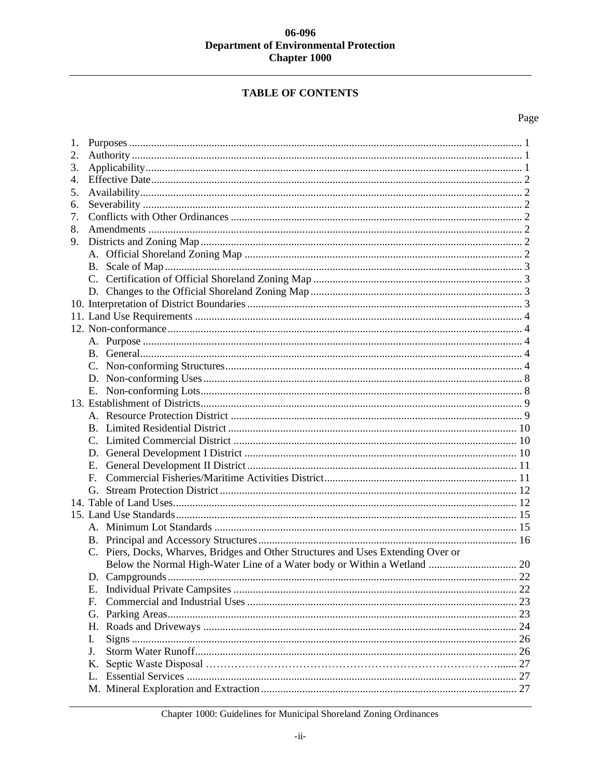# **TABLE OF CONTENTS**

# Page

| 1. |                                                                                   |    |  |
|----|-----------------------------------------------------------------------------------|----|--|
| 2. |                                                                                   |    |  |
| 3. |                                                                                   |    |  |
| 4. |                                                                                   |    |  |
| 5. |                                                                                   |    |  |
| 6. |                                                                                   |    |  |
| 7. |                                                                                   |    |  |
| 8. |                                                                                   |    |  |
| 9. |                                                                                   |    |  |
|    |                                                                                   |    |  |
|    |                                                                                   |    |  |
|    |                                                                                   |    |  |
|    |                                                                                   |    |  |
|    |                                                                                   |    |  |
|    |                                                                                   |    |  |
|    |                                                                                   |    |  |
|    |                                                                                   |    |  |
|    |                                                                                   |    |  |
|    |                                                                                   |    |  |
|    |                                                                                   |    |  |
|    |                                                                                   |    |  |
|    |                                                                                   |    |  |
|    |                                                                                   |    |  |
|    |                                                                                   |    |  |
|    |                                                                                   |    |  |
|    |                                                                                   |    |  |
|    | Е.                                                                                |    |  |
|    | $F_{\perp}$                                                                       |    |  |
|    |                                                                                   |    |  |
|    |                                                                                   |    |  |
|    |                                                                                   |    |  |
|    |                                                                                   |    |  |
|    |                                                                                   |    |  |
|    | C. Piers, Docks, Wharves, Bridges and Other Structures and Uses Extending Over or |    |  |
|    |                                                                                   |    |  |
|    |                                                                                   |    |  |
|    | Ε.                                                                                |    |  |
|    | F.                                                                                |    |  |
|    | G.                                                                                |    |  |
|    | Н.                                                                                |    |  |
|    | I.                                                                                | 26 |  |
|    | J.                                                                                | 26 |  |
|    | Κ.                                                                                | 27 |  |
|    | L.                                                                                |    |  |
|    |                                                                                   |    |  |
|    |                                                                                   |    |  |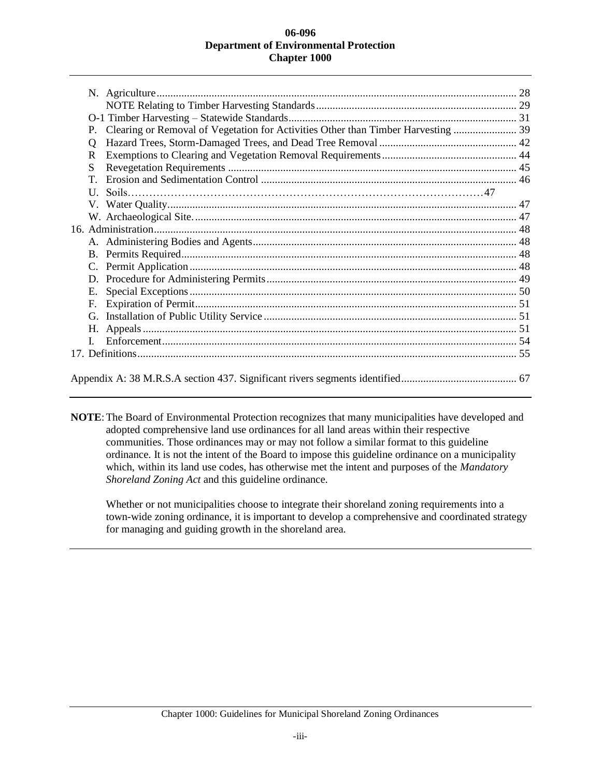| P.           | Clearing or Removal of Vegetation for Activities Other than Timber Harvesting  39 |  |
|--------------|-----------------------------------------------------------------------------------|--|
| 0            |                                                                                   |  |
| R.           |                                                                                   |  |
| S            |                                                                                   |  |
| T.           |                                                                                   |  |
| $\mathbf{U}$ |                                                                                   |  |
|              |                                                                                   |  |
|              |                                                                                   |  |
|              |                                                                                   |  |
|              |                                                                                   |  |
| <b>B.</b>    |                                                                                   |  |
| C.           |                                                                                   |  |
| D.           |                                                                                   |  |
| Е.           |                                                                                   |  |
|              |                                                                                   |  |
|              |                                                                                   |  |
| Н.           |                                                                                   |  |
|              |                                                                                   |  |
|              |                                                                                   |  |
|              |                                                                                   |  |
|              |                                                                                   |  |

**NOTE**:The Board of Environmental Protection recognizes that many municipalities have developed and adopted comprehensive land use ordinances for all land areas within their respective communities. Those ordinances may or may not follow a similar format to this guideline ordinance. It is not the intent of the Board to impose this guideline ordinance on a municipality which, within its land use codes, has otherwise met the intent and purposes of the *Mandatory Shoreland Zoning Act* and this guideline ordinance.

Whether or not municipalities choose to integrate their shoreland zoning requirements into a town-wide zoning ordinance, it is important to develop a comprehensive and coordinated strategy for managing and guiding growth in the shoreland area.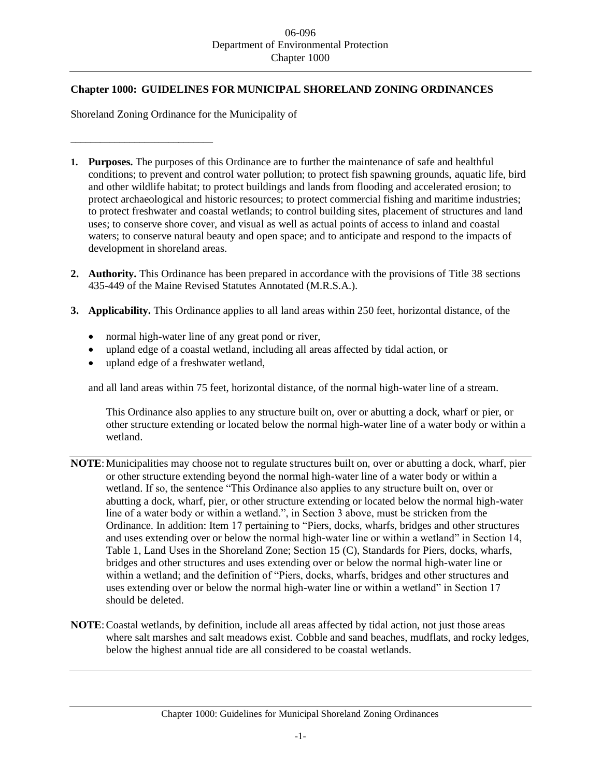# **Chapter 1000: GUIDELINES FOR MUNICIPAL SHORELAND ZONING ORDINANCES**

Shoreland Zoning Ordinance for the Municipality of

\_\_\_\_\_\_\_\_\_\_\_\_\_\_\_\_\_\_\_\_\_\_\_\_\_\_\_\_\_

- **1. Purposes.** The purposes of this Ordinance are to further the maintenance of safe and healthful conditions; to prevent and control water pollution; to protect fish spawning grounds, aquatic life, bird and other wildlife habitat; to protect buildings and lands from flooding and accelerated erosion; to protect archaeological and historic resources; to protect commercial fishing and maritime industries; to protect freshwater and coastal wetlands; to control building sites, placement of structures and land uses; to conserve shore cover, and visual as well as actual points of access to inland and coastal waters; to conserve natural beauty and open space; and to anticipate and respond to the impacts of development in shoreland areas.
- **2. Authority.** This Ordinance has been prepared in accordance with the provisions of Title 38 sections 435-449 of the Maine Revised Statutes Annotated (M.R.S.A.).
- **3. Applicability.** This Ordinance applies to all land areas within 250 feet, horizontal distance, of the
	- normal high-water line of any great pond or river,
	- upland edge of a coastal wetland, including all areas affected by tidal action, or
	- upland edge of a freshwater wetland,

and all land areas within 75 feet, horizontal distance, of the normal high-water line of a stream.

This Ordinance also applies to any structure built on, over or abutting a dock, wharf or pier, or other structure extending or located below the normal high-water line of a water body or within a wetland.

- **NOTE**:Municipalities may choose not to regulate structures built on, over or abutting a dock, wharf, pier or other structure extending beyond the normal high-water line of a water body or within a wetland. If so, the sentence "This Ordinance also applies to any structure built on, over or abutting a dock, wharf, pier, or other structure extending or located below the normal high-water line of a water body or within a wetland.", in Section 3 above, must be stricken from the Ordinance. In addition: Item 17 pertaining to "Piers, docks, wharfs, bridges and other structures and uses extending over or below the normal high-water line or within a wetland" in Section 14, Table 1, Land Uses in the Shoreland Zone; Section 15 (C), Standards for Piers, docks, wharfs, bridges and other structures and uses extending over or below the normal high-water line or within a wetland; and the definition of "Piers, docks, wharfs, bridges and other structures and uses extending over or below the normal high-water line or within a wetland" in Section 17 should be deleted.
- **NOTE:** Coastal wetlands, by definition, include all areas affected by tidal action, not just those areas where salt marshes and salt meadows exist. Cobble and sand beaches, mudflats, and rocky ledges, below the highest annual tide are all considered to be coastal wetlands.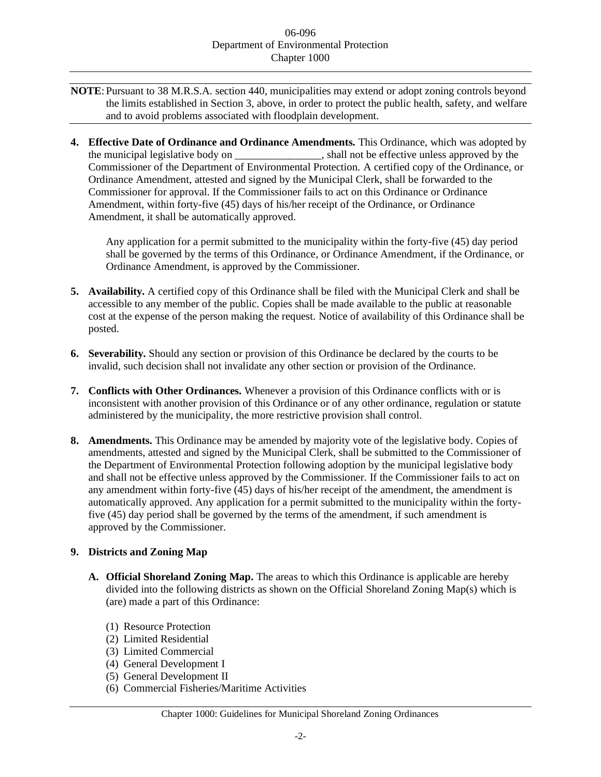- **NOTE**: Pursuant to 38 M.R.S.A. section 440, municipalities may extend or adopt zoning controls beyond the limits established in Section 3, above, in order to protect the public health, safety, and welfare and to avoid problems associated with floodplain development.
- **4. Effective Date of Ordinance and Ordinance Amendments.** This Ordinance, which was adopted by the municipal legislative body on  $\qquad \qquad$ , shall not be effective unless approved by the Commissioner of the Department of Environmental Protection. A certified copy of the Ordinance, or Ordinance Amendment, attested and signed by the Municipal Clerk, shall be forwarded to the Commissioner for approval. If the Commissioner fails to act on this Ordinance or Ordinance Amendment, within forty-five (45) days of his/her receipt of the Ordinance, or Ordinance Amendment, it shall be automatically approved.

Any application for a permit submitted to the municipality within the forty-five (45) day period shall be governed by the terms of this Ordinance, or Ordinance Amendment, if the Ordinance, or Ordinance Amendment, is approved by the Commissioner.

- **5. Availability.** A certified copy of this Ordinance shall be filed with the Municipal Clerk and shall be accessible to any member of the public. Copies shall be made available to the public at reasonable cost at the expense of the person making the request. Notice of availability of this Ordinance shall be posted.
- **6. Severability.** Should any section or provision of this Ordinance be declared by the courts to be invalid, such decision shall not invalidate any other section or provision of the Ordinance.
- **7. Conflicts with Other Ordinances.** Whenever a provision of this Ordinance conflicts with or is inconsistent with another provision of this Ordinance or of any other ordinance, regulation or statute administered by the municipality, the more restrictive provision shall control.
- **8. Amendments.** This Ordinance may be amended by majority vote of the legislative body. Copies of amendments, attested and signed by the Municipal Clerk, shall be submitted to the Commissioner of the Department of Environmental Protection following adoption by the municipal legislative body and shall not be effective unless approved by the Commissioner. If the Commissioner fails to act on any amendment within forty-five (45) days of his/her receipt of the amendment, the amendment is automatically approved. Any application for a permit submitted to the municipality within the fortyfive (45) day period shall be governed by the terms of the amendment, if such amendment is approved by the Commissioner.

## **9. Districts and Zoning Map**

- **A. Official Shoreland Zoning Map.** The areas to which this Ordinance is applicable are hereby divided into the following districts as shown on the Official Shoreland Zoning Map(s) which is (are) made a part of this Ordinance:
	- (1) Resource Protection
	- (2) Limited Residential
	- (3) Limited Commercial
	- (4) General Development I
	- (5) General Development II
	- (6) Commercial Fisheries/Maritime Activities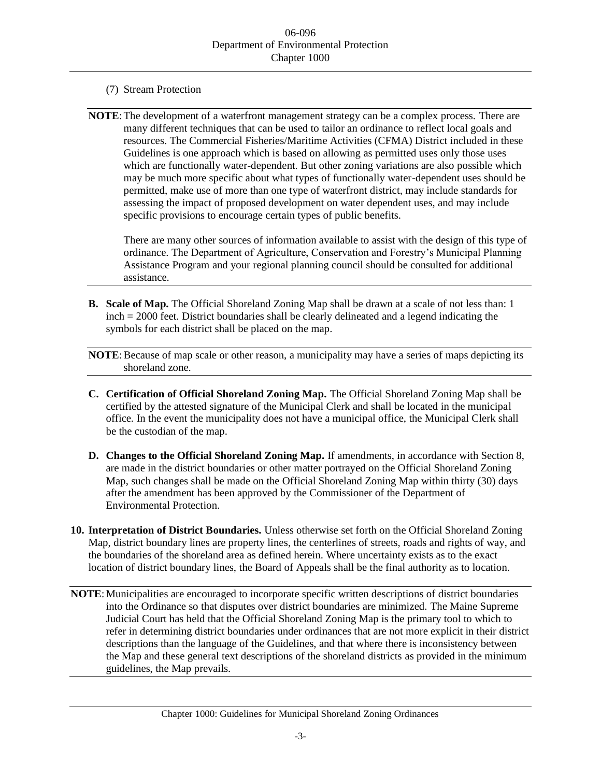- (7) Stream Protection
- **NOTE**:The development of a waterfront management strategy can be a complex process. There are many different techniques that can be used to tailor an ordinance to reflect local goals and resources. The Commercial Fisheries/Maritime Activities (CFMA) District included in these Guidelines is one approach which is based on allowing as permitted uses only those uses which are functionally water-dependent. But other zoning variations are also possible which may be much more specific about what types of functionally water-dependent uses should be permitted, make use of more than one type of waterfront district, may include standards for assessing the impact of proposed development on water dependent uses, and may include specific provisions to encourage certain types of public benefits.

There are many other sources of information available to assist with the design of this type of ordinance. The Department of Agriculture, Conservation and Forestry's Municipal Planning Assistance Program and your regional planning council should be consulted for additional assistance.

**B. Scale of Map.** The Official Shoreland Zoning Map shall be drawn at a scale of not less than: 1 inch = 2000 feet. District boundaries shall be clearly delineated and a legend indicating the symbols for each district shall be placed on the map.

**NOTE:** Because of map scale or other reason, a municipality may have a series of maps depicting its shoreland zone.

- **C. Certification of Official Shoreland Zoning Map.** The Official Shoreland Zoning Map shall be certified by the attested signature of the Municipal Clerk and shall be located in the municipal office. In the event the municipality does not have a municipal office, the Municipal Clerk shall be the custodian of the map.
- **D. Changes to the Official Shoreland Zoning Map.** If amendments, in accordance with Section 8, are made in the district boundaries or other matter portrayed on the Official Shoreland Zoning Map, such changes shall be made on the Official Shoreland Zoning Map within thirty (30) days after the amendment has been approved by the Commissioner of the Department of Environmental Protection.
- **10. Interpretation of District Boundaries.** Unless otherwise set forth on the Official Shoreland Zoning Map, district boundary lines are property lines, the centerlines of streets, roads and rights of way, and the boundaries of the shoreland area as defined herein. Where uncertainty exists as to the exact location of district boundary lines, the Board of Appeals shall be the final authority as to location.
- **NOTE**:Municipalities are encouraged to incorporate specific written descriptions of district boundaries into the Ordinance so that disputes over district boundaries are minimized. The Maine Supreme Judicial Court has held that the Official Shoreland Zoning Map is the primary tool to which to refer in determining district boundaries under ordinances that are not more explicit in their district descriptions than the language of the Guidelines, and that where there is inconsistency between the Map and these general text descriptions of the shoreland districts as provided in the minimum guidelines, the Map prevails.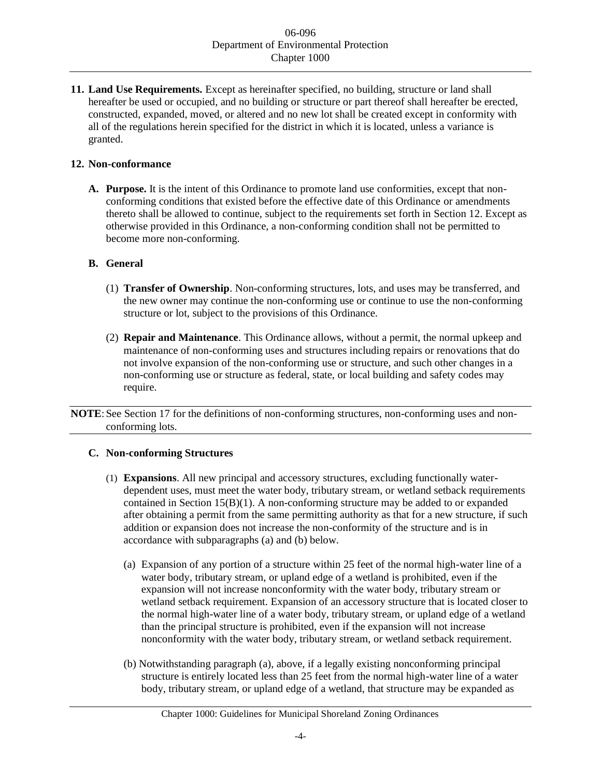**11. Land Use Requirements.** Except as hereinafter specified, no building, structure or land shall hereafter be used or occupied, and no building or structure or part thereof shall hereafter be erected, constructed, expanded, moved, or altered and no new lot shall be created except in conformity with all of the regulations herein specified for the district in which it is located, unless a variance is granted.

# **12. Non-conformance**

**A. Purpose.** It is the intent of this Ordinance to promote land use conformities, except that nonconforming conditions that existed before the effective date of this Ordinance or amendments thereto shall be allowed to continue, subject to the requirements set forth in Section 12. Except as otherwise provided in this Ordinance, a non-conforming condition shall not be permitted to become more non-conforming.

# **B. General**

- (1) **Transfer of Ownership**. Non-conforming structures, lots, and uses may be transferred, and the new owner may continue the non-conforming use or continue to use the non-conforming structure or lot, subject to the provisions of this Ordinance.
- (2) **Repair and Maintenance**. This Ordinance allows, without a permit, the normal upkeep and maintenance of non-conforming uses and structures including repairs or renovations that do not involve expansion of the non-conforming use or structure, and such other changes in a non-conforming use or structure as federal, state, or local building and safety codes may require.

**NOTE**: See Section 17 for the definitions of non-conforming structures, non-conforming uses and nonconforming lots.

# **C. Non-conforming Structures**

- (1) **Expansions**. All new principal and accessory structures, excluding functionally waterdependent uses, must meet the water body, tributary stream, or wetland setback requirements contained in Section 15(B)(1). A non-conforming structure may be added to or expanded after obtaining a permit from the same permitting authority as that for a new structure, if such addition or expansion does not increase the non-conformity of the structure and is in accordance with subparagraphs (a) and (b) below.
	- (a) Expansion of any portion of a structure within 25 feet of the normal high-water line of a water body, tributary stream, or upland edge of a wetland is prohibited, even if the expansion will not increase nonconformity with the water body, tributary stream or wetland setback requirement. Expansion of an accessory structure that is located closer to the normal high-water line of a water body, tributary stream, or upland edge of a wetland than the principal structure is prohibited, even if the expansion will not increase nonconformity with the water body, tributary stream, or wetland setback requirement.
	- (b) Notwithstanding paragraph (a), above, if a legally existing nonconforming principal structure is entirely located less than 25 feet from the normal high-water line of a water body, tributary stream, or upland edge of a wetland, that structure may be expanded as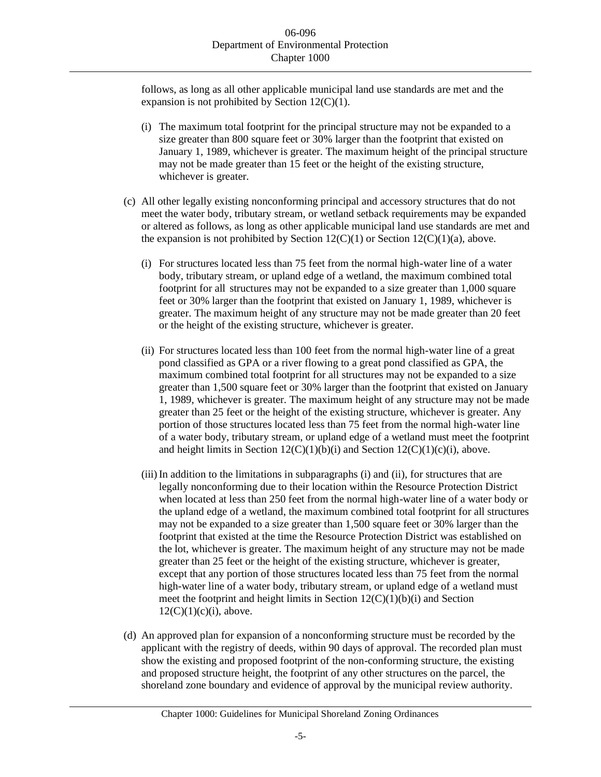follows, as long as all other applicable municipal land use standards are met and the expansion is not prohibited by Section  $12(C)(1)$ .

- (i) The maximum total footprint for the principal structure may not be expanded to a size greater than 800 square feet or 30% larger than the footprint that existed on January 1, 1989, whichever is greater. The maximum height of the principal structure may not be made greater than 15 feet or the height of the existing structure, whichever is greater.
- (c) All other legally existing nonconforming principal and accessory structures that do not meet the water body, tributary stream, or wetland setback requirements may be expanded or altered as follows, as long as other applicable municipal land use standards are met and the expansion is not prohibited by Section  $12(C)(1)$  or Section  $12(C)(1)(a)$ , above.
	- (i) For structures located less than 75 feet from the normal high-water line of a water body, tributary stream, or upland edge of a wetland, the maximum combined total footprint for all structures may not be expanded to a size greater than 1,000 square feet or 30% larger than the footprint that existed on January 1, 1989, whichever is greater. The maximum height of any structure may not be made greater than 20 feet or the height of the existing structure, whichever is greater.
	- (ii) For structures located less than 100 feet from the normal high-water line of a great pond classified as GPA or a river flowing to a great pond classified as GPA, the maximum combined total footprint for all structures may not be expanded to a size greater than 1,500 square feet or 30% larger than the footprint that existed on January 1, 1989, whichever is greater. The maximum height of any structure may not be made greater than 25 feet or the height of the existing structure, whichever is greater. Any portion of those structures located less than 75 feet from the normal high-water line of a water body, tributary stream, or upland edge of a wetland must meet the footprint and height limits in Section  $12(C)(1)(b)(i)$  and Section  $12(C)(1)(c)(i)$ , above.
	- (iii)In addition to the limitations in subparagraphs (i) and (ii), for structures that are legally nonconforming due to their location within the Resource Protection District when located at less than 250 feet from the normal high-water line of a water body or the upland edge of a wetland, the maximum combined total footprint for all structures may not be expanded to a size greater than 1,500 square feet or 30% larger than the footprint that existed at the time the Resource Protection District was established on the lot, whichever is greater. The maximum height of any structure may not be made greater than 25 feet or the height of the existing structure, whichever is greater, except that any portion of those structures located less than 75 feet from the normal high-water line of a water body, tributary stream, or upland edge of a wetland must meet the footprint and height limits in Section  $12(C)(1)(b)(i)$  and Section  $12(C)(1)(c)(i)$ , above.
- (d) An approved plan for expansion of a nonconforming structure must be recorded by the applicant with the registry of deeds, within 90 days of approval. The recorded plan must show the existing and proposed footprint of the non-conforming structure, the existing and proposed structure height, the footprint of any other structures on the parcel, the shoreland zone boundary and evidence of approval by the municipal review authority.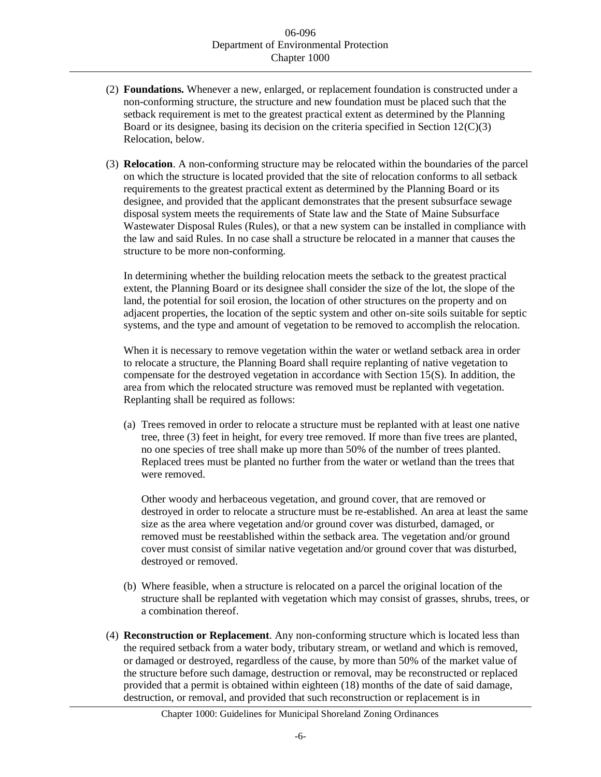- (2) **Foundations.** Whenever a new, enlarged, or replacement foundation is constructed under a non-conforming structure, the structure and new foundation must be placed such that the setback requirement is met to the greatest practical extent as determined by the Planning Board or its designee, basing its decision on the criteria specified in Section  $12(C)(3)$ Relocation, below.
- (3) **Relocation**. A non-conforming structure may be relocated within the boundaries of the parcel on which the structure is located provided that the site of relocation conforms to all setback requirements to the greatest practical extent as determined by the Planning Board or its designee, and provided that the applicant demonstrates that the present subsurface sewage disposal system meets the requirements of State law and the State of Maine Subsurface Wastewater Disposal Rules (Rules), or that a new system can be installed in compliance with the law and said Rules. In no case shall a structure be relocated in a manner that causes the structure to be more non-conforming.

In determining whether the building relocation meets the setback to the greatest practical extent, the Planning Board or its designee shall consider the size of the lot, the slope of the land, the potential for soil erosion, the location of other structures on the property and on adjacent properties, the location of the septic system and other on-site soils suitable for septic systems, and the type and amount of vegetation to be removed to accomplish the relocation.

When it is necessary to remove vegetation within the water or wetland setback area in order to relocate a structure, the Planning Board shall require replanting of native vegetation to compensate for the destroyed vegetation in accordance with Section 15(S). In addition, the area from which the relocated structure was removed must be replanted with vegetation. Replanting shall be required as follows:

(a) Trees removed in order to relocate a structure must be replanted with at least one native tree, three (3) feet in height, for every tree removed. If more than five trees are planted, no one species of tree shall make up more than 50% of the number of trees planted. Replaced trees must be planted no further from the water or wetland than the trees that were removed.

Other woody and herbaceous vegetation, and ground cover, that are removed or destroyed in order to relocate a structure must be re-established. An area at least the same size as the area where vegetation and/or ground cover was disturbed, damaged, or removed must be reestablished within the setback area. The vegetation and/or ground cover must consist of similar native vegetation and/or ground cover that was disturbed, destroyed or removed.

- (b) Where feasible, when a structure is relocated on a parcel the original location of the structure shall be replanted with vegetation which may consist of grasses, shrubs, trees, or a combination thereof.
- (4) **Reconstruction or Replacement**. Any non-conforming structure which is located less than the required setback from a water body, tributary stream, or wetland and which is removed, or damaged or destroyed, regardless of the cause, by more than 50% of the market value of the structure before such damage, destruction or removal, may be reconstructed or replaced provided that a permit is obtained within eighteen (18) months of the date of said damage, destruction, or removal, and provided that such reconstruction or replacement is in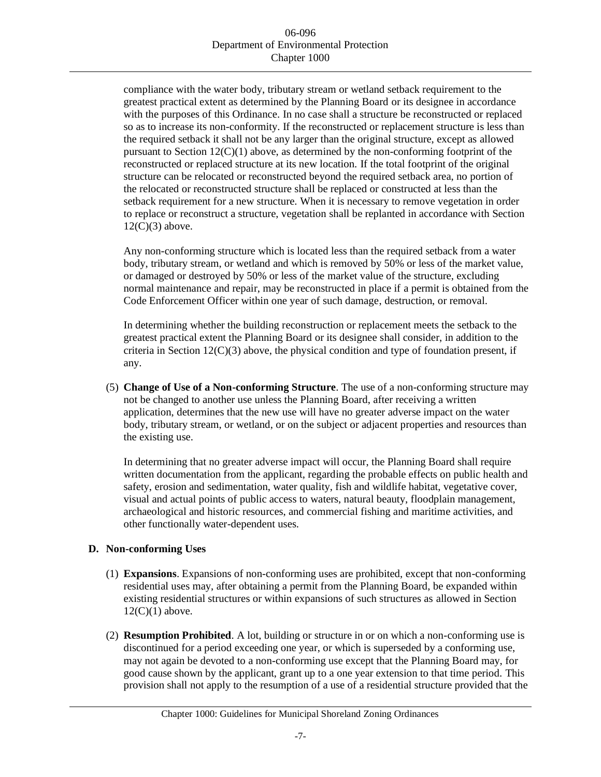compliance with the water body, tributary stream or wetland setback requirement to the greatest practical extent as determined by the Planning Board or its designee in accordance with the purposes of this Ordinance. In no case shall a structure be reconstructed or replaced so as to increase its non-conformity. If the reconstructed or replacement structure is less than the required setback it shall not be any larger than the original structure, except as allowed pursuant to Section  $12(C)(1)$  above, as determined by the non-conforming footprint of the reconstructed or replaced structure at its new location. If the total footprint of the original structure can be relocated or reconstructed beyond the required setback area, no portion of the relocated or reconstructed structure shall be replaced or constructed at less than the setback requirement for a new structure. When it is necessary to remove vegetation in order to replace or reconstruct a structure, vegetation shall be replanted in accordance with Section  $12(C)(3)$  above.

Any non-conforming structure which is located less than the required setback from a water body, tributary stream, or wetland and which is removed by 50% or less of the market value, or damaged or destroyed by 50% or less of the market value of the structure, excluding normal maintenance and repair, may be reconstructed in place if a permit is obtained from the Code Enforcement Officer within one year of such damage, destruction, or removal.

In determining whether the building reconstruction or replacement meets the setback to the greatest practical extent the Planning Board or its designee shall consider, in addition to the criteria in Section 12(C)(3) above, the physical condition and type of foundation present, if any.

(5) **Change of Use of a Non-conforming Structure**. The use of a non-conforming structure may not be changed to another use unless the Planning Board, after receiving a written application, determines that the new use will have no greater adverse impact on the water body, tributary stream, or wetland, or on the subject or adjacent properties and resources than the existing use.

In determining that no greater adverse impact will occur, the Planning Board shall require written documentation from the applicant, regarding the probable effects on public health and safety, erosion and sedimentation, water quality, fish and wildlife habitat, vegetative cover, visual and actual points of public access to waters, natural beauty, floodplain management, archaeological and historic resources, and commercial fishing and maritime activities, and other functionally water-dependent uses.

# **D. Non-conforming Uses**

- (1) **Expansions**. Expansions of non-conforming uses are prohibited, except that non-conforming residential uses may, after obtaining a permit from the Planning Board, be expanded within existing residential structures or within expansions of such structures as allowed in Section  $12(C)(1)$  above.
- (2) **Resumption Prohibited**. A lot, building or structure in or on which a non-conforming use is discontinued for a period exceeding one year, or which is superseded by a conforming use, may not again be devoted to a non-conforming use except that the Planning Board may, for good cause shown by the applicant, grant up to a one year extension to that time period. This provision shall not apply to the resumption of a use of a residential structure provided that the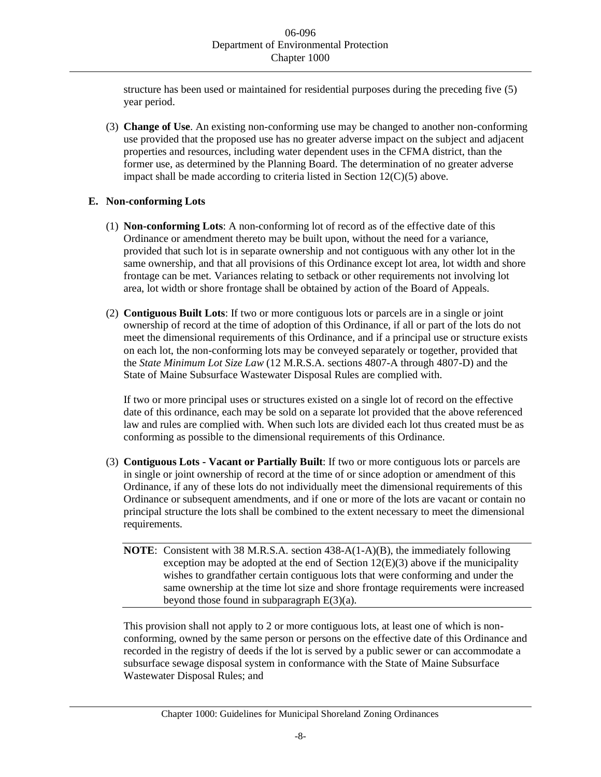structure has been used or maintained for residential purposes during the preceding five (5) year period.

(3) **Change of Use**. An existing non-conforming use may be changed to another non-conforming use provided that the proposed use has no greater adverse impact on the subject and adjacent properties and resources, including water dependent uses in the CFMA district, than the former use, as determined by the Planning Board. The determination of no greater adverse impact shall be made according to criteria listed in Section  $12(C)(5)$  above.

# **E. Non-conforming Lots**

- (1) **Non-conforming Lots**: A non-conforming lot of record as of the effective date of this Ordinance or amendment thereto may be built upon, without the need for a variance, provided that such lot is in separate ownership and not contiguous with any other lot in the same ownership, and that all provisions of this Ordinance except lot area, lot width and shore frontage can be met. Variances relating to setback or other requirements not involving lot area, lot width or shore frontage shall be obtained by action of the Board of Appeals.
- (2) **Contiguous Built Lots**: If two or more contiguous lots or parcels are in a single or joint ownership of record at the time of adoption of this Ordinance, if all or part of the lots do not meet the dimensional requirements of this Ordinance, and if a principal use or structure exists on each lot, the non-conforming lots may be conveyed separately or together, provided that the *State Minimum Lot Size Law* (12 M.R.S.A. sections 4807-A through 4807-D) and the State of Maine Subsurface Wastewater Disposal Rules are complied with.

If two or more principal uses or structures existed on a single lot of record on the effective date of this ordinance, each may be sold on a separate lot provided that the above referenced law and rules are complied with. When such lots are divided each lot thus created must be as conforming as possible to the dimensional requirements of this Ordinance.

- (3) **Contiguous Lots - Vacant or Partially Built**: If two or more contiguous lots or parcels are in single or joint ownership of record at the time of or since adoption or amendment of this Ordinance, if any of these lots do not individually meet the dimensional requirements of this Ordinance or subsequent amendments, and if one or more of the lots are vacant or contain no principal structure the lots shall be combined to the extent necessary to meet the dimensional requirements.
	- **NOTE**: Consistent with 38 M.R.S.A. section 438-A(1-A)(B), the immediately following exception may be adopted at the end of Section  $12(E)(3)$  above if the municipality wishes to grandfather certain contiguous lots that were conforming and under the same ownership at the time lot size and shore frontage requirements were increased beyond those found in subparagraph  $E(3)(a)$ .

This provision shall not apply to 2 or more contiguous lots, at least one of which is nonconforming, owned by the same person or persons on the effective date of this Ordinance and recorded in the registry of deeds if the lot is served by a public sewer or can accommodate a subsurface sewage disposal system in conformance with the State of Maine Subsurface Wastewater Disposal Rules; and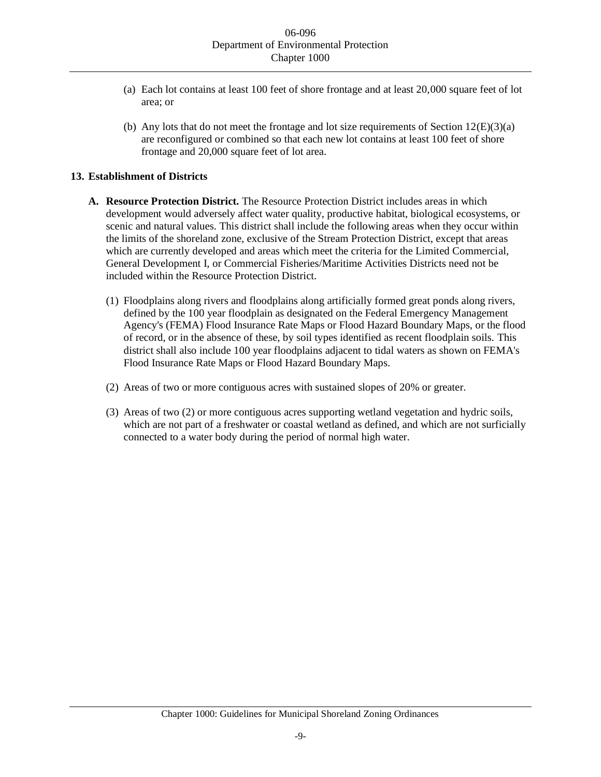- (a) Each lot contains at least 100 feet of shore frontage and at least 20,000 square feet of lot area; or
- (b) Any lots that do not meet the frontage and lot size requirements of Section  $12(E)(3)(a)$ are reconfigured or combined so that each new lot contains at least 100 feet of shore frontage and 20,000 square feet of lot area.

## **13. Establishment of Districts**

- **A. Resource Protection District.** The Resource Protection District includes areas in which development would adversely affect water quality, productive habitat, biological ecosystems, or scenic and natural values. This district shall include the following areas when they occur within the limits of the shoreland zone, exclusive of the Stream Protection District, except that areas which are currently developed and areas which meet the criteria for the Limited Commercial, General Development I, or Commercial Fisheries/Maritime Activities Districts need not be included within the Resource Protection District.
	- (1) Floodplains along rivers and floodplains along artificially formed great ponds along rivers, defined by the 100 year floodplain as designated on the Federal Emergency Management Agency's (FEMA) Flood Insurance Rate Maps or Flood Hazard Boundary Maps, or the flood of record, or in the absence of these, by soil types identified as recent floodplain soils. This district shall also include 100 year floodplains adjacent to tidal waters as shown on FEMA's Flood Insurance Rate Maps or Flood Hazard Boundary Maps.
	- (2) Areas of two or more contiguous acres with sustained slopes of 20% or greater.
	- (3) Areas of two (2) or more contiguous acres supporting wetland vegetation and hydric soils, which are not part of a freshwater or coastal wetland as defined, and which are not surficially connected to a water body during the period of normal high water.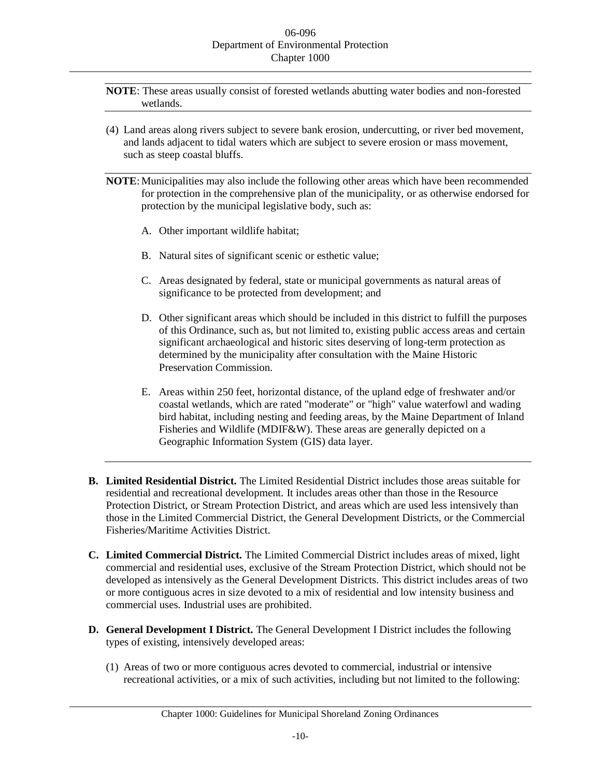**NOTE**: These areas usually consist of forested wetlands abutting water bodies and non-forested wetlands.

- (4) Land areas along rivers subject to severe bank erosion, undercutting, or river bed movement, and lands adjacent to tidal waters which are subject to severe erosion or mass movement, such as steep coastal bluffs.
- **NOTE:** Municipalities may also include the following other areas which have been recommended for protection in the comprehensive plan of the municipality, or as otherwise endorsed for protection by the municipal legislative body, such as:
	- A. Other important wildlife habitat;
	- B. Natural sites of significant scenic or esthetic value;
	- C. Areas designated by federal, state or municipal governments as natural areas of significance to be protected from development; and
	- D. Other significant areas which should be included in this district to fulfill the purposes of this Ordinance, such as, but not limited to, existing public access areas and certain significant archaeological and historic sites deserving of long-term protection as determined by the municipality after consultation with the Maine Historic Preservation Commission.
	- E. Areas within 250 feet, horizontal distance, of the upland edge of freshwater and/or coastal wetlands, which are rated "moderate" or "high" value waterfowl and wading bird habitat, including nesting and feeding areas, by the Maine Department of Inland Fisheries and Wildlife (MDIF&W). These areas are generally depicted on a Geographic Information System (GIS) data layer.
- **B. Limited Residential District.** The Limited Residential District includes those areas suitable for residential and recreational development. It includes areas other than those in the Resource Protection District, or Stream Protection District, and areas which are used less intensively than those in the Limited Commercial District, the General Development Districts, or the Commercial Fisheries/Maritime Activities District.
- **C. Limited Commercial District.** The Limited Commercial District includes areas of mixed, light commercial and residential uses, exclusive of the Stream Protection District, which should not be developed as intensively as the General Development Districts. This district includes areas of two or more contiguous acres in size devoted to a mix of residential and low intensity business and commercial uses. Industrial uses are prohibited.
- **D. General Development I District.** The General Development I District includes the following types of existing, intensively developed areas:
	- (1) Areas of two or more contiguous acres devoted to commercial, industrial or intensive recreational activities, or a mix of such activities, including but not limited to the following: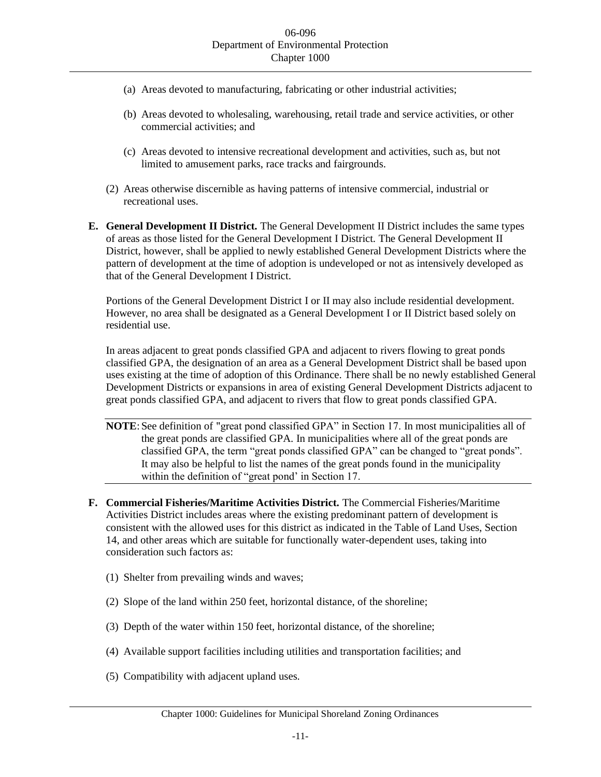- (a) Areas devoted to manufacturing, fabricating or other industrial activities;
- (b) Areas devoted to wholesaling, warehousing, retail trade and service activities, or other commercial activities; and
- (c) Areas devoted to intensive recreational development and activities, such as, but not limited to amusement parks, race tracks and fairgrounds.
- (2) Areas otherwise discernible as having patterns of intensive commercial, industrial or recreational uses.
- **E. General Development II District.** The General Development II District includes the same types of areas as those listed for the General Development I District. The General Development II District, however, shall be applied to newly established General Development Districts where the pattern of development at the time of adoption is undeveloped or not as intensively developed as that of the General Development I District.

Portions of the General Development District I or II may also include residential development. However, no area shall be designated as a General Development I or II District based solely on residential use.

In areas adjacent to great ponds classified GPA and adjacent to rivers flowing to great ponds classified GPA, the designation of an area as a General Development District shall be based upon uses existing at the time of adoption of this Ordinance. There shall be no newly established General Development Districts or expansions in area of existing General Development Districts adjacent to great ponds classified GPA, and adjacent to rivers that flow to great ponds classified GPA.

**NOTE**: See definition of "great pond classified GPA" in Section 17. In most municipalities all of the great ponds are classified GPA. In municipalities where all of the great ponds are classified GPA, the term "great ponds classified GPA" can be changed to "great ponds". It may also be helpful to list the names of the great ponds found in the municipality within the definition of "great pond' in Section 17.

- **F. Commercial Fisheries/Maritime Activities District.** The Commercial Fisheries/Maritime Activities District includes areas where the existing predominant pattern of development is consistent with the allowed uses for this district as indicated in the Table of Land Uses, Section 14, and other areas which are suitable for functionally water-dependent uses, taking into consideration such factors as:
	- (1) Shelter from prevailing winds and waves;
	- (2) Slope of the land within 250 feet, horizontal distance, of the shoreline;
	- (3) Depth of the water within 150 feet, horizontal distance, of the shoreline;
	- (4) Available support facilities including utilities and transportation facilities; and
	- (5) Compatibility with adjacent upland uses.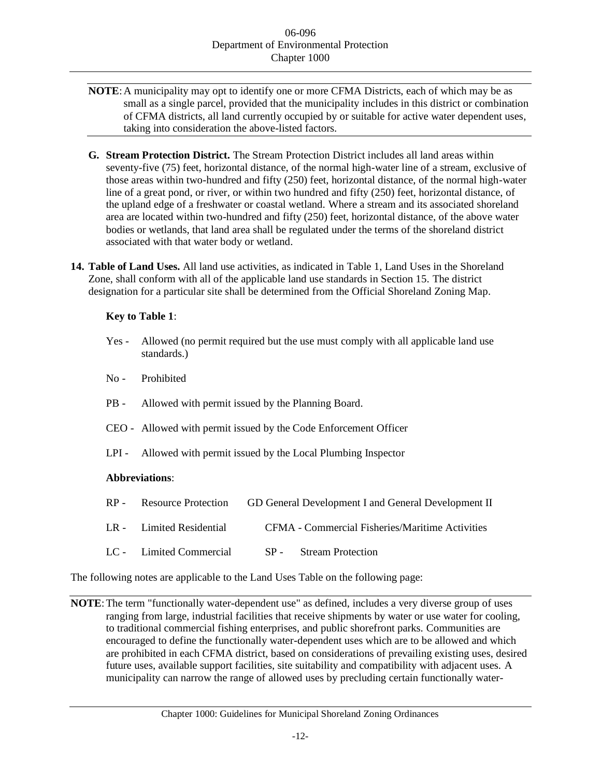- **NOTE**:A municipality may opt to identify one or more CFMA Districts, each of which may be as small as a single parcel, provided that the municipality includes in this district or combination of CFMA districts, all land currently occupied by or suitable for active water dependent uses, taking into consideration the above-listed factors.
- **G. Stream Protection District.** The Stream Protection District includes all land areas within seventy-five (75) feet, horizontal distance, of the normal high-water line of a stream, exclusive of those areas within two-hundred and fifty (250) feet, horizontal distance, of the normal high-water line of a great pond, or river, or within two hundred and fifty (250) feet, horizontal distance, of the upland edge of a freshwater or coastal wetland. Where a stream and its associated shoreland area are located within two-hundred and fifty (250) feet, horizontal distance, of the above water bodies or wetlands, that land area shall be regulated under the terms of the shoreland district associated with that water body or wetland.
- **14. Table of Land Uses.** All land use activities, as indicated in Table 1, Land Uses in the Shoreland Zone, shall conform with all of the applicable land use standards in Section 15. The district designation for a particular site shall be determined from the Official Shoreland Zoning Map.

# **Key to Table 1**:

- Yes Allowed (no permit required but the use must comply with all applicable land use standards.)
- No Prohibited
- PB Allowed with permit issued by the Planning Board.
- CEO Allowed with permit issued by the Code Enforcement Officer
- LPI Allowed with permit issued by the Local Plumbing Inspector

## **Abbreviations**:

RP - Resource Protection GD General Development I and General Development II LR - Limited Residential CFMA - Commercial Fisheries/Maritime Activities LC - Limited Commercial SP - Stream Protection

The following notes are applicable to the Land Uses Table on the following page:

**NOTE**:The term "functionally water-dependent use" as defined, includes a very diverse group of uses ranging from large, industrial facilities that receive shipments by water or use water for cooling, to traditional commercial fishing enterprises, and public shorefront parks. Communities are encouraged to define the functionally water-dependent uses which are to be allowed and which are prohibited in each CFMA district, based on considerations of prevailing existing uses, desired future uses, available support facilities, site suitability and compatibility with adjacent uses. A municipality can narrow the range of allowed uses by precluding certain functionally water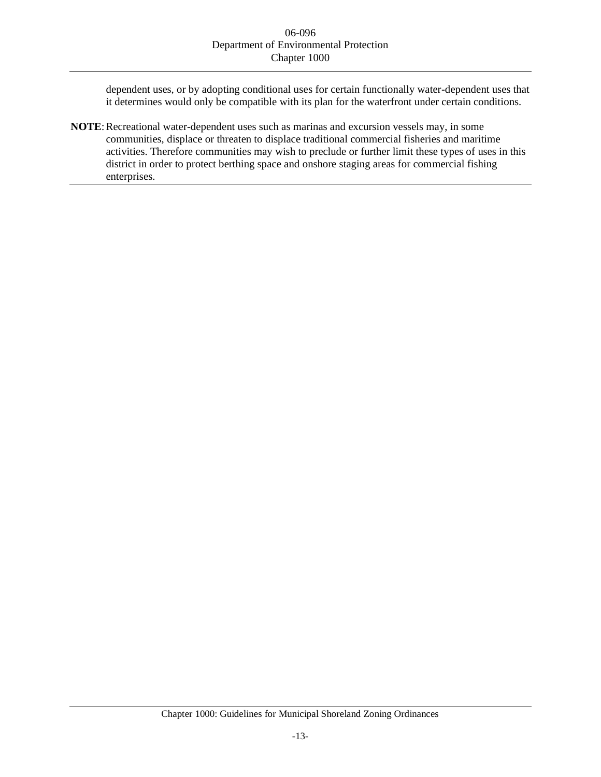dependent uses, or by adopting conditional uses for certain functionally water-dependent uses that it determines would only be compatible with its plan for the waterfront under certain conditions.

**NOTE**: Recreational water-dependent uses such as marinas and excursion vessels may, in some communities, displace or threaten to displace traditional commercial fisheries and maritime activities. Therefore communities may wish to preclude or further limit these types of uses in this district in order to protect berthing space and onshore staging areas for commercial fishing enterprises.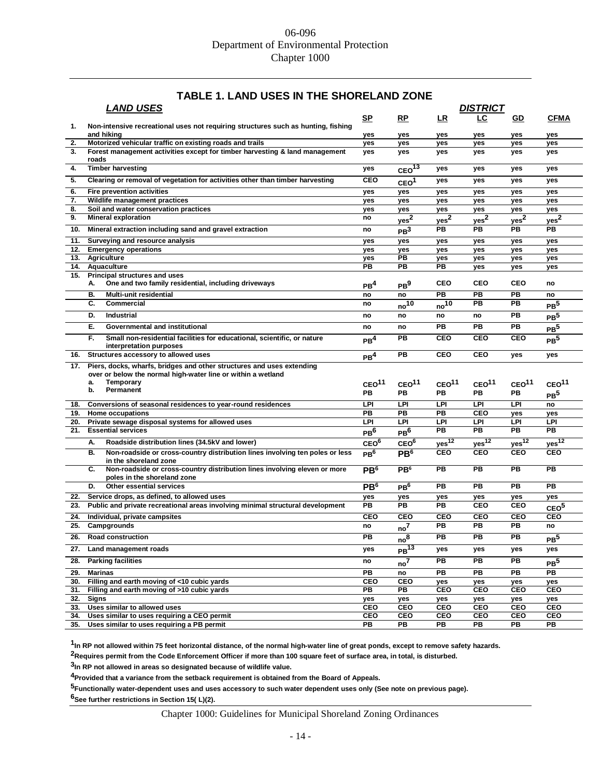# **TABLE 1. LAND USES IN THE SHORELAND ZONE**

| <b>LAND USES</b><br><b>DISTRICT</b> |                                                                                                          |                   |                               |                   |                       |                   |                                |
|-------------------------------------|----------------------------------------------------------------------------------------------------------|-------------------|-------------------------------|-------------------|-----------------------|-------------------|--------------------------------|
|                                     |                                                                                                          | <u>SP</u>         | RP                            | <u>LR</u>         | LC                    | <u>GD</u>         | <u>CFMA</u>                    |
| 1.                                  | Non-intensive recreational uses not requiring structures such as hunting, fishing                        |                   |                               |                   |                       |                   |                                |
| 2.                                  | and hiking<br>Motorized vehicular traffic on existing roads and trails                                   | yes<br>yes        | yes<br>yes                    | yes<br>yes        | yes<br>yes            | yes<br>yes        | yes<br>yes                     |
| 3.                                  | Forest management activities except for timber harvesting & land management                              | yes               | yes                           | yes               | yes                   | yes               | yes                            |
|                                     | roads                                                                                                    |                   |                               |                   |                       |                   |                                |
| 4.                                  | <b>Timber harvesting</b>                                                                                 | yes               | CEO <sup>13</sup>             | yes               | yes                   | yes               | yes                            |
| 5.                                  | Clearing or removal of vegetation for activities other than timber harvesting                            | CEO               | CEO <sup>1</sup>              | yes               | yes                   | yes               | yes                            |
| 6.                                  | <b>Fire prevention activities</b>                                                                        | yes               | yes                           | yes               | yes                   | yes               | yes                            |
| 7.                                  | Wildlife management practices                                                                            | yes               | yes                           | yes               | ves                   | ves               | yes                            |
| 8.                                  | Soil and water conservation practices                                                                    | yes               | yes                           | yes               | yes                   | yes               | yes                            |
| 9.                                  | <b>Mineral exploration</b>                                                                               | no                | yes <sup>2</sup>              | yes <sup>2</sup>  | yes <sup>2</sup>      | $yes^2$           | yes <sup>2</sup>               |
| 10.                                 | Mineral extraction including sand and gravel extraction                                                  | no                | PB <sup>3</sup>               | PВ                | PВ                    | PВ                | PВ                             |
| 11.                                 | Surveying and resource analysis                                                                          | yes               | yes                           | yes               | yes                   | yes               | yes                            |
| 12.                                 | <b>Emergency operations</b>                                                                              | yes               | yes                           | yes               | yes                   | yes               | yes                            |
| 13.                                 | <b>Agriculture</b>                                                                                       | yes               | PB                            | yes               | yes                   | yes               | yes                            |
| 14.                                 | Aquaculture                                                                                              | <b>PB</b>         | PB                            | <b>PB</b>         | yes                   | yes               | yes                            |
| 15.                                 | <b>Principal structures and uses</b>                                                                     |                   |                               |                   |                       |                   |                                |
|                                     | One and two family residential, including driveways<br>А.                                                | PB <sup>4</sup>   | PB <sup>9</sup>               | <b>CEO</b>        | CEO                   | CEO               | no                             |
|                                     | В.<br>Multi-unit residential                                                                             | no                | no                            | PB                | PB                    | PB                | no                             |
|                                     | C.<br>Commercial                                                                                         | no                | $\overline{10}$ <sup>10</sup> | $no^{10}$         | <b>PB</b>             | PB                | PB <sup>5</sup>                |
|                                     | D.<br>Industrial                                                                                         | no                | no                            | no                | no                    | PB                | PB <sup>5</sup>                |
|                                     | Е.<br>Governmental and institutional                                                                     | no                | no                            | PВ                | <b>PB</b>             | PВ                | PB <sup>5</sup>                |
|                                     | F.<br>Small non-residential facilities for educational, scientific, or nature<br>interpretation purposes | PB <sup>4</sup>   | PB                            | <b>CEO</b>        | CEO                   | <b>CEO</b>        | PB <sup>5</sup>                |
| 16.                                 | Structures accessory to allowed uses                                                                     | PB <sup>4</sup>   | PB                            | CEO               | <b>CEO</b>            | yes               | yes                            |
| 17.                                 | Piers, docks, wharfs, bridges and other structures and uses extending                                    |                   |                               |                   |                       |                   |                                |
|                                     | over or below the normal high-water line or within a wetland                                             |                   |                               |                   |                       |                   |                                |
|                                     | <b>Temporary</b><br>a.                                                                                   | CEO <sup>11</sup> | CEO <sup>11</sup>             | CEO <sup>11</sup> | CEO <sup>11</sup>     | CEO <sup>11</sup> | CEO <sup>11</sup>              |
|                                     | Permanent<br>b.                                                                                          | PB                | PB                            | PВ                | PВ                    | PB                | PB <sup>5</sup>                |
| 18.                                 | Conversions of seasonal residences to year-round residences                                              | LPI               | LPI                           | LPI               | LPI                   | LPI               | no                             |
| 19.                                 | Home occupations                                                                                         | <b>PB</b>         | PB                            | PB                | CEO                   | yes               | yes                            |
|                                     | 20. Private sewage disposal systems for allowed uses                                                     | LPI               | LPI                           | LPI               | LPI                   | LPI               | LPI                            |
| 21.                                 | <b>Essential services</b>                                                                                | PB <sup>6</sup>   | PB <sup>6</sup>               | PB                | PB                    | PB                | PB                             |
|                                     | А.<br>Roadside distribution lines (34.5kV and lower)                                                     | CEO <sup>6</sup>  | CEO <sup>6</sup>              | yes <sup>12</sup> | $yes^{\overline{12}}$ | yes <sup>12</sup> | $yes^{12}$                     |
|                                     | Non-roadside or cross-country distribution lines involving ten poles or less<br>В.                       | PB <sup>6</sup>   | PB <sup>6</sup>               | CEO               | <b>CEO</b>            | <b>CEO</b>        | <b>CEO</b>                     |
|                                     | in the shoreland zone                                                                                    |                   |                               |                   |                       |                   |                                |
|                                     | Non-roadside or cross-country distribution lines involving eleven or more<br>С.                          | PB <sup>6</sup>   | PB <sup>6</sup>               | PB                | PB                    | PB                | PB                             |
|                                     | poles in the shoreland zone<br>D.<br><b>Other essential services</b>                                     | PB <sup>6</sup>   | PB <sup>6</sup>               | PB                | <b>PB</b>             | PB                | PB                             |
| 22.                                 | Service drops, as defined, to allowed uses                                                               |                   |                               |                   |                       |                   |                                |
| 23.                                 | Public and private recreational areas involving minimal structural development                           | yes<br>PB         | yes<br>PB                     | yes<br>PВ         | yes<br>CEO            | yes<br>CEO        | yes                            |
|                                     |                                                                                                          |                   |                               |                   |                       |                   | CEO <sub>5</sub><br><b>CEO</b> |
| 24.                                 |                                                                                                          |                   |                               |                   |                       |                   |                                |
| 25.                                 | Individual, private campsites                                                                            | <b>CEO</b>        | <b>CEO</b>                    | <b>CEO</b>        | <b>CEO</b>            | <b>CEO</b>        |                                |
| 26.                                 | Campgrounds                                                                                              | no                | $\rm{no}^7$                   | PB                | PB                    | PB                | no                             |
|                                     | <b>Road construction</b>                                                                                 | PB                | no <sup>8</sup>               | PВ                | <b>PB</b>             | PB                | PB <sup>5</sup>                |
| 27.                                 | Land management roads                                                                                    | yes               | $PB$ <sup>13</sup>            | yes               | yes                   | yes               | yes                            |
| 28.                                 | <b>Parking facilities</b>                                                                                | no                | no <sup>7</sup>               | $\overline{PB}$   | PВ                    | PB                | PB <sup>5</sup>                |
| 29.                                 | <b>Marinas</b>                                                                                           | PB                | no                            | $\overline{PB}$   | PB                    | PB                | $\overline{PB}$                |
| 30.                                 | Filling and earth moving of <10 cubic yards                                                              | <b>CEO</b>        | CEO                           | yes               | yes                   | yes               | yes                            |
|                                     | 31. Filling and earth moving of >10 cubic yards                                                          | PB                | PB                            | CEO               | CEO                   | CEO               | <b>CEO</b>                     |
|                                     | 32. Signs                                                                                                | yes               | yes                           | yes               | yes                   | yes               | yes                            |
|                                     | 33. Uses similar to allowed uses                                                                         | CEO               | <b>CEO</b>                    | CEO               | CEO                   | CEO               | <b>CEO</b>                     |
|                                     | 34. Uses similar to uses requiring a CEO permit<br>35. Uses similar to uses requiring a PB permit        | <b>CEO</b><br>PB  | <b>CEO</b><br>PB              | CEO<br>PB         | CEO<br>PВ             | CEO<br>РB         | <b>CEO</b><br>PB               |

**1 In RP not allowed within 75 feet horizontal distance, of the normal high-water line of great ponds, except to remove safety hazards.**

**2Requires permit from the Code Enforcement Officer if more than 100 square feet of surface area, in total, is disturbed.**

**3 In RP not allowed in areas so designated because of wildlife value.**

**4Provided that a variance from the setback requirement is obtained from the Board of Appeals.**

**5Functionally water-dependent uses and uses accessory to such water dependent uses only (See note on previous page).**

**6See further restrictions in Section 15( L)(2).**

Chapter 1000: Guidelines for Municipal Shoreland Zoning Ordinances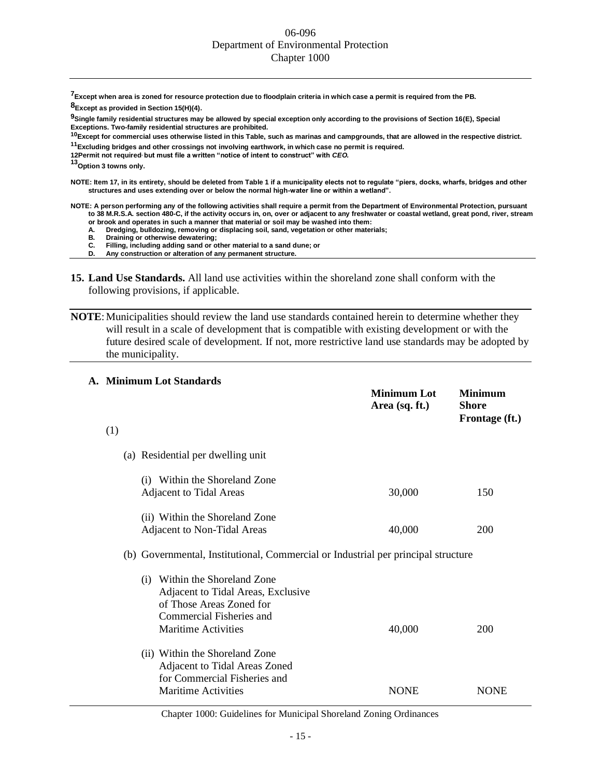**7Except when area is zoned for resource protection due to floodplain criteria in which case a permit is required from the PB. 8Except as provided in Section 15(H)(4).**

**9Single family residential structures may be allowed by special exception only according to the provisions of Section 16(E), Special Exceptions. Two-family residential structures are prohibited.**

**<sup>10</sup>Except for commercial uses otherwise listed in this Table, such as marinas and campgrounds, that are allowed in the respective district.**

**<sup>11</sup>Excluding bridges and other crossings not involving earthwork, in which case no permit is required.**

**12Permit not required, but must file a written "notice of intent to construct" with** *CEO.*

**<sup>13</sup>Option 3 towns only.**

**NOTE: Item 17, in its entirety, should be deleted from Table 1 if a municipality elects not to regulate "piers, docks, wharfs, bridges and other structures and uses extending over or below the normal high-water line or within a wetland".**

**NOTE: A person performing any of the following activities shall require a permit from the Department of Environmental Protection, pursuant to 38 M.R.S.A. section 480-C, if the activity occurs in, on, over or adjacent to any freshwater or coastal wetland, great pond, river, stream or brook and operates in such a manner that material or soil may be washed into them:**

**A. Dredging, bulldozing, removing or displacing soil, sand, vegetation or other materials;**

**B. Draining or otherwise dewatering;**

**C. Filling, including adding sand or other material to a sand dune; or**

- **D. Any construction or alteration of any permanent structure.**
- **15. Land Use Standards.** All land use activities within the shoreland zone shall conform with the following provisions, if applicable.
- **NOTE**: Municipalities should review the land use standards contained herein to determine whether they will result in a scale of development that is compatible with existing development or with the future desired scale of development. If not, more restrictive land use standards may be adopted by the municipality.

|     | A. Minimum Lot Standards                                                                                                                                  |                                      |                                           |
|-----|-----------------------------------------------------------------------------------------------------------------------------------------------------------|--------------------------------------|-------------------------------------------|
|     |                                                                                                                                                           | <b>Minimum Lot</b><br>Area (sq. ft.) | <b>Minimum</b><br>Shore<br>Frontage (ft.) |
| (1) |                                                                                                                                                           |                                      |                                           |
|     | (a) Residential per dwelling unit                                                                                                                         |                                      |                                           |
|     | (i) Within the Shoreland Zone<br><b>Adjacent to Tidal Areas</b>                                                                                           | 30,000                               | 150                                       |
|     | (ii) Within the Shoreland Zone<br>Adjacent to Non-Tidal Areas                                                                                             | 40,000                               | 200                                       |
|     | (b) Governmental, Institutional, Commercial or Industrial per principal structure                                                                         |                                      |                                           |
|     | (i) Within the Shoreland Zone<br>Adjacent to Tidal Areas, Exclusive<br>of Those Areas Zoned for<br>Commercial Fisheries and<br><b>Maritime Activities</b> | 40,000                               | 200                                       |
|     | (ii) Within the Shoreland Zone<br>Adjacent to Tidal Areas Zoned<br>for Commercial Fisheries and<br><b>Maritime Activities</b>                             | <b>NONE</b>                          | <b>NONE</b>                               |

#### Chapter 1000: Guidelines for Municipal Shoreland Zoning Ordinances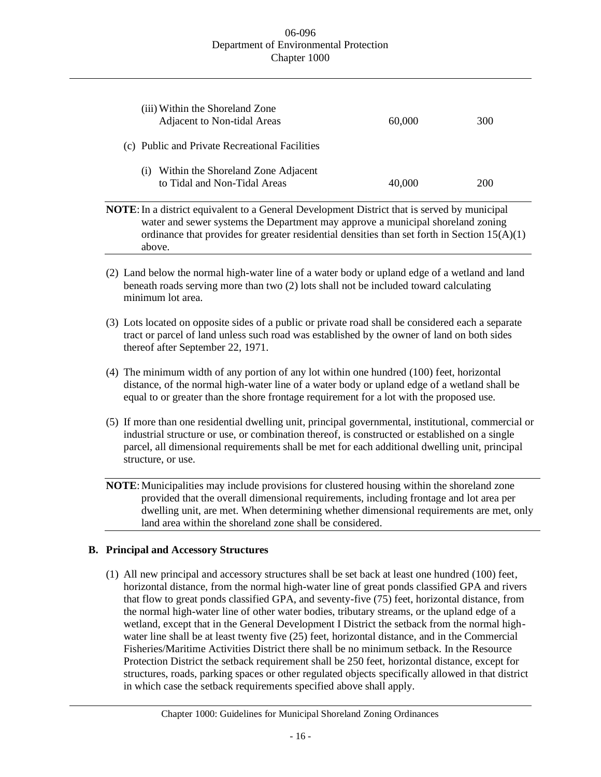| (iii) Within the Shoreland Zone<br>Adjacent to Non-tidal Areas            | 60,000 | 300 |
|---------------------------------------------------------------------------|--------|-----|
| (c) Public and Private Recreational Facilities                            |        |     |
| Within the Shoreland Zone Adjacent<br>(1)<br>to Tidal and Non-Tidal Areas | 40,000 | 200 |

**NOTE:** In a district equivalent to a General Development District that is served by municipal water and sewer systems the Department may approve a municipal shoreland zoning ordinance that provides for greater residential densities than set forth in Section  $15(A)(1)$ above.

- (2) Land below the normal high-water line of a water body or upland edge of a wetland and land beneath roads serving more than two (2) lots shall not be included toward calculating minimum lot area.
- (3) Lots located on opposite sides of a public or private road shall be considered each a separate tract or parcel of land unless such road was established by the owner of land on both sides thereof after September 22, 1971.
- (4) The minimum width of any portion of any lot within one hundred (100) feet, horizontal distance, of the normal high-water line of a water body or upland edge of a wetland shall be equal to or greater than the shore frontage requirement for a lot with the proposed use.
- (5) If more than one residential dwelling unit, principal governmental, institutional, commercial or industrial structure or use, or combination thereof, is constructed or established on a single parcel, all dimensional requirements shall be met for each additional dwelling unit, principal structure, or use.

**NOTE:** Municipalities may include provisions for clustered housing within the shoreland zone provided that the overall dimensional requirements, including frontage and lot area per dwelling unit, are met. When determining whether dimensional requirements are met, only land area within the shoreland zone shall be considered.

# **B. Principal and Accessory Structures**

(1) All new principal and accessory structures shall be set back at least one hundred (100) feet, horizontal distance, from the normal high-water line of great ponds classified GPA and rivers that flow to great ponds classified GPA, and seventy-five (75) feet, horizontal distance, from the normal high-water line of other water bodies, tributary streams, or the upland edge of a wetland, except that in the General Development I District the setback from the normal highwater line shall be at least twenty five (25) feet, horizontal distance, and in the Commercial Fisheries/Maritime Activities District there shall be no minimum setback. In the Resource Protection District the setback requirement shall be 250 feet, horizontal distance, except for structures, roads, parking spaces or other regulated objects specifically allowed in that district in which case the setback requirements specified above shall apply.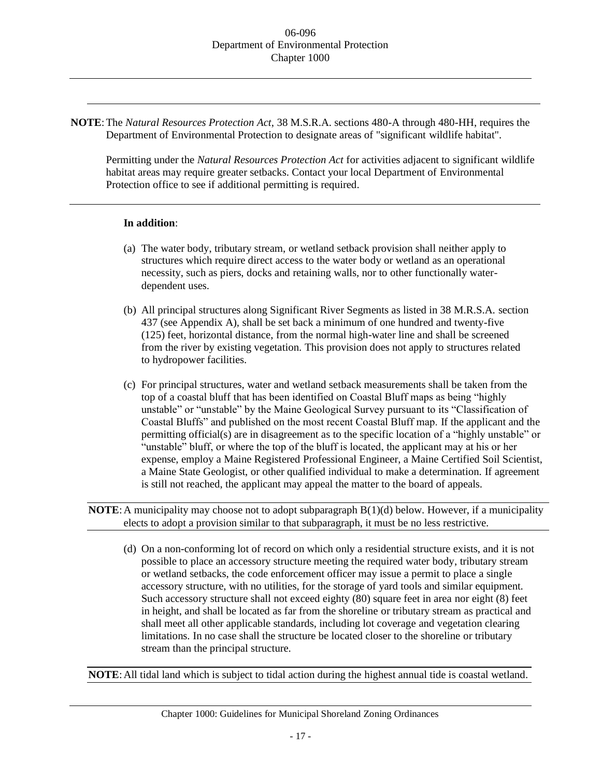**NOTE**:The *Natural Resources Protection Act*, 38 M.S.R.A. sections 480-A through 480-HH, requires the Department of Environmental Protection to designate areas of "significant wildlife habitat".

Permitting under the *Natural Resources Protection Act* for activities adjacent to significant wildlife habitat areas may require greater setbacks. Contact your local Department of Environmental Protection office to see if additional permitting is required.

#### **In addition**:

- (a) The water body, tributary stream, or wetland setback provision shall neither apply to structures which require direct access to the water body or wetland as an operational necessity, such as piers, docks and retaining walls, nor to other functionally waterdependent uses.
- (b) All principal structures along Significant River Segments as listed in 38 M.R.S.A. section 437 (see Appendix A), shall be set back a minimum of one hundred and twenty-five (125) feet, horizontal distance, from the normal high-water line and shall be screened from the river by existing vegetation. This provision does not apply to structures related to hydropower facilities.
- (c) For principal structures, water and wetland setback measurements shall be taken from the top of a coastal bluff that has been identified on Coastal Bluff maps as being "highly unstable" or "unstable" by the Maine Geological Survey pursuant to its "Classification of Coastal Bluffs" and published on the most recent Coastal Bluff map. If the applicant and the permitting official(s) are in disagreement as to the specific location of a "highly unstable" or "unstable" bluff, or where the top of the bluff is located, the applicant may at his or her expense, employ a Maine Registered Professional Engineer, a Maine Certified Soil Scientist, a Maine State Geologist, or other qualified individual to make a determination. If agreement is still not reached, the applicant may appeal the matter to the board of appeals.

**NOTE**:A municipality may choose not to adopt subparagraph B(1)(d) below. However, if a municipality elects to adopt a provision similar to that subparagraph, it must be no less restrictive.

(d) On a non-conforming lot of record on which only a residential structure exists, and it is not possible to place an accessory structure meeting the required water body, tributary stream or wetland setbacks, the code enforcement officer may issue a permit to place a single accessory structure, with no utilities, for the storage of yard tools and similar equipment. Such accessory structure shall not exceed eighty (80) square feet in area nor eight (8) feet in height, and shall be located as far from the shoreline or tributary stream as practical and shall meet all other applicable standards, including lot coverage and vegetation clearing limitations. In no case shall the structure be located closer to the shoreline or tributary stream than the principal structure.

**NOTE**:All tidal land which is subject to tidal action during the highest annual tide is coastal wetland.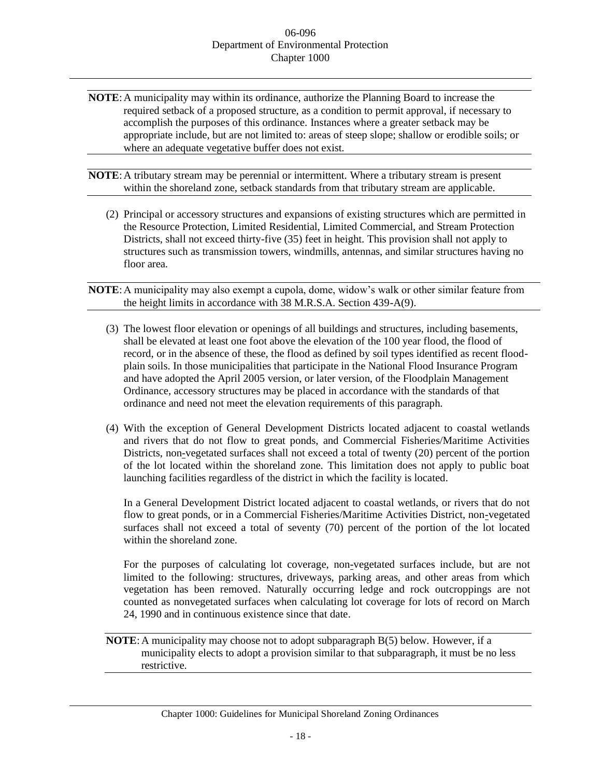- **NOTE**:A municipality may within its ordinance, authorize the Planning Board to increase the required setback of a proposed structure, as a condition to permit approval, if necessary to accomplish the purposes of this ordinance. Instances where a greater setback may be appropriate include, but are not limited to: areas of steep slope; shallow or erodible soils; or where an adequate vegetative buffer does not exist.
- **NOTE**:A tributary stream may be perennial or intermittent. Where a tributary stream is present within the shoreland zone, setback standards from that tributary stream are applicable.
	- (2) Principal or accessory structures and expansions of existing structures which are permitted in the Resource Protection, Limited Residential, Limited Commercial, and Stream Protection Districts, shall not exceed thirty-five (35) feet in height. This provision shall not apply to structures such as transmission towers, windmills, antennas, and similar structures having no floor area.
- **NOTE**:A municipality may also exempt a cupola, dome, widow's walk or other similar feature from the height limits in accordance with 38 M.R.S.A. Section 439-A(9).
	- (3) The lowest floor elevation or openings of all buildings and structures, including basements, shall be elevated at least one foot above the elevation of the 100 year flood, the flood of record, or in the absence of these, the flood as defined by soil types identified as recent floodplain soils. In those municipalities that participate in the National Flood Insurance Program and have adopted the April 2005 version, or later version, of the Floodplain Management Ordinance, accessory structures may be placed in accordance with the standards of that ordinance and need not meet the elevation requirements of this paragraph.
	- (4) With the exception of General Development Districts located adjacent to coastal wetlands and rivers that do not flow to great ponds, and Commercial Fisheries/Maritime Activities Districts, non-vegetated surfaces shall not exceed a total of twenty (20) percent of the portion of the lot located within the shoreland zone. This limitation does not apply to public boat launching facilities regardless of the district in which the facility is located.

In a General Development District located adjacent to coastal wetlands, or rivers that do not flow to great ponds, or in a Commercial Fisheries/Maritime Activities District, non-vegetated surfaces shall not exceed a total of seventy (70) percent of the portion of the lot located within the shoreland zone.

For the purposes of calculating lot coverage, non-vegetated surfaces include, but are not limited to the following: structures, driveways, parking areas, and other areas from which vegetation has been removed. Naturally occurring ledge and rock outcroppings are not counted as nonvegetated surfaces when calculating lot coverage for lots of record on March 24, 1990 and in continuous existence since that date.

**NOTE**:A municipality may choose not to adopt subparagraph B(5) below. However, if a municipality elects to adopt a provision similar to that subparagraph, it must be no less restrictive.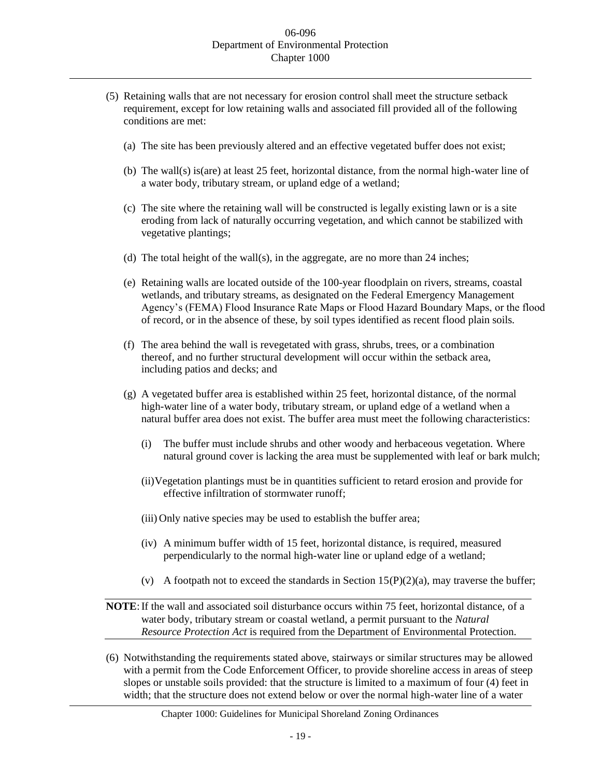- (5) Retaining walls that are not necessary for erosion control shall meet the structure setback requirement, except for low retaining walls and associated fill provided all of the following conditions are met:
	- (a) The site has been previously altered and an effective vegetated buffer does not exist;
	- (b) The wall(s) is(are) at least 25 feet, horizontal distance, from the normal high-water line of a water body, tributary stream, or upland edge of a wetland;
	- (c) The site where the retaining wall will be constructed is legally existing lawn or is a site eroding from lack of naturally occurring vegetation, and which cannot be stabilized with vegetative plantings;
	- (d) The total height of the wall(s), in the aggregate, are no more than 24 inches;
	- (e) Retaining walls are located outside of the 100-year floodplain on rivers, streams, coastal wetlands, and tributary streams, as designated on the Federal Emergency Management Agency's (FEMA) Flood Insurance Rate Maps or Flood Hazard Boundary Maps, or the flood of record, or in the absence of these, by soil types identified as recent flood plain soils.
	- (f) The area behind the wall is revegetated with grass, shrubs, trees, or a combination thereof, and no further structural development will occur within the setback area, including patios and decks; and
	- (g) A vegetated buffer area is established within 25 feet, horizontal distance, of the normal high-water line of a water body, tributary stream, or upland edge of a wetland when a natural buffer area does not exist. The buffer area must meet the following characteristics:
		- (i) The buffer must include shrubs and other woody and herbaceous vegetation. Where natural ground cover is lacking the area must be supplemented with leaf or bark mulch;
		- (ii)Vegetation plantings must be in quantities sufficient to retard erosion and provide for effective infiltration of stormwater runoff;
		- (iii) Only native species may be used to establish the buffer area;
		- (iv) A minimum buffer width of 15 feet, horizontal distance, is required, measured perpendicularly to the normal high-water line or upland edge of a wetland;
		- (v) A footpath not to exceed the standards in Section  $15(P)(2)(a)$ , may traverse the buffer;

# **NOTE**:If the wall and associated soil disturbance occurs within 75 feet, horizontal distance, of a water body, tributary stream or coastal wetland, a permit pursuant to the *Natural Resource Protection Act* is required from the Department of Environmental Protection.

(6) Notwithstanding the requirements stated above, stairways or similar structures may be allowed with a permit from the Code Enforcement Officer, to provide shoreline access in areas of steep slopes or unstable soils provided: that the structure is limited to a maximum of four (4) feet in width; that the structure does not extend below or over the normal high-water line of a water

# Chapter 1000: Guidelines for Municipal Shoreland Zoning Ordinances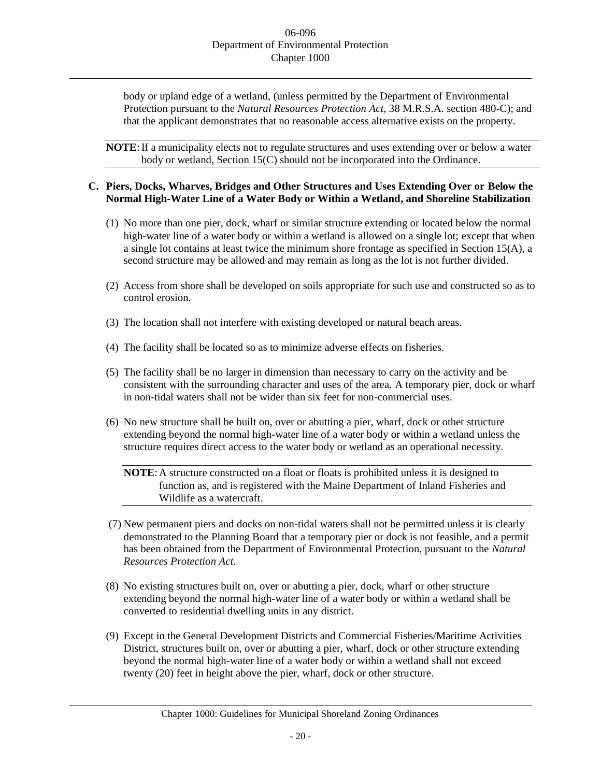body or upland edge of a wetland, (unless permitted by the Department of Environmental Protection pursuant to the *Natural Resources Protection Act*, 38 M.R.S.A. section 480-C); and that the applicant demonstrates that no reasonable access alternative exists on the property.

**NOTE:** If a municipality elects not to regulate structures and uses extending over or below a water body or wetland, Section 15(C) should not be incorporated into the Ordinance.

## **C. Piers, Docks, Wharves, Bridges and Other Structures and Uses Extending Over or Below the Normal High-Water Line of a Water Body or Within a Wetland, and Shoreline Stabilization**

- (1) No more than one pier, dock, wharf or similar structure extending or located below the normal high-water line of a water body or within a wetland is allowed on a single lot; except that when a single lot contains at least twice the minimum shore frontage as specified in Section 15(A), a second structure may be allowed and may remain as long as the lot is not further divided.
- (2) Access from shore shall be developed on soils appropriate for such use and constructed so as to control erosion.
- (3) The location shall not interfere with existing developed or natural beach areas.
- (4) The facility shall be located so as to minimize adverse effects on fisheries.
- (5) The facility shall be no larger in dimension than necessary to carry on the activity and be consistent with the surrounding character and uses of the area. A temporary pier, dock or wharf in non-tidal waters shall not be wider than six feet for non-commercial uses.
- (6) No new structure shall be built on, over or abutting a pier, wharf, dock or other structure extending beyond the normal high-water line of a water body or within a wetland unless the structure requires direct access to the water body or wetland as an operational necessity.

**NOTE**:A structure constructed on a float or floats is prohibited unless it is designed to function as, and is registered with the Maine Department of Inland Fisheries and Wildlife as a watercraft.

- (7) New permanent piers and docks on non-tidal waters shall not be permitted unless it is clearly demonstrated to the Planning Board that a temporary pier or dock is not feasible, and a permit has been obtained from the Department of Environmental Protection, pursuant to the *Natural Resources Protection Act*.
- (8) No existing structures built on, over or abutting a pier, dock, wharf or other structure extending beyond the normal high-water line of a water body or within a wetland shall be converted to residential dwelling units in any district.
- (9) Except in the General Development Districts and Commercial Fisheries/Maritime Activities District, structures built on, over or abutting a pier, wharf, dock or other structure extending beyond the normal high-water line of a water body or within a wetland shall not exceed twenty (20) feet in height above the pier, wharf, dock or other structure.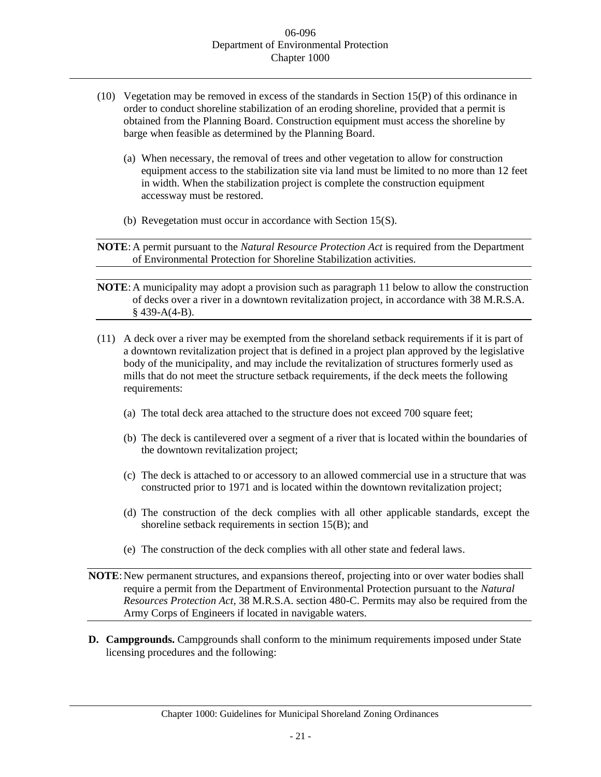- (10) Vegetation may be removed in excess of the standards in Section 15(P) of this ordinance in order to conduct shoreline stabilization of an eroding shoreline, provided that a permit is obtained from the Planning Board. Construction equipment must access the shoreline by barge when feasible as determined by the Planning Board.
	- (a) When necessary, the removal of trees and other vegetation to allow for construction equipment access to the stabilization site via land must be limited to no more than 12 feet in width. When the stabilization project is complete the construction equipment accessway must be restored.
	- (b) Revegetation must occur in accordance with Section 15(S).

**NOTE**:A permit pursuant to the *Natural Resource Protection Act* is required from the Department of Environmental Protection for Shoreline Stabilization activities.

- **NOTE**:A municipality may adopt a provision such as paragraph 11 below to allow the construction of decks over a river in a downtown revitalization project, in accordance with 38 M.R.S.A.  $§$  439-A(4-B).
- (11) A deck over a river may be exempted from the shoreland setback requirements if it is part of a downtown revitalization project that is defined in a project plan approved by the legislative body of the municipality, and may include the revitalization of structures formerly used as mills that do not meet the structure setback requirements, if the deck meets the following requirements:
	- (a) The total deck area attached to the structure does not exceed 700 square feet;
	- (b) The deck is cantilevered over a segment of a river that is located within the boundaries of the downtown revitalization project;
	- (c) The deck is attached to or accessory to an allowed commercial use in a structure that was constructed prior to 1971 and is located within the downtown revitalization project;
	- (d) The construction of the deck complies with all other applicable standards, except the shoreline setback requirements in section 15(B); and
	- (e) The construction of the deck complies with all other state and federal laws.
- **NOTE**: New permanent structures, and expansions thereof, projecting into or over water bodies shall require a permit from the Department of Environmental Protection pursuant to the *Natural Resources Protection Act*, 38 M.R.S.A. section 480-C. Permits may also be required from the Army Corps of Engineers if located in navigable waters.
- **D. Campgrounds.** Campgrounds shall conform to the minimum requirements imposed under State licensing procedures and the following: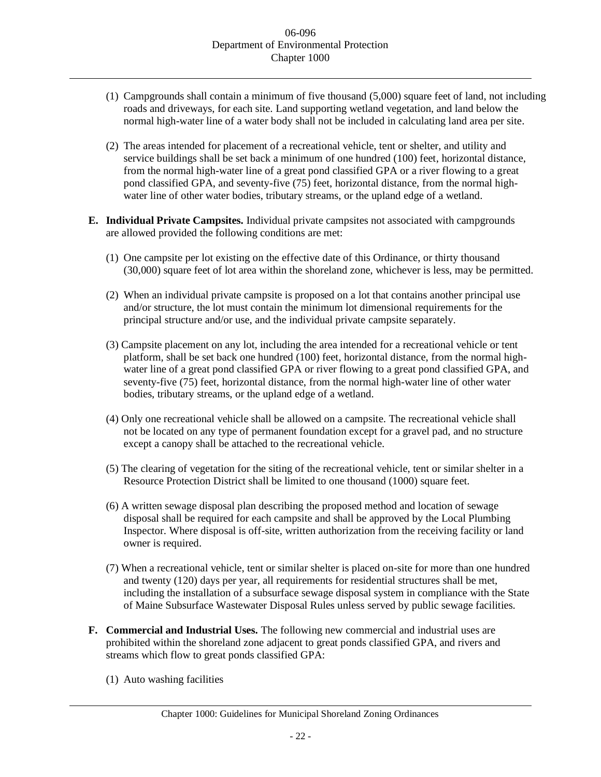- (1) Campgrounds shall contain a minimum of five thousand (5,000) square feet of land, not including roads and driveways, for each site. Land supporting wetland vegetation, and land below the normal high-water line of a water body shall not be included in calculating land area per site.
- (2) The areas intended for placement of a recreational vehicle, tent or shelter, and utility and service buildings shall be set back a minimum of one hundred (100) feet, horizontal distance, from the normal high-water line of a great pond classified GPA or a river flowing to a great pond classified GPA, and seventy-five (75) feet, horizontal distance, from the normal highwater line of other water bodies, tributary streams, or the upland edge of a wetland.
- **E. Individual Private Campsites.** Individual private campsites not associated with campgrounds are allowed provided the following conditions are met:
	- (1) One campsite per lot existing on the effective date of this Ordinance, or thirty thousand (30,000) square feet of lot area within the shoreland zone, whichever is less, may be permitted.
	- (2) When an individual private campsite is proposed on a lot that contains another principal use and/or structure, the lot must contain the minimum lot dimensional requirements for the principal structure and/or use, and the individual private campsite separately.
	- (3) Campsite placement on any lot, including the area intended for a recreational vehicle or tent platform, shall be set back one hundred (100) feet, horizontal distance, from the normal highwater line of a great pond classified GPA or river flowing to a great pond classified GPA, and seventy-five (75) feet, horizontal distance, from the normal high-water line of other water bodies, tributary streams, or the upland edge of a wetland.
	- (4) Only one recreational vehicle shall be allowed on a campsite. The recreational vehicle shall not be located on any type of permanent foundation except for a gravel pad, and no structure except a canopy shall be attached to the recreational vehicle.
	- (5) The clearing of vegetation for the siting of the recreational vehicle, tent or similar shelter in a Resource Protection District shall be limited to one thousand (1000) square feet.
	- (6) A written sewage disposal plan describing the proposed method and location of sewage disposal shall be required for each campsite and shall be approved by the Local Plumbing Inspector. Where disposal is off-site, written authorization from the receiving facility or land owner is required.
	- (7) When a recreational vehicle, tent or similar shelter is placed on-site for more than one hundred and twenty (120) days per year, all requirements for residential structures shall be met, including the installation of a subsurface sewage disposal system in compliance with the State of Maine Subsurface Wastewater Disposal Rules unless served by public sewage facilities.
- **F. Commercial and Industrial Uses.** The following new commercial and industrial uses are prohibited within the shoreland zone adjacent to great ponds classified GPA, and rivers and streams which flow to great ponds classified GPA:
	- (1) Auto washing facilities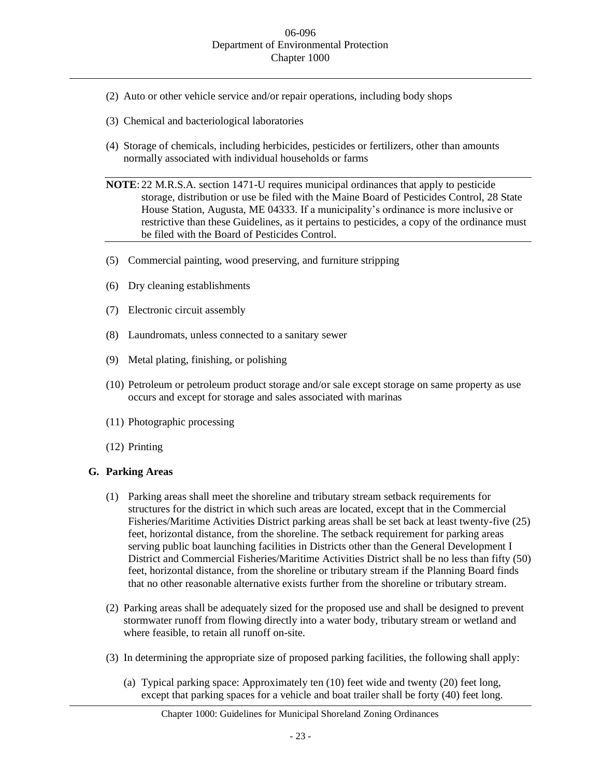- (2) Auto or other vehicle service and/or repair operations, including body shops
- (3) Chemical and bacteriological laboratories
- (4) Storage of chemicals, including herbicides, pesticides or fertilizers, other than amounts normally associated with individual households or farms
- **NOTE**: 22 M.R.S.A. section 1471-U requires municipal ordinances that apply to pesticide storage, distribution or use be filed with the Maine Board of Pesticides Control, 28 State House Station, Augusta, ME 04333. If a municipality's ordinance is more inclusive or restrictive than these Guidelines, as it pertains to pesticides, a copy of the ordinance must be filed with the Board of Pesticides Control.
- (5) Commercial painting, wood preserving, and furniture stripping
- (6) Dry cleaning establishments
- (7) Electronic circuit assembly
- (8) Laundromats, unless connected to a sanitary sewer
- (9) Metal plating, finishing, or polishing
- (10) Petroleum or petroleum product storage and/or sale except storage on same property as use occurs and except for storage and sales associated with marinas
- (11) Photographic processing
- (12) Printing

## **G. Parking Areas**

- (1) Parking areas shall meet the shoreline and tributary stream setback requirements for structures for the district in which such areas are located, except that in the Commercial Fisheries/Maritime Activities District parking areas shall be set back at least twenty-five (25) feet, horizontal distance, from the shoreline. The setback requirement for parking areas serving public boat launching facilities in Districts other than the General Development I District and Commercial Fisheries/Maritime Activities District shall be no less than fifty (50) feet, horizontal distance, from the shoreline or tributary stream if the Planning Board finds that no other reasonable alternative exists further from the shoreline or tributary stream.
- (2) Parking areas shall be adequately sized for the proposed use and shall be designed to prevent stormwater runoff from flowing directly into a water body, tributary stream or wetland and where feasible, to retain all runoff on-site.
- (3) In determining the appropriate size of proposed parking facilities, the following shall apply:
	- (a) Typical parking space: Approximately ten (10) feet wide and twenty (20) feet long, except that parking spaces for a vehicle and boat trailer shall be forty (40) feet long.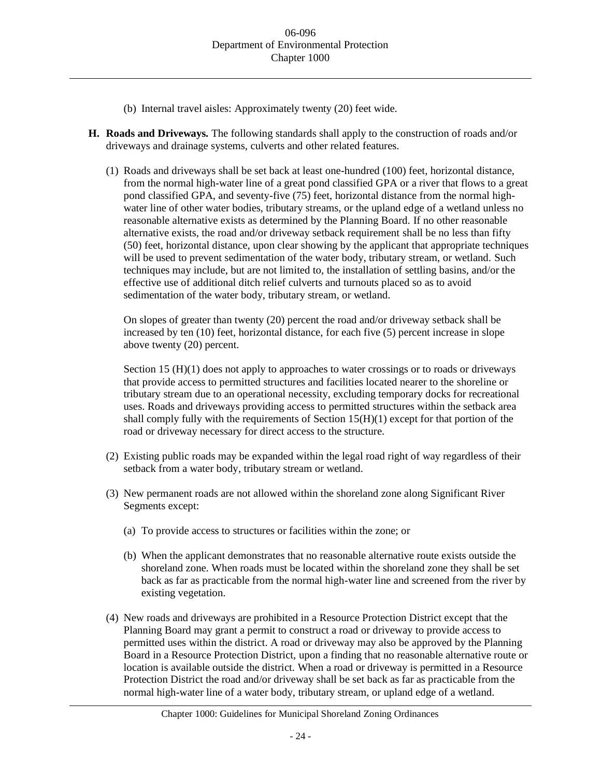- (b) Internal travel aisles: Approximately twenty (20) feet wide.
- **H. Roads and Driveways.** The following standards shall apply to the construction of roads and/or driveways and drainage systems, culverts and other related features.
	- (1) Roads and driveways shall be set back at least one-hundred (100) feet, horizontal distance, from the normal high-water line of a great pond classified GPA or a river that flows to a great pond classified GPA, and seventy-five (75) feet, horizontal distance from the normal highwater line of other water bodies, tributary streams, or the upland edge of a wetland unless no reasonable alternative exists as determined by the Planning Board. If no other reasonable alternative exists, the road and/or driveway setback requirement shall be no less than fifty (50) feet, horizontal distance, upon clear showing by the applicant that appropriate techniques will be used to prevent sedimentation of the water body, tributary stream, or wetland. Such techniques may include, but are not limited to, the installation of settling basins, and/or the effective use of additional ditch relief culverts and turnouts placed so as to avoid sedimentation of the water body, tributary stream, or wetland.

On slopes of greater than twenty (20) percent the road and/or driveway setback shall be increased by ten (10) feet, horizontal distance, for each five (5) percent increase in slope above twenty (20) percent.

Section 15 (H)(1) does not apply to approaches to water crossings or to roads or driveways that provide access to permitted structures and facilities located nearer to the shoreline or tributary stream due to an operational necessity, excluding temporary docks for recreational uses. Roads and driveways providing access to permitted structures within the setback area shall comply fully with the requirements of Section  $15(H)(1)$  except for that portion of the road or driveway necessary for direct access to the structure.

- (2) Existing public roads may be expanded within the legal road right of way regardless of their setback from a water body, tributary stream or wetland.
- (3) New permanent roads are not allowed within the shoreland zone along Significant River Segments except:
	- (a) To provide access to structures or facilities within the zone; or
	- (b) When the applicant demonstrates that no reasonable alternative route exists outside the shoreland zone. When roads must be located within the shoreland zone they shall be set back as far as practicable from the normal high-water line and screened from the river by existing vegetation.
- (4) New roads and driveways are prohibited in a Resource Protection District except that the Planning Board may grant a permit to construct a road or driveway to provide access to permitted uses within the district. A road or driveway may also be approved by the Planning Board in a Resource Protection District, upon a finding that no reasonable alternative route or location is available outside the district. When a road or driveway is permitted in a Resource Protection District the road and/or driveway shall be set back as far as practicable from the normal high-water line of a water body, tributary stream, or upland edge of a wetland.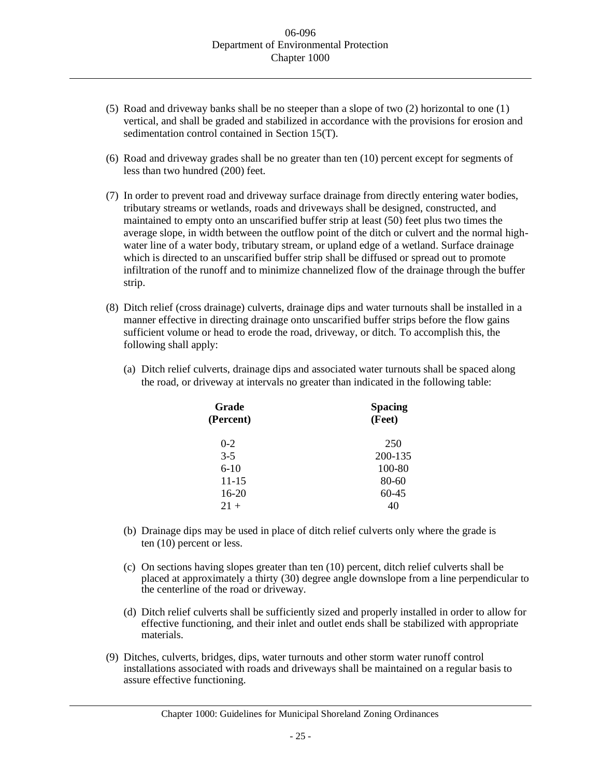- (5) Road and driveway banks shall be no steeper than a slope of two (2) horizontal to one (1) vertical, and shall be graded and stabilized in accordance with the provisions for erosion and sedimentation control contained in Section 15(T).
- (6) Road and driveway grades shall be no greater than ten (10) percent except for segments of less than two hundred (200) feet.
- (7) In order to prevent road and driveway surface drainage from directly entering water bodies, tributary streams or wetlands, roads and driveways shall be designed, constructed, and maintained to empty onto an unscarified buffer strip at least (50) feet plus two times the average slope, in width between the outflow point of the ditch or culvert and the normal highwater line of a water body, tributary stream, or upland edge of a wetland. Surface drainage which is directed to an unscarified buffer strip shall be diffused or spread out to promote infiltration of the runoff and to minimize channelized flow of the drainage through the buffer strip.
- (8) Ditch relief (cross drainage) culverts, drainage dips and water turnouts shall be installed in a manner effective in directing drainage onto unscarified buffer strips before the flow gains sufficient volume or head to erode the road, driveway, or ditch. To accomplish this, the following shall apply:
	- (a) Ditch relief culverts, drainage dips and associated water turnouts shall be spaced along the road, or driveway at intervals no greater than indicated in the following table:

| Grade<br>(Percent) | <b>Spacing</b><br>(Feet) |  |  |
|--------------------|--------------------------|--|--|
| $0 - 2$            | 250                      |  |  |
| $3-5$              | 200-135                  |  |  |
| $6-10$             | 100-80                   |  |  |
| $11 - 15$          | 80-60                    |  |  |
| $16-20$            | $60-45$                  |  |  |
| $21 +$             |                          |  |  |
|                    |                          |  |  |

- (b) Drainage dips may be used in place of ditch relief culverts only where the grade is ten (10) percent or less.
- (c) On sections having slopes greater than ten (10) percent, ditch relief culverts shall be placed at approximately a thirty (30) degree angle downslope from a line perpendicular to the centerline of the road or driveway.
- (d) Ditch relief culverts shall be sufficiently sized and properly installed in order to allow for effective functioning, and their inlet and outlet ends shall be stabilized with appropriate materials.
- (9) Ditches, culverts, bridges, dips, water turnouts and other storm water runoff control installations associated with roads and driveways shall be maintained on a regular basis to assure effective functioning.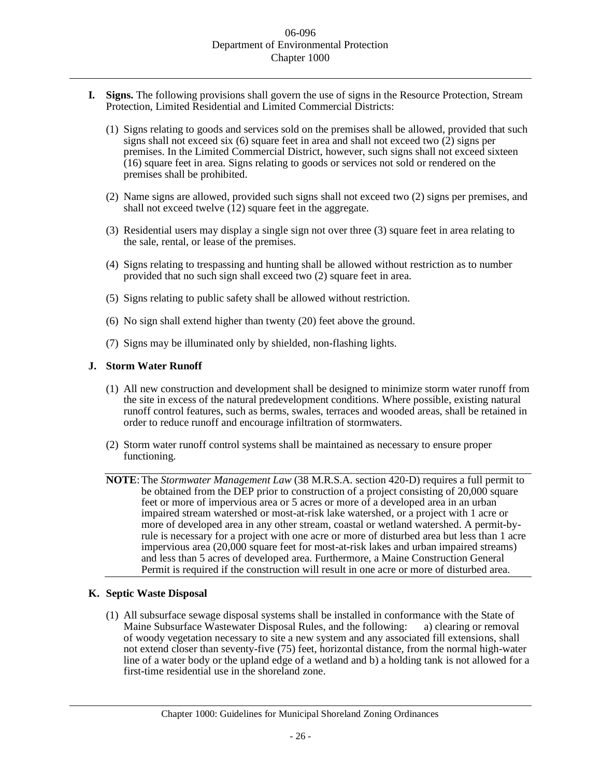- **I. Signs.** The following provisions shall govern the use of signs in the Resource Protection, Stream Protection, Limited Residential and Limited Commercial Districts:
	- (1) Signs relating to goods and services sold on the premises shall be allowed, provided that such signs shall not exceed six  $(6)$  square feet in area and shall not exceed two  $(2)$  signs per premises. In the Limited Commercial District, however, such signs shall not exceed sixteen (16) square feet in area. Signs relating to goods or services not sold or rendered on the premises shall be prohibited.
	- (2) Name signs are allowed, provided such signs shall not exceed two (2) signs per premises, and shall not exceed twelve  $(12)$  square feet in the aggregate.
	- (3) Residential users may display a single sign not over three (3) square feet in area relating to the sale, rental, or lease of the premises.
	- (4) Signs relating to trespassing and hunting shall be allowed without restriction as to number provided that no such sign shall exceed two (2) square feet in area.
	- (5) Signs relating to public safety shall be allowed without restriction.
	- (6) No sign shall extend higher than twenty (20) feet above the ground.
	- (7) Signs may be illuminated only by shielded, non-flashing lights.

#### **J. Storm Water Runoff**

- (1) All new construction and development shall be designed to minimize storm water runoff from the site in excess of the natural predevelopment conditions. Where possible, existing natural runoff control features, such as berms, swales, terraces and wooded areas, shall be retained in order to reduce runoff and encourage infiltration of stormwaters.
- (2) Storm water runoff control systems shall be maintained as necessary to ensure proper functioning.
- **NOTE**:The *Stormwater Management Law* (38 M.R.S.A. section 420-D) requires a full permit to be obtained from the DEP prior to construction of a project consisting of 20,000 square feet or more of impervious area or 5 acres or more of a developed area in an urban impaired stream watershed or most-at-risk lake watershed, or a project with 1 acre or more of developed area in any other stream, coastal or wetland watershed. A permit-byrule is necessary for a project with one acre or more of disturbed area but less than 1 acre impervious area (20,000 square feet for most-at-risk lakes and urban impaired streams) and less than 5 acres of developed area. Furthermore, a Maine Construction General Permit is required if the construction will result in one acre or more of disturbed area.

#### **K. Septic Waste Disposal**

(1) All subsurface sewage disposal systems shall be installed in conformance with the State of Maine Subsurface Wastewater Disposal Rules, and the following: a) clearing or removal of woody vegetation necessary to site a new system and any associated fill extensions, shall not extend closer than seventy-five (75) feet, horizontal distance, from the normal high-water line of a water body or the upland edge of a wetland and b) a holding tank is not allowed for a first-time residential use in the shoreland zone.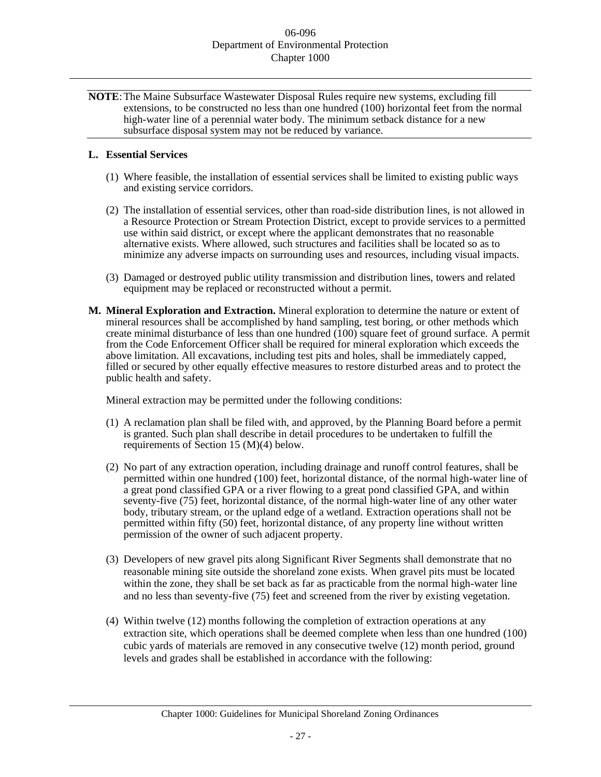**NOTE**:The Maine Subsurface Wastewater Disposal Rules require new systems, excluding fill extensions, to be constructed no less than one hundred (100) horizontal feet from the normal high-water line of a perennial water body. The minimum setback distance for a new subsurface disposal system may not be reduced by variance.

## **L. Essential Services**

- (1) Where feasible, the installation of essential services shall be limited to existing public ways and existing service corridors.
- (2) The installation of essential services, other than road-side distribution lines, is not allowed in a Resource Protection or Stream Protection District, except to provide services to a permitted use within said district, or except where the applicant demonstrates that no reasonable alternative exists. Where allowed, such structures and facilities shall be located so as to minimize any adverse impacts on surrounding uses and resources, including visual impacts.
- (3) Damaged or destroyed public utility transmission and distribution lines, towers and related equipment may be replaced or reconstructed without a permit.
- **M. Mineral Exploration and Extraction.** Mineral exploration to determine the nature or extent of mineral resources shall be accomplished by hand sampling, test boring, or other methods which create minimal disturbance of less than one hundred (100) square feet of ground surface. A permit from the Code Enforcement Officer shall be required for mineral exploration which exceeds the above limitation. All excavations, including test pits and holes, shall be immediately capped, filled or secured by other equally effective measures to restore disturbed areas and to protect the public health and safety.

Mineral extraction may be permitted under the following conditions:

- (1) A reclamation plan shall be filed with, and approved, by the Planning Board before a permit is granted. Such plan shall describe in detail procedures to be undertaken to fulfill the requirements of Section 15 (M)(4) below.
- (2) No part of any extraction operation, including drainage and runoff control features, shall be permitted within one hundred (100) feet, horizontal distance, of the normal high-water line of a great pond classified GPA or a river flowing to a great pond classified GPA, and within seventy-five (75) feet, horizontal distance, of the normal high-water line of any other water body, tributary stream, or the upland edge of a wetland. Extraction operations shall not be permitted within fifty (50) feet, horizontal distance, of any property line without written permission of the owner of such adjacent property.
- (3) Developers of new gravel pits along Significant River Segments shall demonstrate that no reasonable mining site outside the shoreland zone exists. When gravel pits must be located within the zone, they shall be set back as far as practicable from the normal high-water line and no less than seventy-five (75) feet and screened from the river by existing vegetation.
- (4) Within twelve (12) months following the completion of extraction operations at any extraction site, which operations shall be deemed complete when less than one hundred (100) cubic yards of materials are removed in any consecutive twelve (12) month period, ground levels and grades shall be established in accordance with the following: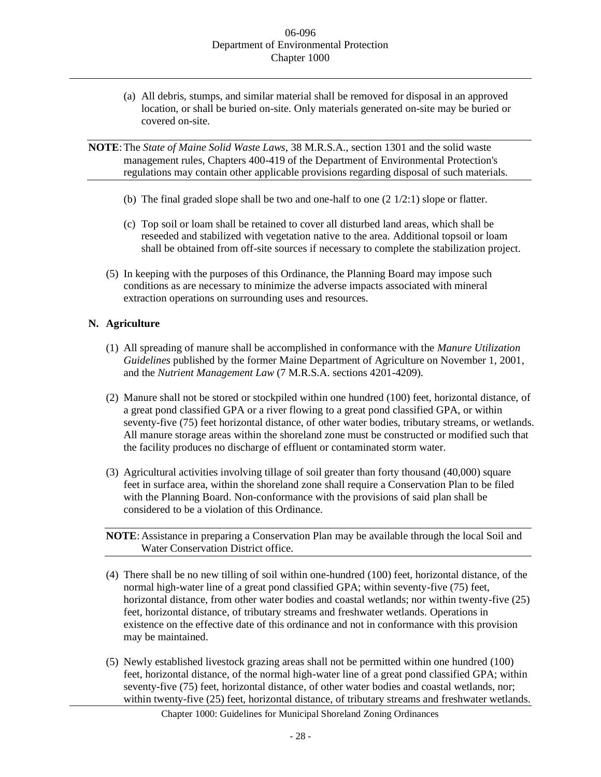(a) All debris, stumps, and similar material shall be removed for disposal in an approved location, or shall be buried on-site. Only materials generated on-site may be buried or covered on-site.

**NOTE**:The *State of Maine Solid Waste Laws*, 38 M.R.S.A., section 1301 and the solid waste management rules, Chapters 400-419 of the Department of Environmental Protection's regulations may contain other applicable provisions regarding disposal of such materials.

- (b) The final graded slope shall be two and one-half to one (2 1/2:1) slope or flatter.
- (c) Top soil or loam shall be retained to cover all disturbed land areas, which shall be reseeded and stabilized with vegetation native to the area. Additional topsoil or loam shall be obtained from off-site sources if necessary to complete the stabilization project.
- (5) In keeping with the purposes of this Ordinance, the Planning Board may impose such conditions as are necessary to minimize the adverse impacts associated with mineral extraction operations on surrounding uses and resources.

# **N. Agriculture**

- (1) All spreading of manure shall be accomplished in conformance with the *Manure Utilization Guidelines* published by the former Maine Department of Agriculture on November 1, 2001, and the *Nutrient Management Law* (7 M.R.S.A. sections 4201-4209).
- (2) Manure shall not be stored or stockpiled within one hundred (100) feet, horizontal distance, of a great pond classified GPA or a river flowing to a great pond classified GPA, or within seventy-five (75) feet horizontal distance, of other water bodies, tributary streams, or wetlands. All manure storage areas within the shoreland zone must be constructed or modified such that the facility produces no discharge of effluent or contaminated storm water.
- (3) Agricultural activities involving tillage of soil greater than forty thousand (40,000) square feet in surface area, within the shoreland zone shall require a Conservation Plan to be filed with the Planning Board. Non-conformance with the provisions of said plan shall be considered to be a violation of this Ordinance.

**NOTE**:Assistance in preparing a Conservation Plan may be available through the local Soil and Water Conservation District office.

- (4) There shall be no new tilling of soil within one-hundred (100) feet, horizontal distance, of the normal high-water line of a great pond classified GPA; within seventy-five (75) feet, horizontal distance, from other water bodies and coastal wetlands; nor within twenty-five (25) feet, horizontal distance, of tributary streams and freshwater wetlands. Operations in existence on the effective date of this ordinance and not in conformance with this provision may be maintained.
- (5) Newly established livestock grazing areas shall not be permitted within one hundred (100) feet, horizontal distance, of the normal high-water line of a great pond classified GPA; within seventy-five (75) feet, horizontal distance, of other water bodies and coastal wetlands, nor; within twenty-five (25) feet, horizontal distance, of tributary streams and freshwater wetlands.

Chapter 1000: Guidelines for Municipal Shoreland Zoning Ordinances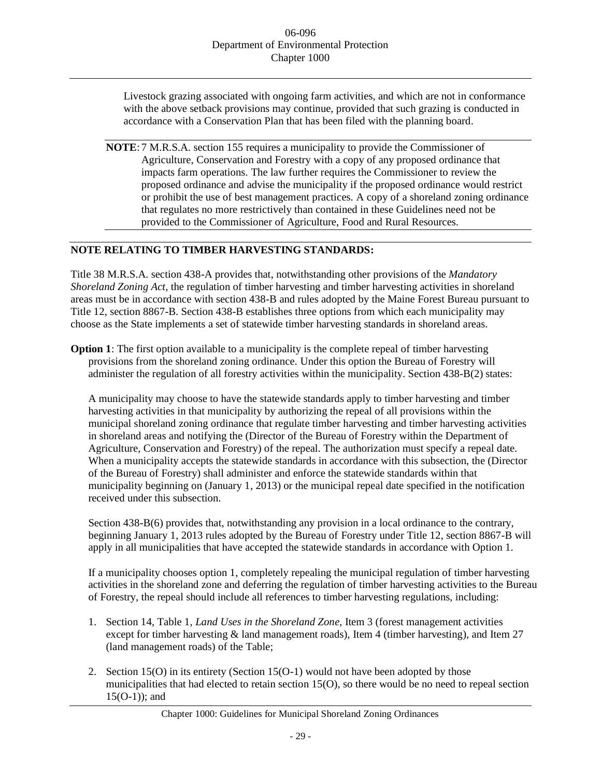Livestock grazing associated with ongoing farm activities, and which are not in conformance with the above setback provisions may continue, provided that such grazing is conducted in accordance with a Conservation Plan that has been filed with the planning board.

**NOTE**: 7 M.R.S.A. section 155 requires a municipality to provide the Commissioner of Agriculture, Conservation and Forestry with a copy of any proposed ordinance that impacts farm operations. The law further requires the Commissioner to review the proposed ordinance and advise the municipality if the proposed ordinance would restrict or prohibit the use of best management practices. A copy of a shoreland zoning ordinance that regulates no more restrictively than contained in these Guidelines need not be provided to the Commissioner of Agriculture, Food and Rural Resources.

# **NOTE RELATING TO TIMBER HARVESTING STANDARDS:**

Title 38 M.R.S.A. section 438-A provides that, notwithstanding other provisions of the *Mandatory Shoreland Zoning Act*, the regulation of timber harvesting and timber harvesting activities in shoreland areas must be in accordance with section 438-B and rules adopted by the Maine Forest Bureau pursuant to Title 12, section 8867-B. Section 438-B establishes three options from which each municipality may choose as the State implements a set of statewide timber harvesting standards in shoreland areas.

**Option 1**: The first option available to a municipality is the complete repeal of timber harvesting provisions from the shoreland zoning ordinance. Under this option the Bureau of Forestry will administer the regulation of all forestry activities within the municipality. Section 438-B(2) states:

A municipality may choose to have the statewide standards apply to timber harvesting and timber harvesting activities in that municipality by authorizing the repeal of all provisions within the municipal shoreland zoning ordinance that regulate timber harvesting and timber harvesting activities in shoreland areas and notifying the (Director of the Bureau of Forestry within the Department of Agriculture, Conservation and Forestry) of the repeal. The authorization must specify a repeal date. When a municipality accepts the statewide standards in accordance with this subsection, the (Director of the Bureau of Forestry) shall administer and enforce the statewide standards within that municipality beginning on (January 1, 2013) or the municipal repeal date specified in the notification received under this subsection.

Section 438-B(6) provides that, notwithstanding any provision in a local ordinance to the contrary, beginning January 1, 2013 rules adopted by the Bureau of Forestry under Title 12, section 8867-B will apply in all municipalities that have accepted the statewide standards in accordance with Option 1.

If a municipality chooses option 1, completely repealing the municipal regulation of timber harvesting activities in the shoreland zone and deferring the regulation of timber harvesting activities to the Bureau of Forestry, the repeal should include all references to timber harvesting regulations, including:

- 1. Section 14, Table 1, *Land Uses in the Shoreland Zone,* Item 3 (forest management activities except for timber harvesting  $\&$  land management roads), Item 4 (timber harvesting), and Item 27 (land management roads) of the Table;
- 2. Section 15(O) in its entirety (Section 15(O-1) would not have been adopted by those municipalities that had elected to retain section 15(O), so there would be no need to repeal section 15(O-1)); and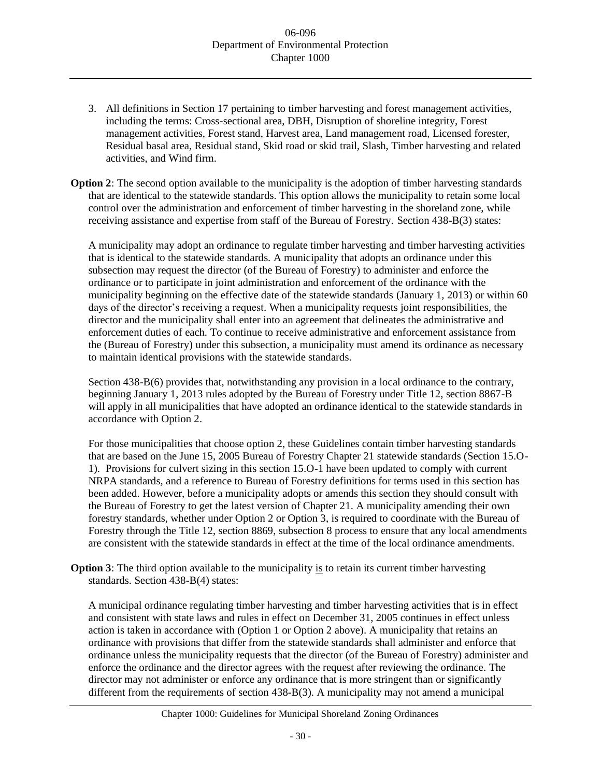3. All definitions in Section 17 pertaining to timber harvesting and forest management activities, including the terms: Cross-sectional area, DBH, Disruption of shoreline integrity, Forest management activities, Forest stand, Harvest area, Land management road, Licensed forester, Residual basal area, Residual stand, Skid road or skid trail, Slash, Timber harvesting and related activities, and Wind firm.

**Option 2**: The second option available to the municipality is the adoption of timber harvesting standards that are identical to the statewide standards. This option allows the municipality to retain some local control over the administration and enforcement of timber harvesting in the shoreland zone, while receiving assistance and expertise from staff of the Bureau of Forestry. Section 438-B(3) states:

A municipality may adopt an ordinance to regulate timber harvesting and timber harvesting activities that is identical to the statewide standards. A municipality that adopts an ordinance under this subsection may request the director (of the Bureau of Forestry) to administer and enforce the ordinance or to participate in joint administration and enforcement of the ordinance with the municipality beginning on the effective date of the statewide standards (January 1, 2013) or within 60 days of the director's receiving a request. When a municipality requests joint responsibilities, the director and the municipality shall enter into an agreement that delineates the administrative and enforcement duties of each. To continue to receive administrative and enforcement assistance from the (Bureau of Forestry) under this subsection, a municipality must amend its ordinance as necessary to maintain identical provisions with the statewide standards.

Section 438-B(6) provides that, notwithstanding any provision in a local ordinance to the contrary, beginning January 1, 2013 rules adopted by the Bureau of Forestry under Title 12, section 8867-B will apply in all municipalities that have adopted an ordinance identical to the statewide standards in accordance with Option 2.

For those municipalities that choose option 2, these Guidelines contain timber harvesting standards that are based on the June 15, 2005 Bureau of Forestry Chapter 21 statewide standards (Section 15.O-1). Provisions for culvert sizing in this section 15.O-1 have been updated to comply with current NRPA standards, and a reference to Bureau of Forestry definitions for terms used in this section has been added. However, before a municipality adopts or amends this section they should consult with the Bureau of Forestry to get the latest version of Chapter 21. A municipality amending their own forestry standards, whether under Option 2 or Option 3, is required to coordinate with the Bureau of Forestry through the Title 12, section 8869, subsection 8 process to ensure that any local amendments are consistent with the statewide standards in effect at the time of the local ordinance amendments.

**Option 3**: The third option available to the municipality is to retain its current timber harvesting standards. Section 438-B(4) states:

A municipal ordinance regulating timber harvesting and timber harvesting activities that is in effect and consistent with state laws and rules in effect on December 31, 2005 continues in effect unless action is taken in accordance with (Option 1 or Option 2 above). A municipality that retains an ordinance with provisions that differ from the statewide standards shall administer and enforce that ordinance unless the municipality requests that the director (of the Bureau of Forestry) administer and enforce the ordinance and the director agrees with the request after reviewing the ordinance. The director may not administer or enforce any ordinance that is more stringent than or significantly different from the requirements of section 438-B(3). A municipality may not amend a municipal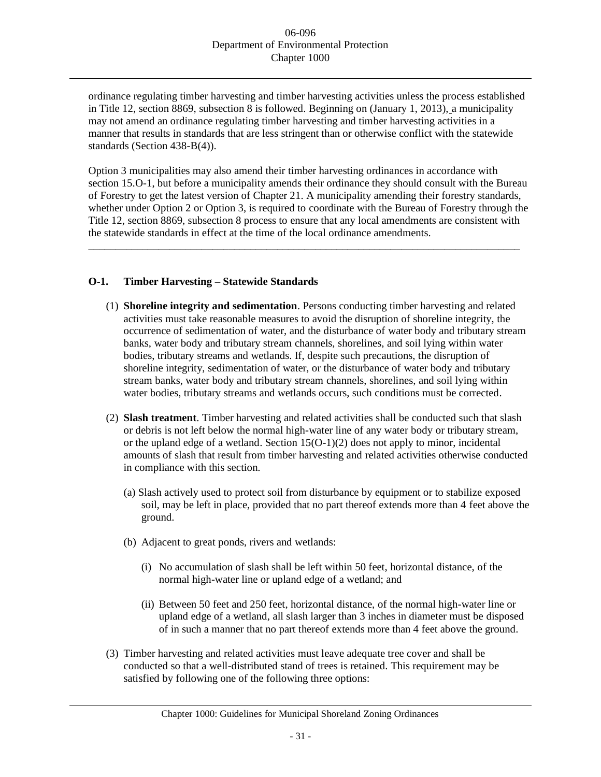ordinance regulating timber harvesting and timber harvesting activities unless the process established in Title 12, section 8869, subsection 8 is followed. Beginning on (January 1, 2013), a municipality may not amend an ordinance regulating timber harvesting and timber harvesting activities in a manner that results in standards that are less stringent than or otherwise conflict with the statewide standards (Section 438-B(4)).

Option 3 municipalities may also amend their timber harvesting ordinances in accordance with section 15.O-1, but before a municipality amends their ordinance they should consult with the Bureau of Forestry to get the latest version of Chapter 21. A municipality amending their forestry standards, whether under Option 2 or Option 3, is required to coordinate with the Bureau of Forestry through the Title 12, section 8869, subsection 8 process to ensure that any local amendments are consistent with the statewide standards in effect at the time of the local ordinance amendments.

\_\_\_\_\_\_\_\_\_\_\_\_\_\_\_\_\_\_\_\_\_\_\_\_\_\_\_\_\_\_\_\_\_\_\_\_\_\_\_\_\_\_\_\_\_\_\_\_\_\_\_\_\_\_\_\_\_\_\_\_\_\_\_\_\_\_\_\_\_\_\_\_\_\_\_\_\_\_\_\_

# **O-1. Timber Harvesting – Statewide Standards**

- (1) **Shoreline integrity and sedimentation**. Persons conducting timber harvesting and related activities must take reasonable measures to avoid the disruption of shoreline integrity, the occurrence of sedimentation of water, and the disturbance of water body and tributary stream banks, water body and tributary stream channels, shorelines, and soil lying within water bodies, tributary streams and wetlands. If, despite such precautions, the disruption of shoreline integrity, sedimentation of water, or the disturbance of water body and tributary stream banks, water body and tributary stream channels, shorelines, and soil lying within water bodies, tributary streams and wetlands occurs, such conditions must be corrected.
- (2) **Slash treatment**. Timber harvesting and related activities shall be conducted such that slash or debris is not left below the normal high-water line of any water body or tributary stream, or the upland edge of a wetland. Section  $15(O-1)(2)$  does not apply to minor, incidental amounts of slash that result from timber harvesting and related activities otherwise conducted in compliance with this section.
	- (a) Slash actively used to protect soil from disturbance by equipment or to stabilize exposed soil, may be left in place, provided that no part thereof extends more than 4 feet above the ground.
	- (b) Adjacent to great ponds, rivers and wetlands:
		- (i) No accumulation of slash shall be left within 50 feet, horizontal distance, of the normal high-water line or upland edge of a wetland; and
		- (ii) Between 50 feet and 250 feet, horizontal distance, of the normal high-water line or upland edge of a wetland, all slash larger than 3 inches in diameter must be disposed of in such a manner that no part thereof extends more than 4 feet above the ground.
- (3) Timber harvesting and related activities must leave adequate tree cover and shall be conducted so that a well-distributed stand of trees is retained. This requirement may be satisfied by following one of the following three options: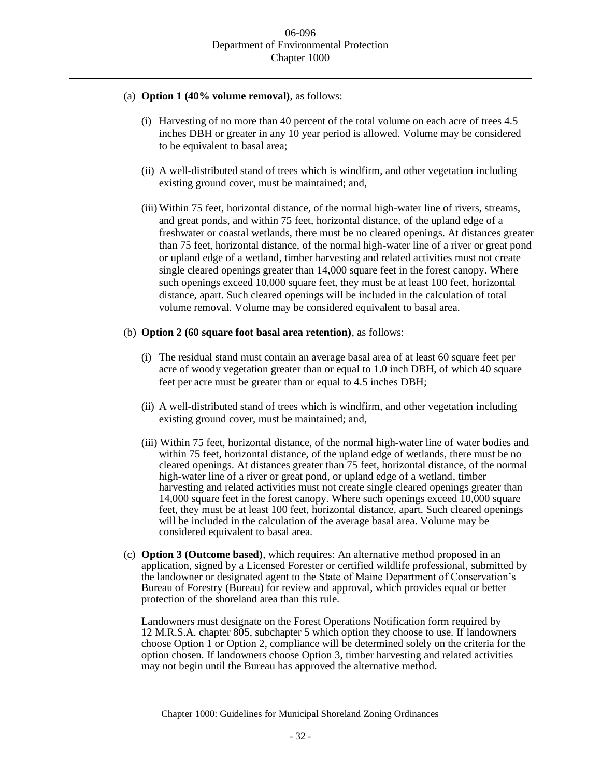- (a) **Option 1 (40% volume removal)**, as follows:
	- (i) Harvesting of no more than 40 percent of the total volume on each acre of trees 4.5 inches DBH or greater in any 10 year period is allowed. Volume may be considered to be equivalent to basal area;
	- (ii) A well-distributed stand of trees which is windfirm, and other vegetation including existing ground cover, must be maintained; and,
	- (iii) Within 75 feet, horizontal distance, of the normal high-water line of rivers, streams, and great ponds, and within 75 feet, horizontal distance, of the upland edge of a freshwater or coastal wetlands, there must be no cleared openings. At distances greater than 75 feet, horizontal distance, of the normal high-water line of a river or great pond or upland edge of a wetland, timber harvesting and related activities must not create single cleared openings greater than 14,000 square feet in the forest canopy. Where such openings exceed 10,000 square feet, they must be at least 100 feet, horizontal distance, apart. Such cleared openings will be included in the calculation of total volume removal. Volume may be considered equivalent to basal area.
- (b) **Option 2 (60 square foot basal area retention)**, as follows:
	- (i) The residual stand must contain an average basal area of at least 60 square feet per acre of woody vegetation greater than or equal to 1.0 inch DBH, of which 40 square feet per acre must be greater than or equal to 4.5 inches DBH;
	- (ii) A well-distributed stand of trees which is windfirm, and other vegetation including existing ground cover, must be maintained; and,
	- (iii) Within 75 feet, horizontal distance, of the normal high-water line of water bodies and within 75 feet, horizontal distance, of the upland edge of wetlands, there must be no cleared openings. At distances greater than 75 feet, horizontal distance, of the normal high-water line of a river or great pond, or upland edge of a wetland, timber harvesting and related activities must not create single cleared openings greater than 14,000 square feet in the forest canopy. Where such openings exceed 10,000 square feet, they must be at least 100 feet, horizontal distance, apart. Such cleared openings will be included in the calculation of the average basal area. Volume may be considered equivalent to basal area.
- (c) **Option 3 (Outcome based)**, which requires: An alternative method proposed in an application, signed by a Licensed Forester or certified wildlife professional, submitted by the landowner or designated agent to the State of Maine Department of Conservation's Bureau of Forestry (Bureau) for review and approval, which provides equal or better protection of the shoreland area than this rule.

Landowners must designate on the Forest Operations Notification form required by 12 M.R.S.A. chapter 805, subchapter 5 which option they choose to use. If landowners choose Option 1 or Option 2, compliance will be determined solely on the criteria for the option chosen. If landowners choose Option 3, timber harvesting and related activities may not begin until the Bureau has approved the alternative method.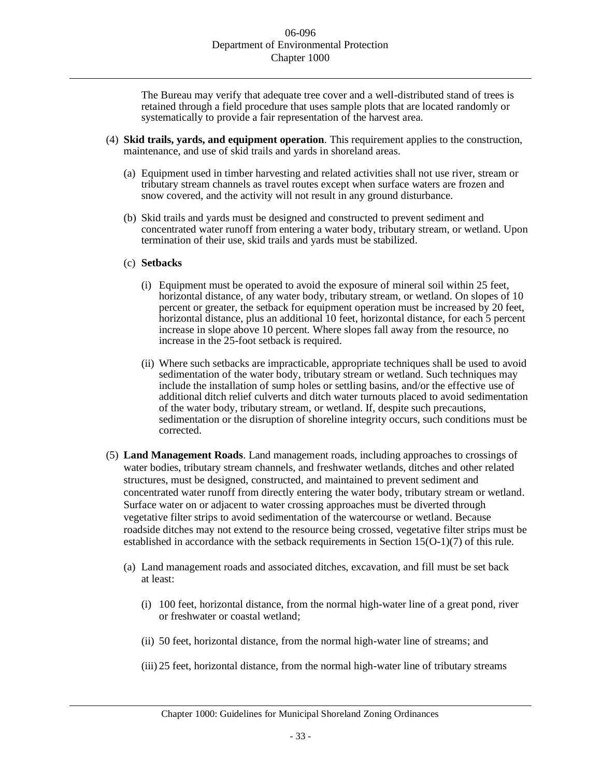The Bureau may verify that adequate tree cover and a well-distributed stand of trees is retained through a field procedure that uses sample plots that are located randomly or systematically to provide a fair representation of the harvest area.

- (4) **Skid trails, yards, and equipment operation**. This requirement applies to the construction, maintenance, and use of skid trails and yards in shoreland areas.
	- (a) Equipment used in timber harvesting and related activities shall not use river, stream or tributary stream channels as travel routes except when surface waters are frozen and snow covered, and the activity will not result in any ground disturbance.
	- (b) Skid trails and yards must be designed and constructed to prevent sediment and concentrated water runoff from entering a water body, tributary stream, or wetland. Upon termination of their use, skid trails and yards must be stabilized.

#### (c) **Setbacks**

- (i) Equipment must be operated to avoid the exposure of mineral soil within 25 feet, horizontal distance, of any water body, tributary stream, or wetland. On slopes of 10 percent or greater, the setback for equipment operation must be increased by 20 feet, horizontal distance, plus an additional 10 feet, horizontal distance, for each 5 percent increase in slope above 10 percent. Where slopes fall away from the resource, no increase in the 25-foot setback is required.
- (ii) Where such setbacks are impracticable, appropriate techniques shall be used to avoid sedimentation of the water body, tributary stream or wetland. Such techniques may include the installation of sump holes or settling basins, and/or the effective use of additional ditch relief culverts and ditch water turnouts placed to avoid sedimentation of the water body, tributary stream, or wetland. If, despite such precautions, sedimentation or the disruption of shoreline integrity occurs, such conditions must be corrected.
- (5) **Land Management Roads**. Land management roads, including approaches to crossings of water bodies, tributary stream channels, and freshwater wetlands, ditches and other related structures, must be designed, constructed, and maintained to prevent sediment and concentrated water runoff from directly entering the water body, tributary stream or wetland. Surface water on or adjacent to water crossing approaches must be diverted through vegetative filter strips to avoid sedimentation of the watercourse or wetland. Because roadside ditches may not extend to the resource being crossed, vegetative filter strips must be established in accordance with the setback requirements in Section 15(O-1)(7) of this rule.
	- (a) Land management roads and associated ditches, excavation, and fill must be set back at least:
		- (i) 100 feet, horizontal distance, from the normal high-water line of a great pond, river or freshwater or coastal wetland;
		- (ii) 50 feet, horizontal distance, from the normal high-water line of streams; and
		- (iii) 25 feet, horizontal distance, from the normal high-water line of tributary streams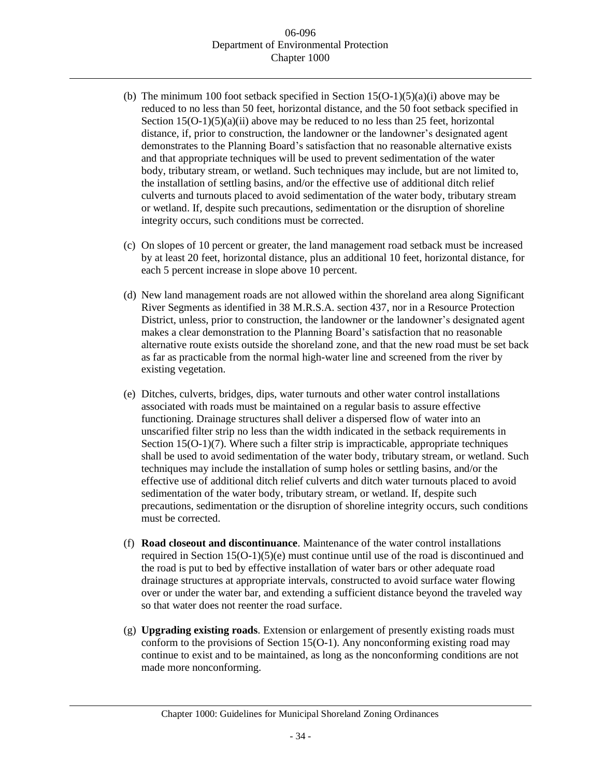- (b) The minimum 100 foot setback specified in Section  $15(O-1)(5)(a)(i)$  above may be reduced to no less than 50 feet, horizontal distance, and the 50 foot setback specified in Section  $15(O-1)(5)(a)(ii)$  above may be reduced to no less than 25 feet, horizontal distance, if, prior to construction, the landowner or the landowner's designated agent demonstrates to the Planning Board's satisfaction that no reasonable alternative exists and that appropriate techniques will be used to prevent sedimentation of the water body, tributary stream, or wetland. Such techniques may include, but are not limited to, the installation of settling basins, and/or the effective use of additional ditch relief culverts and turnouts placed to avoid sedimentation of the water body, tributary stream or wetland. If, despite such precautions, sedimentation or the disruption of shoreline integrity occurs, such conditions must be corrected.
- (c) On slopes of 10 percent or greater, the land management road setback must be increased by at least 20 feet, horizontal distance, plus an additional 10 feet, horizontal distance, for each 5 percent increase in slope above 10 percent.
- (d) New land management roads are not allowed within the shoreland area along Significant River Segments as identified in 38 M.R.S.A. section 437, nor in a Resource Protection District, unless, prior to construction, the landowner or the landowner's designated agent makes a clear demonstration to the Planning Board's satisfaction that no reasonable alternative route exists outside the shoreland zone, and that the new road must be set back as far as practicable from the normal high-water line and screened from the river by existing vegetation.
- (e) Ditches, culverts, bridges, dips, water turnouts and other water control installations associated with roads must be maintained on a regular basis to assure effective functioning. Drainage structures shall deliver a dispersed flow of water into an unscarified filter strip no less than the width indicated in the setback requirements in Section 15(O-1)(7). Where such a filter strip is impracticable, appropriate techniques shall be used to avoid sedimentation of the water body, tributary stream, or wetland. Such techniques may include the installation of sump holes or settling basins, and/or the effective use of additional ditch relief culverts and ditch water turnouts placed to avoid sedimentation of the water body, tributary stream, or wetland. If, despite such precautions, sedimentation or the disruption of shoreline integrity occurs, such conditions must be corrected.
- (f) **Road closeout and discontinuance**. Maintenance of the water control installations required in Section 15(O-1)(5)(e) must continue until use of the road is discontinued and the road is put to bed by effective installation of water bars or other adequate road drainage structures at appropriate intervals, constructed to avoid surface water flowing over or under the water bar, and extending a sufficient distance beyond the traveled way so that water does not reenter the road surface.
- (g) **Upgrading existing roads**. Extension or enlargement of presently existing roads must conform to the provisions of Section  $15(O-1)$ . Any nonconforming existing road may continue to exist and to be maintained, as long as the nonconforming conditions are not made more nonconforming.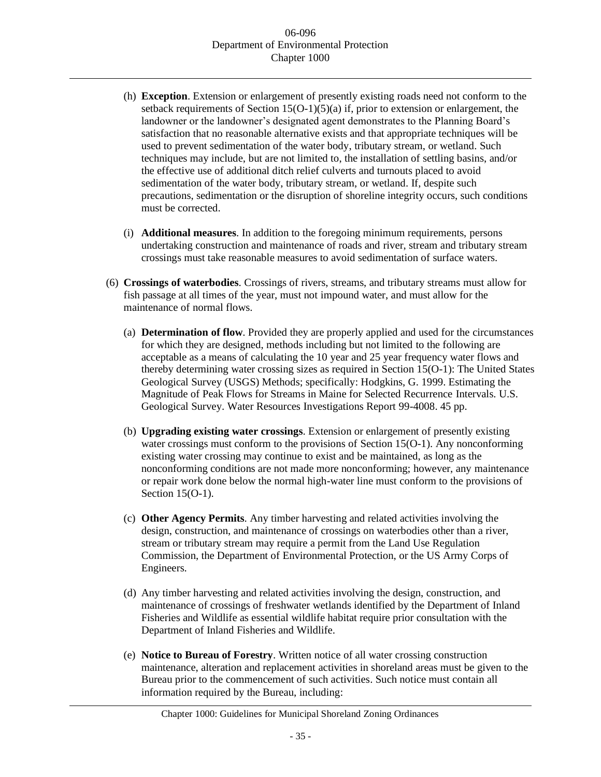- (h) **Exception**. Extension or enlargement of presently existing roads need not conform to the setback requirements of Section  $15(O-1)(5)(a)$  if, prior to extension or enlargement, the landowner or the landowner's designated agent demonstrates to the Planning Board's satisfaction that no reasonable alternative exists and that appropriate techniques will be used to prevent sedimentation of the water body, tributary stream, or wetland. Such techniques may include, but are not limited to, the installation of settling basins, and/or the effective use of additional ditch relief culverts and turnouts placed to avoid sedimentation of the water body, tributary stream, or wetland. If, despite such precautions, sedimentation or the disruption of shoreline integrity occurs, such conditions must be corrected.
- (i) **Additional measures**. In addition to the foregoing minimum requirements, persons undertaking construction and maintenance of roads and river, stream and tributary stream crossings must take reasonable measures to avoid sedimentation of surface waters.
- (6) **Crossings of waterbodies**. Crossings of rivers, streams, and tributary streams must allow for fish passage at all times of the year, must not impound water, and must allow for the maintenance of normal flows.
	- (a) **Determination of flow**. Provided they are properly applied and used for the circumstances for which they are designed, methods including but not limited to the following are acceptable as a means of calculating the 10 year and 25 year frequency water flows and thereby determining water crossing sizes as required in Section 15(O-1): The United States Geological Survey (USGS) Methods; specifically: Hodgkins, G. 1999. Estimating the Magnitude of Peak Flows for Streams in Maine for Selected Recurrence Intervals. U.S. Geological Survey. Water Resources Investigations Report 99-4008. 45 pp.
	- (b) **Upgrading existing water crossings**. Extension or enlargement of presently existing water crossings must conform to the provisions of Section 15(O-1). Any nonconforming existing water crossing may continue to exist and be maintained, as long as the nonconforming conditions are not made more nonconforming; however, any maintenance or repair work done below the normal high-water line must conform to the provisions of Section 15(O-1).
	- (c) **Other Agency Permits**. Any timber harvesting and related activities involving the design, construction, and maintenance of crossings on waterbodies other than a river, stream or tributary stream may require a permit from the Land Use Regulation Commission, the Department of Environmental Protection, or the US Army Corps of Engineers.
	- (d) Any timber harvesting and related activities involving the design, construction, and maintenance of crossings of freshwater wetlands identified by the Department of Inland Fisheries and Wildlife as essential wildlife habitat require prior consultation with the Department of Inland Fisheries and Wildlife.
	- (e) **Notice to Bureau of Forestry**. Written notice of all water crossing construction maintenance, alteration and replacement activities in shoreland areas must be given to the Bureau prior to the commencement of such activities. Such notice must contain all information required by the Bureau, including: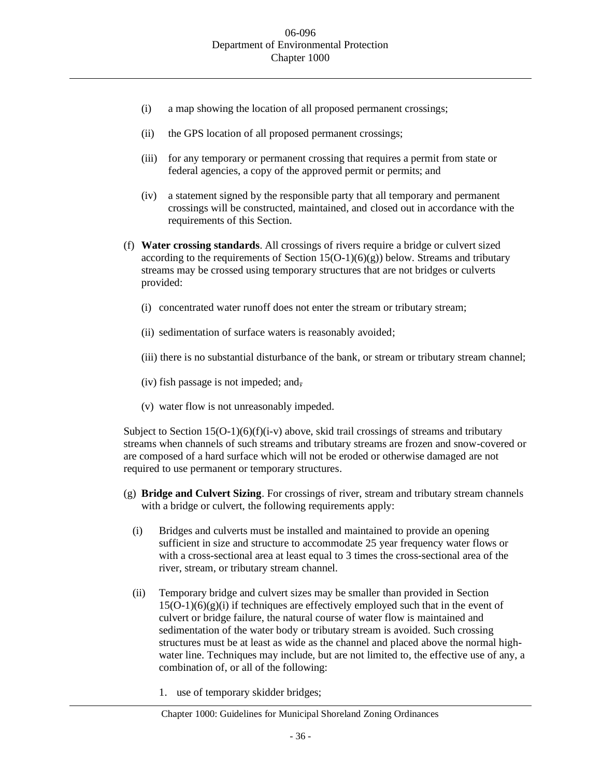- (i) a map showing the location of all proposed permanent crossings;
- (ii) the GPS location of all proposed permanent crossings;
- (iii) for any temporary or permanent crossing that requires a permit from state or federal agencies, a copy of the approved permit or permits; and
- (iv) a statement signed by the responsible party that all temporary and permanent crossings will be constructed, maintained, and closed out in accordance with the requirements of this Section.
- (f) **Water crossing standards**. All crossings of rivers require a bridge or culvert sized according to the requirements of Section  $15(O-1)(6)(g)$ ) below. Streams and tributary streams may be crossed using temporary structures that are not bridges or culverts provided:
	- (i) concentrated water runoff does not enter the stream or tributary stream;
	- (ii) sedimentation of surface waters is reasonably avoided;
	- (iii) there is no substantial disturbance of the bank, or stream or tributary stream channel;
	- (iv) fish passage is not impeded; and,
	- (v) water flow is not unreasonably impeded.

Subject to Section  $15(O-1)(6)(f)(i-v)$  above, skid trail crossings of streams and tributary streams when channels of such streams and tributary streams are frozen and snow-covered or are composed of a hard surface which will not be eroded or otherwise damaged are not required to use permanent or temporary structures.

- (g) **Bridge and Culvert Sizing**. For crossings of river, stream and tributary stream channels with a bridge or culvert, the following requirements apply:
	- (i) Bridges and culverts must be installed and maintained to provide an opening sufficient in size and structure to accommodate 25 year frequency water flows or with a cross-sectional area at least equal to 3 times the cross-sectional area of the river, stream, or tributary stream channel.
	- (ii) Temporary bridge and culvert sizes may be smaller than provided in Section  $15(O-1)(6)(g)(i)$  if techniques are effectively employed such that in the event of culvert or bridge failure, the natural course of water flow is maintained and sedimentation of the water body or tributary stream is avoided. Such crossing structures must be at least as wide as the channel and placed above the normal highwater line. Techniques may include, but are not limited to, the effective use of any, a combination of, or all of the following:
		- 1. use of temporary skidder bridges;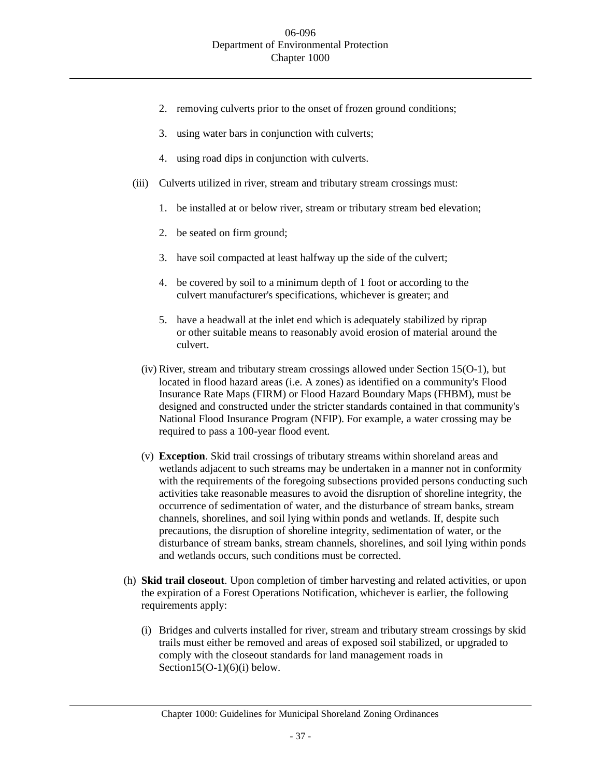- 2. removing culverts prior to the onset of frozen ground conditions;
- 3. using water bars in conjunction with culverts;
- 4. using road dips in conjunction with culverts.
- (iii) Culverts utilized in river, stream and tributary stream crossings must:
	- 1. be installed at or below river, stream or tributary stream bed elevation;
	- 2. be seated on firm ground;
	- 3. have soil compacted at least halfway up the side of the culvert;
	- 4. be covered by soil to a minimum depth of 1 foot or according to the culvert manufacturer's specifications, whichever is greater; and
	- 5. have a headwall at the inlet end which is adequately stabilized by riprap or other suitable means to reasonably avoid erosion of material around the culvert.
	- (iv) River, stream and tributary stream crossings allowed under Section 15(O-1), but located in flood hazard areas (i.e. A zones) as identified on a community's Flood Insurance Rate Maps (FIRM) or Flood Hazard Boundary Maps (FHBM), must be designed and constructed under the stricter standards contained in that community's National Flood Insurance Program (NFIP). For example, a water crossing may be required to pass a 100-year flood event.
	- (v) **Exception**. Skid trail crossings of tributary streams within shoreland areas and wetlands adjacent to such streams may be undertaken in a manner not in conformity with the requirements of the foregoing subsections provided persons conducting such activities take reasonable measures to avoid the disruption of shoreline integrity, the occurrence of sedimentation of water, and the disturbance of stream banks, stream channels, shorelines, and soil lying within ponds and wetlands. If, despite such precautions, the disruption of shoreline integrity, sedimentation of water, or the disturbance of stream banks, stream channels, shorelines, and soil lying within ponds and wetlands occurs, such conditions must be corrected.
- (h) **Skid trail closeout**. Upon completion of timber harvesting and related activities, or upon the expiration of a Forest Operations Notification, whichever is earlier, the following requirements apply:
	- (i) Bridges and culverts installed for river, stream and tributary stream crossings by skid trails must either be removed and areas of exposed soil stabilized, or upgraded to comply with the closeout standards for land management roads in Section15(O-1)(6)(i) below.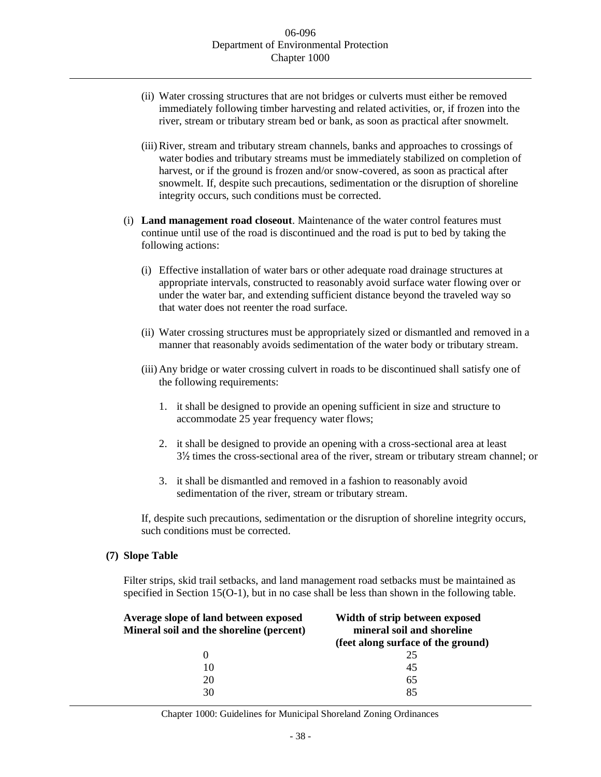- (ii) Water crossing structures that are not bridges or culverts must either be removed immediately following timber harvesting and related activities, or, if frozen into the river, stream or tributary stream bed or bank, as soon as practical after snowmelt.
- (iii)River, stream and tributary stream channels, banks and approaches to crossings of water bodies and tributary streams must be immediately stabilized on completion of harvest, or if the ground is frozen and/or snow-covered, as soon as practical after snowmelt. If, despite such precautions, sedimentation or the disruption of shoreline integrity occurs, such conditions must be corrected.
- (i) **Land management road closeout**. Maintenance of the water control features must continue until use of the road is discontinued and the road is put to bed by taking the following actions:
	- (i) Effective installation of water bars or other adequate road drainage structures at appropriate intervals, constructed to reasonably avoid surface water flowing over or under the water bar, and extending sufficient distance beyond the traveled way so that water does not reenter the road surface.
	- (ii) Water crossing structures must be appropriately sized or dismantled and removed in a manner that reasonably avoids sedimentation of the water body or tributary stream.
	- (iii) Any bridge or water crossing culvert in roads to be discontinued shall satisfy one of the following requirements:
		- 1. it shall be designed to provide an opening sufficient in size and structure to accommodate 25 year frequency water flows;
		- 2. it shall be designed to provide an opening with a cross-sectional area at least 3½ times the cross-sectional area of the river, stream or tributary stream channel; or
		- 3. it shall be dismantled and removed in a fashion to reasonably avoid sedimentation of the river, stream or tributary stream.

If, despite such precautions, sedimentation or the disruption of shoreline integrity occurs, such conditions must be corrected.

## **(7) Slope Table**

Filter strips, skid trail setbacks, and land management road setbacks must be maintained as specified in Section 15(O-1), but in no case shall be less than shown in the following table.

| Average slope of land between exposed<br>Mineral soil and the shoreline (percent) | Width of strip between exposed<br>mineral soil and shoreline |  |  |
|-----------------------------------------------------------------------------------|--------------------------------------------------------------|--|--|
|                                                                                   | (feet along surface of the ground)                           |  |  |
| 0                                                                                 | 25                                                           |  |  |
| 10                                                                                | 45                                                           |  |  |
| 20                                                                                | 65                                                           |  |  |
| 30                                                                                | 85                                                           |  |  |
|                                                                                   |                                                              |  |  |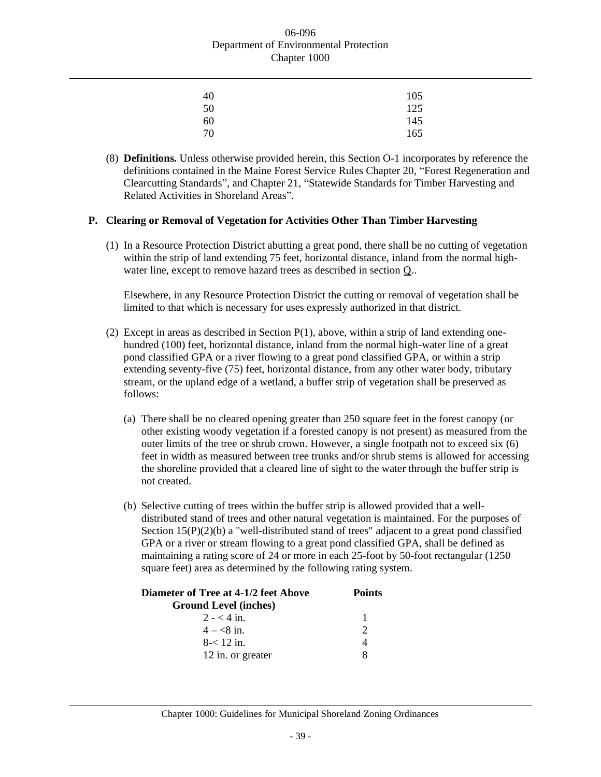| 40 | 105 |
|----|-----|
| 50 | 125 |
| 60 | 145 |
| 70 | 165 |

(8) **Definitions.** Unless otherwise provided herein, this Section O-1 incorporates by reference the definitions contained in the Maine Forest Service Rules Chapter 20, "Forest Regeneration and Clearcutting Standards", and Chapter 21, "Statewide Standards for Timber Harvesting and Related Activities in Shoreland Areas".

## **P. Clearing or Removal of Vegetation for Activities Other Than Timber Harvesting**

(1) In a Resource Protection District abutting a great pond, there shall be no cutting of vegetation within the strip of land extending 75 feet, horizontal distance, inland from the normal highwater line, except to remove hazard trees as described in section Q..

Elsewhere, in any Resource Protection District the cutting or removal of vegetation shall be limited to that which is necessary for uses expressly authorized in that district.

- (2) Except in areas as described in Section  $P(1)$ , above, within a strip of land extending onehundred (100) feet, horizontal distance, inland from the normal high-water line of a great pond classified GPA or a river flowing to a great pond classified GPA, or within a strip extending seventy-five (75) feet, horizontal distance, from any other water body, tributary stream, or the upland edge of a wetland, a buffer strip of vegetation shall be preserved as follows:
	- (a) There shall be no cleared opening greater than 250 square feet in the forest canopy (or other existing woody vegetation if a forested canopy is not present) as measured from the outer limits of the tree or shrub crown. However, a single footpath not to exceed six (6) feet in width as measured between tree trunks and/or shrub stems is allowed for accessing the shoreline provided that a cleared line of sight to the water through the buffer strip is not created.
	- (b) Selective cutting of trees within the buffer strip is allowed provided that a welldistributed stand of trees and other natural vegetation is maintained. For the purposes of Section  $15(P)(2)(b)$  a "well-distributed stand of trees" adjacent to a great pond classified GPA or a river or stream flowing to a great pond classified GPA, shall be defined as maintaining a rating score of 24 or more in each 25-foot by 50-foot rectangular (1250 square feet) area as determined by the following rating system.

| <b>Diameter of Tree at 4-1/2 feet Above</b> | <b>Points</b> |  |
|---------------------------------------------|---------------|--|
| <b>Ground Level (inches)</b>                |               |  |
| $2 - 4$ in.                                 |               |  |
| $4 - 8i$ in.                                | $\mathcal{D}$ |  |
| $8 - 12$ in.                                |               |  |
| 12 in. or greater                           | 8             |  |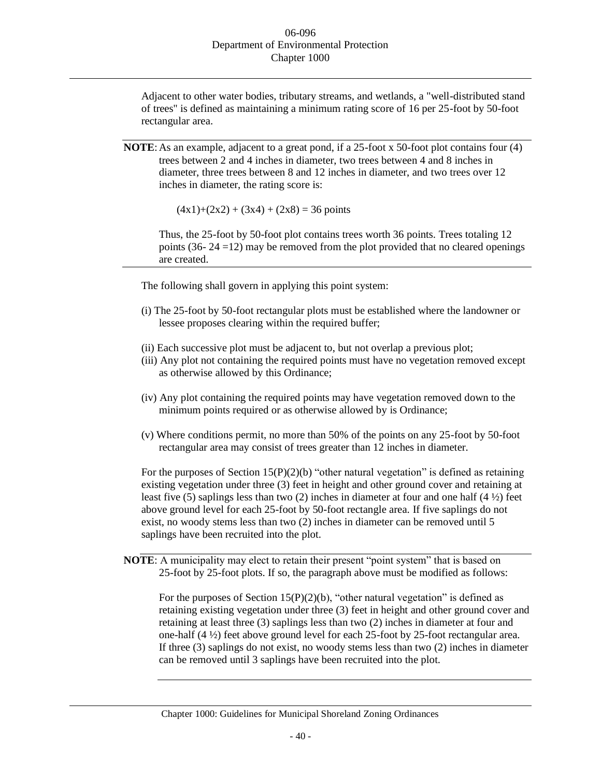Adjacent to other water bodies, tributary streams, and wetlands, a "well-distributed stand of trees" is defined as maintaining a minimum rating score of 16 per 25-foot by 50-foot rectangular area.

**NOTE:** As an example, adjacent to a great pond, if a 25-foot x 50-foot plot contains four (4) trees between 2 and 4 inches in diameter, two trees between 4 and 8 inches in diameter, three trees between 8 and 12 inches in diameter, and two trees over 12 inches in diameter, the rating score is:

 $(4x1)+(2x2) + (3x4) + (2x8) = 36$  points

Thus, the 25-foot by 50-foot plot contains trees worth 36 points. Trees totaling 12 points (36-  $24 = 12$ ) may be removed from the plot provided that no cleared openings are created.

The following shall govern in applying this point system:

- (i) The 25-foot by 50-foot rectangular plots must be established where the landowner or lessee proposes clearing within the required buffer;
- (ii) Each successive plot must be adjacent to, but not overlap a previous plot;
- (iii) Any plot not containing the required points must have no vegetation removed except as otherwise allowed by this Ordinance;
- (iv) Any plot containing the required points may have vegetation removed down to the minimum points required or as otherwise allowed by is Ordinance;
- (v) Where conditions permit, no more than 50% of the points on any 25-foot by 50-foot rectangular area may consist of trees greater than 12 inches in diameter.

For the purposes of Section  $15(P)(2)(b)$  "other natural vegetation" is defined as retaining existing vegetation under three (3) feet in height and other ground cover and retaining at least five (5) saplings less than two (2) inches in diameter at four and one half (4 ½) feet above ground level for each 25-foot by 50-foot rectangle area. If five saplings do not exist, no woody stems less than two (2) inches in diameter can be removed until 5 saplings have been recruited into the plot.

**NOTE**: A municipality may elect to retain their present "point system" that is based on 25-foot by 25-foot plots. If so, the paragraph above must be modified as follows:

For the purposes of Section  $15(P)(2)(b)$ , "other natural vegetation" is defined as retaining existing vegetation under three (3) feet in height and other ground cover and retaining at least three (3) saplings less than two (2) inches in diameter at four and one-half (4 ½) feet above ground level for each 25-foot by 25-foot rectangular area. If three (3) saplings do not exist, no woody stems less than two (2) inches in diameter can be removed until 3 saplings have been recruited into the plot.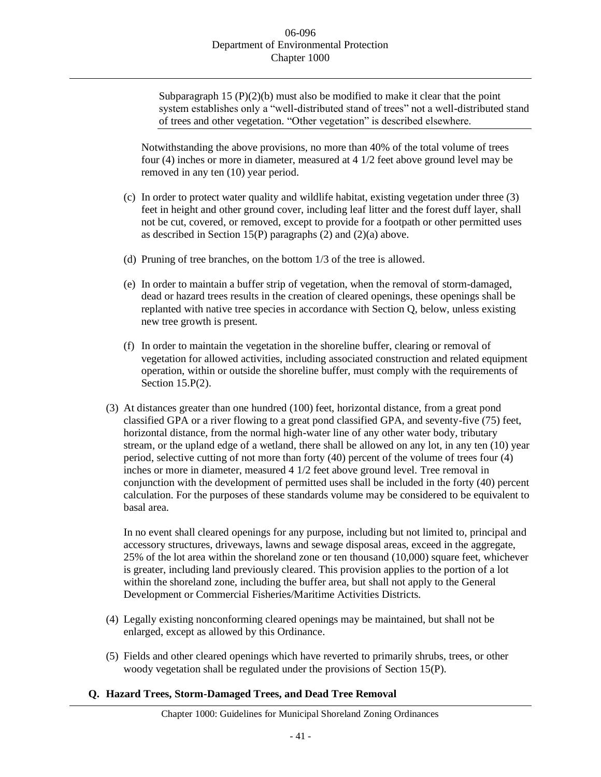Subparagraph 15  $(P)(2)(b)$  must also be modified to make it clear that the point system establishes only a "well-distributed stand of trees" not a well-distributed stand of trees and other vegetation. "Other vegetation" is described elsewhere.

Notwithstanding the above provisions, no more than 40% of the total volume of trees four (4) inches or more in diameter, measured at 4 1/2 feet above ground level may be removed in any ten (10) year period.

- (c) In order to protect water quality and wildlife habitat, existing vegetation under three (3) feet in height and other ground cover, including leaf litter and the forest duff layer, shall not be cut, covered, or removed, except to provide for a footpath or other permitted uses as described in Section 15(P) paragraphs (2) and (2)(a) above.
- (d) Pruning of tree branches, on the bottom 1/3 of the tree is allowed.
- (e) In order to maintain a buffer strip of vegetation, when the removal of storm-damaged, dead or hazard trees results in the creation of cleared openings, these openings shall be replanted with native tree species in accordance with Section Q, below, unless existing new tree growth is present.
- (f) In order to maintain the vegetation in the shoreline buffer, clearing or removal of vegetation for allowed activities, including associated construction and related equipment operation, within or outside the shoreline buffer, must comply with the requirements of Section 15.P(2).
- (3) At distances greater than one hundred (100) feet, horizontal distance, from a great pond classified GPA or a river flowing to a great pond classified GPA, and seventy-five (75) feet, horizontal distance, from the normal high-water line of any other water body, tributary stream, or the upland edge of a wetland, there shall be allowed on any lot, in any ten (10) year period, selective cutting of not more than forty (40) percent of the volume of trees four (4) inches or more in diameter, measured 4 1/2 feet above ground level. Tree removal in conjunction with the development of permitted uses shall be included in the forty (40) percent calculation. For the purposes of these standards volume may be considered to be equivalent to basal area.

In no event shall cleared openings for any purpose, including but not limited to, principal and accessory structures, driveways, lawns and sewage disposal areas, exceed in the aggregate, 25% of the lot area within the shoreland zone or ten thousand (10,000) square feet, whichever is greater, including land previously cleared. This provision applies to the portion of a lot within the shoreland zone, including the buffer area, but shall not apply to the General Development or Commercial Fisheries/Maritime Activities Districts.

- (4) Legally existing nonconforming cleared openings may be maintained, but shall not be enlarged, except as allowed by this Ordinance.
- (5) Fields and other cleared openings which have reverted to primarily shrubs, trees, or other woody vegetation shall be regulated under the provisions of Section 15(P).
- **Q. Hazard Trees, Storm-Damaged Trees, and Dead Tree Removal**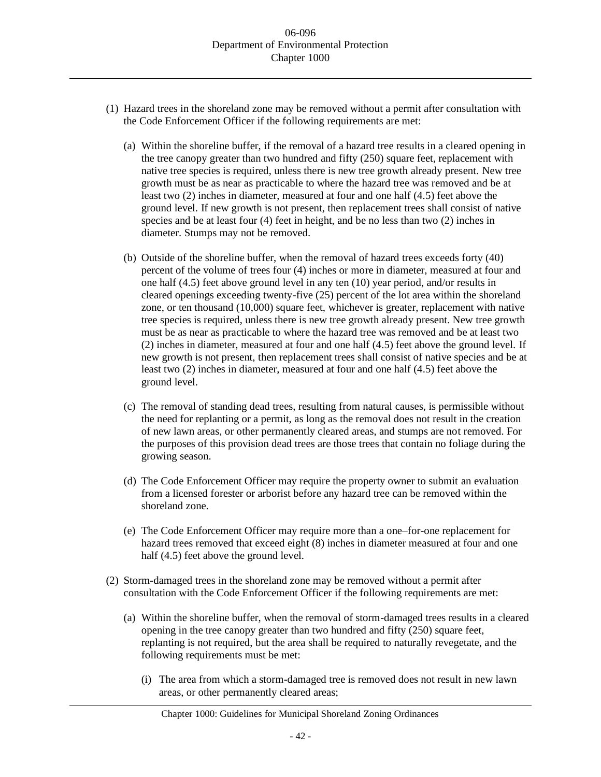- (1) Hazard trees in the shoreland zone may be removed without a permit after consultation with the Code Enforcement Officer if the following requirements are met:
	- (a) Within the shoreline buffer, if the removal of a hazard tree results in a cleared opening in the tree canopy greater than two hundred and fifty (250) square feet, replacement with native tree species is required, unless there is new tree growth already present. New tree growth must be as near as practicable to where the hazard tree was removed and be at least two (2) inches in diameter, measured at four and one half (4.5) feet above the ground level. If new growth is not present, then replacement trees shall consist of native species and be at least four (4) feet in height, and be no less than two (2) inches in diameter. Stumps may not be removed.
	- (b) Outside of the shoreline buffer, when the removal of hazard trees exceeds forty (40) percent of the volume of trees four (4) inches or more in diameter, measured at four and one half (4.5) feet above ground level in any ten (10) year period, and/or results in cleared openings exceeding twenty-five (25) percent of the lot area within the shoreland zone, or ten thousand (10,000) square feet, whichever is greater, replacement with native tree species is required, unless there is new tree growth already present. New tree growth must be as near as practicable to where the hazard tree was removed and be at least two (2) inches in diameter, measured at four and one half (4.5) feet above the ground level. If new growth is not present, then replacement trees shall consist of native species and be at least two (2) inches in diameter, measured at four and one half (4.5) feet above the ground level.
	- (c) The removal of standing dead trees, resulting from natural causes, is permissible without the need for replanting or a permit, as long as the removal does not result in the creation of new lawn areas, or other permanently cleared areas, and stumps are not removed. For the purposes of this provision dead trees are those trees that contain no foliage during the growing season.
	- (d) The Code Enforcement Officer may require the property owner to submit an evaluation from a licensed forester or arborist before any hazard tree can be removed within the shoreland zone.
	- (e) The Code Enforcement Officer may require more than a one–for-one replacement for hazard trees removed that exceed eight (8) inches in diameter measured at four and one half (4.5) feet above the ground level.
- (2) Storm-damaged trees in the shoreland zone may be removed without a permit after consultation with the Code Enforcement Officer if the following requirements are met:
	- (a) Within the shoreline buffer, when the removal of storm-damaged trees results in a cleared opening in the tree canopy greater than two hundred and fifty (250) square feet, replanting is not required, but the area shall be required to naturally revegetate, and the following requirements must be met:
		- (i) The area from which a storm-damaged tree is removed does not result in new lawn areas, or other permanently cleared areas;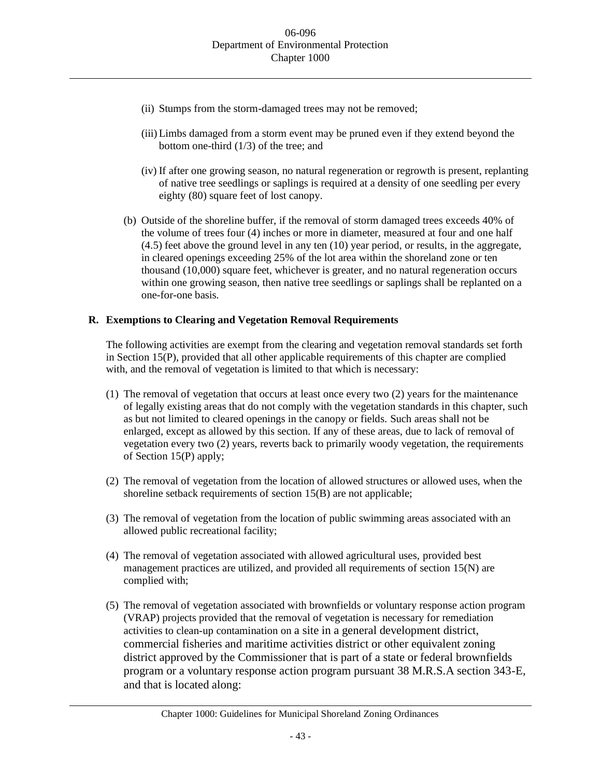- (ii) Stumps from the storm-damaged trees may not be removed;
- (iii) Limbs damaged from a storm event may be pruned even if they extend beyond the bottom one-third (1/3) of the tree; and
- (iv) If after one growing season, no natural regeneration or regrowth is present, replanting of native tree seedlings or saplings is required at a density of one seedling per every eighty (80) square feet of lost canopy.
- (b) Outside of the shoreline buffer, if the removal of storm damaged trees exceeds 40% of the volume of trees four (4) inches or more in diameter, measured at four and one half (4.5) feet above the ground level in any ten (10) year period, or results, in the aggregate, in cleared openings exceeding 25% of the lot area within the shoreland zone or ten thousand (10,000) square feet, whichever is greater, and no natural regeneration occurs within one growing season, then native tree seedlings or saplings shall be replanted on a one-for-one basis.

# **R. Exemptions to Clearing and Vegetation Removal Requirements**

The following activities are exempt from the clearing and vegetation removal standards set forth in Section 15(P), provided that all other applicable requirements of this chapter are complied with, and the removal of vegetation is limited to that which is necessary:

- (1) The removal of vegetation that occurs at least once every two (2) years for the maintenance of legally existing areas that do not comply with the vegetation standards in this chapter, such as but not limited to cleared openings in the canopy or fields. Such areas shall not be enlarged, except as allowed by this section. If any of these areas, due to lack of removal of vegetation every two (2) years, reverts back to primarily woody vegetation, the requirements of Section 15(P) apply;
- (2) The removal of vegetation from the location of allowed structures or allowed uses, when the shoreline setback requirements of section 15(B) are not applicable;
- (3) The removal of vegetation from the location of public swimming areas associated with an allowed public recreational facility;
- (4) The removal of vegetation associated with allowed agricultural uses, provided best management practices are utilized, and provided all requirements of section 15(N) are complied with;
- (5) The removal of vegetation associated with brownfields or voluntary response action program (VRAP) projects provided that the removal of vegetation is necessary for remediation activities to clean-up contamination on a site in a general development district, commercial fisheries and maritime activities district or other equivalent zoning district approved by the Commissioner that is part of a state or federal brownfields program or a voluntary response action program pursuant 38 M.R.S.A section 343-E, and that is located along: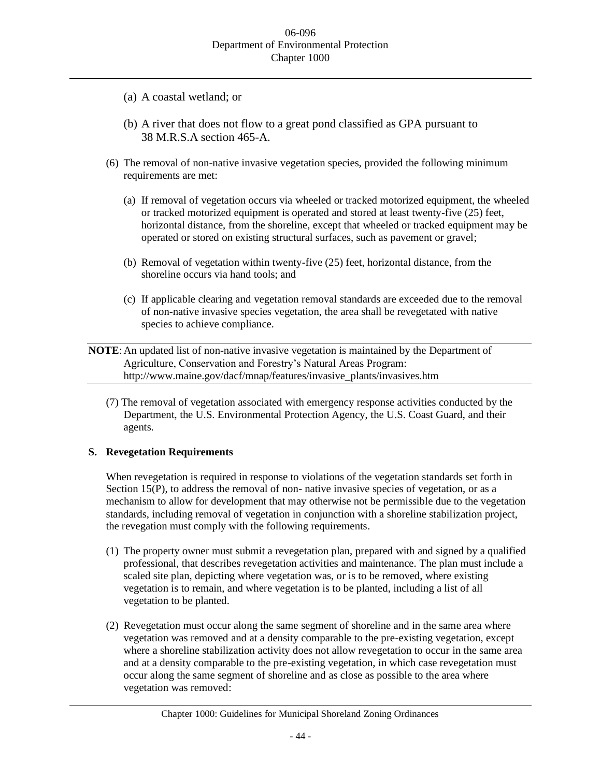- (a) A coastal wetland; or
- (b) A river that does not flow to a great pond classified as GPA pursuant to 38 M.R.S.A section 465-A.
- (6) The removal of non-native invasive vegetation species, provided the following minimum requirements are met:
	- (a) If removal of vegetation occurs via wheeled or tracked motorized equipment, the wheeled or tracked motorized equipment is operated and stored at least twenty-five (25) feet, horizontal distance, from the shoreline, except that wheeled or tracked equipment may be operated or stored on existing structural surfaces, such as pavement or gravel;
	- (b) Removal of vegetation within twenty-five (25) feet, horizontal distance, from the shoreline occurs via hand tools; and
	- (c) If applicable clearing and vegetation removal standards are exceeded due to the removal of non-native invasive species vegetation, the area shall be revegetated with native species to achieve compliance.

**NOTE**:An updated list of non-native invasive vegetation is maintained by the Department of Agriculture, Conservation and Forestry's Natural Areas Program: http://www.maine.gov/dacf/mnap/features/invasive\_plants/invasives.htm

(7) The removal of vegetation associated with emergency response activities conducted by the Department, the U.S. Environmental Protection Agency, the U.S. Coast Guard, and their agents.

## **S. Revegetation Requirements**

When revegetation is required in response to violations of the vegetation standards set forth in Section 15(P), to address the removal of non- native invasive species of vegetation, or as a mechanism to allow for development that may otherwise not be permissible due to the vegetation standards, including removal of vegetation in conjunction with a shoreline stabilization project, the revegation must comply with the following requirements.

- (1) The property owner must submit a revegetation plan, prepared with and signed by a qualified professional, that describes revegetation activities and maintenance. The plan must include a scaled site plan, depicting where vegetation was, or is to be removed, where existing vegetation is to remain, and where vegetation is to be planted, including a list of all vegetation to be planted.
- (2) Revegetation must occur along the same segment of shoreline and in the same area where vegetation was removed and at a density comparable to the pre-existing vegetation, except where a shoreline stabilization activity does not allow revegetation to occur in the same area and at a density comparable to the pre-existing vegetation, in which case revegetation must occur along the same segment of shoreline and as close as possible to the area where vegetation was removed: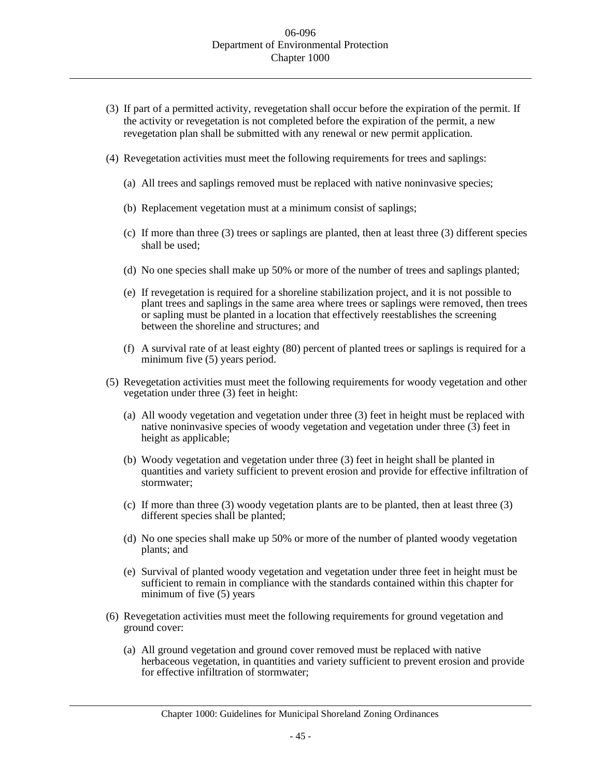- (3) If part of a permitted activity, revegetation shall occur before the expiration of the permit. If the activity or revegetation is not completed before the expiration of the permit, a new revegetation plan shall be submitted with any renewal or new permit application.
- (4) Revegetation activities must meet the following requirements for trees and saplings:
	- (a) All trees and saplings removed must be replaced with native noninvasive species;
	- (b) Replacement vegetation must at a minimum consist of saplings;
	- (c) If more than three (3) trees or saplings are planted, then at least three (3) different species shall be used;
	- (d) No one species shall make up 50% or more of the number of trees and saplings planted;
	- (e) If revegetation is required for a shoreline stabilization project, and it is not possible to plant trees and saplings in the same area where trees or saplings were removed, then trees or sapling must be planted in a location that effectively reestablishes the screening between the shoreline and structures; and
	- (f) A survival rate of at least eighty (80) percent of planted trees or saplings is required for a minimum five (5) years period.
- (5) Revegetation activities must meet the following requirements for woody vegetation and other vegetation under three (3) feet in height:
	- (a) All woody vegetation and vegetation under three (3) feet in height must be replaced with native noninvasive species of woody vegetation and vegetation under three (3) feet in height as applicable;
	- (b) Woody vegetation and vegetation under three (3) feet in height shall be planted in quantities and variety sufficient to prevent erosion and provide for effective infiltration of stormwater;
	- (c) If more than three (3) woody vegetation plants are to be planted, then at least three (3) different species shall be planted;
	- (d) No one species shall make up 50% or more of the number of planted woody vegetation plants; and
	- (e) Survival of planted woody vegetation and vegetation under three feet in height must be sufficient to remain in compliance with the standards contained within this chapter for minimum of five (5) years
- (6) Revegetation activities must meet the following requirements for ground vegetation and ground cover:
	- (a) All ground vegetation and ground cover removed must be replaced with native herbaceous vegetation, in quantities and variety sufficient to prevent erosion and provide for effective infiltration of stormwater;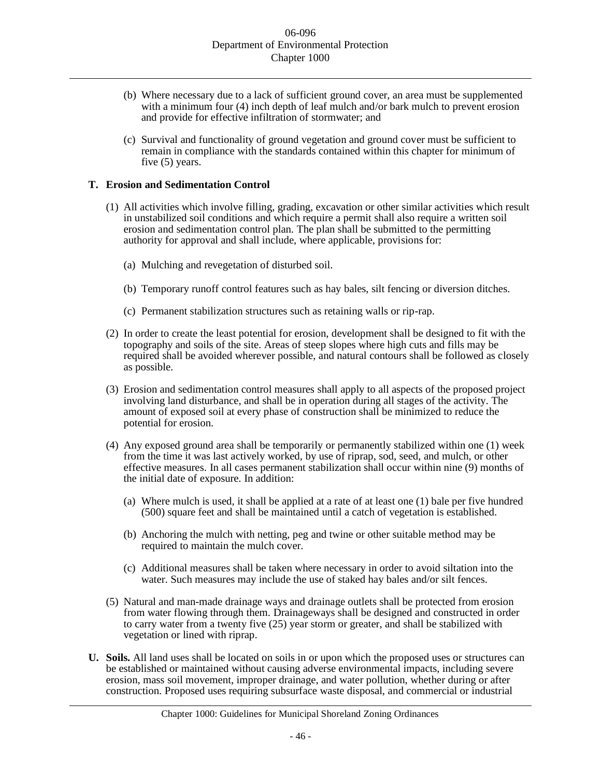- (b) Where necessary due to a lack of sufficient ground cover, an area must be supplemented with a minimum four (4) inch depth of leaf mulch and/or bark mulch to prevent erosion and provide for effective infiltration of stormwater; and
- (c) Survival and functionality of ground vegetation and ground cover must be sufficient to remain in compliance with the standards contained within this chapter for minimum of five (5) years.

## **T. Erosion and Sedimentation Control**

- (1) All activities which involve filling, grading, excavation or other similar activities which result in unstabilized soil conditions and which require a permit shall also require a written soil erosion and sedimentation control plan. The plan shall be submitted to the permitting authority for approval and shall include, where applicable, provisions for:
	- (a) Mulching and revegetation of disturbed soil.
	- (b) Temporary runoff control features such as hay bales, silt fencing or diversion ditches.
	- (c) Permanent stabilization structures such as retaining walls or rip-rap.
- (2) In order to create the least potential for erosion, development shall be designed to fit with the topography and soils of the site. Areas of steep slopes where high cuts and fills may be required shall be avoided wherever possible, and natural contours shall be followed as closely as possible.
- (3) Erosion and sedimentation control measures shall apply to all aspects of the proposed project involving land disturbance, and shall be in operation during all stages of the activity. The amount of exposed soil at every phase of construction shall be minimized to reduce the potential for erosion.
- (4) Any exposed ground area shall be temporarily or permanently stabilized within one (1) week from the time it was last actively worked, by use of riprap, sod, seed, and mulch, or other effective measures. In all cases permanent stabilization shall occur within nine (9) months of the initial date of exposure. In addition:
	- (a) Where mulch is used, it shall be applied at a rate of at least one (1) bale per five hundred (500) square feet and shall be maintained until a catch of vegetation is established.
	- (b) Anchoring the mulch with netting, peg and twine or other suitable method may be required to maintain the mulch cover.
	- (c) Additional measures shall be taken where necessary in order to avoid siltation into the water. Such measures may include the use of staked hay bales and/or silt fences.
- (5) Natural and man-made drainage ways and drainage outlets shall be protected from erosion from water flowing through them. Drainageways shall be designed and constructed in order to carry water from a twenty five (25) year storm or greater, and shall be stabilized with vegetation or lined with riprap.
- **U. Soils.** All land uses shall be located on soils in or upon which the proposed uses or structures can be established or maintained without causing adverse environmental impacts, including severe erosion, mass soil movement, improper drainage, and water pollution, whether during or after construction. Proposed uses requiring subsurface waste disposal, and commercial or industrial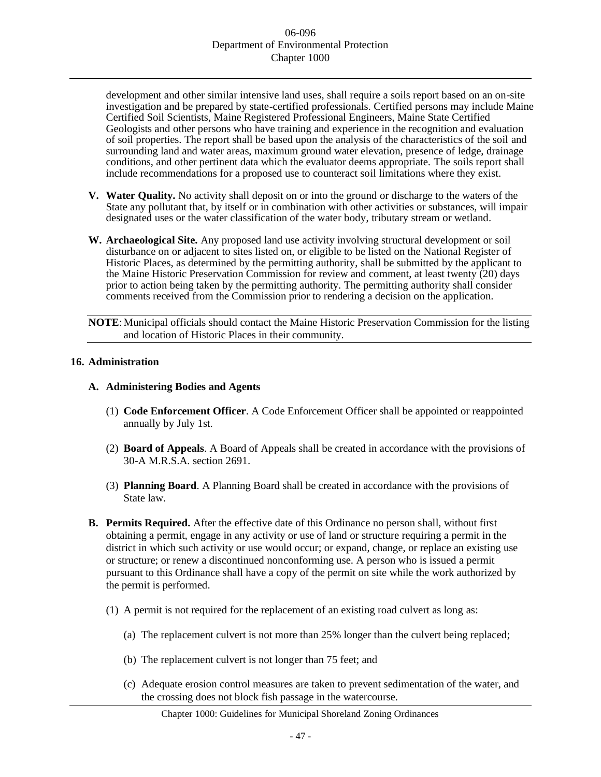development and other similar intensive land uses, shall require a soils report based on an on-site investigation and be prepared by state-certified professionals. Certified persons may include Maine Certified Soil Scientists, Maine Registered Professional Engineers, Maine State Certified Geologists and other persons who have training and experience in the recognition and evaluation of soil properties. The report shall be based upon the analysis of the characteristics of the soil and surrounding land and water areas, maximum ground water elevation, presence of ledge, drainage conditions, and other pertinent data which the evaluator deems appropriate. The soils report shall include recommendations for a proposed use to counteract soil limitations where they exist.

- **V. Water Quality.** No activity shall deposit on or into the ground or discharge to the waters of the State any pollutant that, by itself or in combination with other activities or substances, will impair designated uses or the water classification of the water body, tributary stream or wetland.
- **W. Archaeological Site.** Any proposed land use activity involving structural development or soil disturbance on or adjacent to sites listed on, or eligible to be listed on the National Register of Historic Places, as determined by the permitting authority, shall be submitted by the applicant to the Maine Historic Preservation Commission for review and comment, at least twenty (20) days prior to action being taken by the permitting authority. The permitting authority shall consider comments received from the Commission prior to rendering a decision on the application.

**NOTE:** Municipal officials should contact the Maine Historic Preservation Commission for the listing and location of Historic Places in their community.

## **16. Administration**

# **A. Administering Bodies and Agents**

- (1) **Code Enforcement Officer**. A Code Enforcement Officer shall be appointed or reappointed annually by July 1st.
- (2) **Board of Appeals**. A Board of Appeals shall be created in accordance with the provisions of 30-A M.R.S.A. section 2691.
- (3) **Planning Board**. A Planning Board shall be created in accordance with the provisions of State law.
- **B. Permits Required.** After the effective date of this Ordinance no person shall, without first obtaining a permit, engage in any activity or use of land or structure requiring a permit in the district in which such activity or use would occur; or expand, change, or replace an existing use or structure; or renew a discontinued nonconforming use. A person who is issued a permit pursuant to this Ordinance shall have a copy of the permit on site while the work authorized by the permit is performed.
	- (1) A permit is not required for the replacement of an existing road culvert as long as:
		- (a) The replacement culvert is not more than 25% longer than the culvert being replaced;
		- (b) The replacement culvert is not longer than 75 feet; and
		- (c) Adequate erosion control measures are taken to prevent sedimentation of the water, and the crossing does not block fish passage in the watercourse.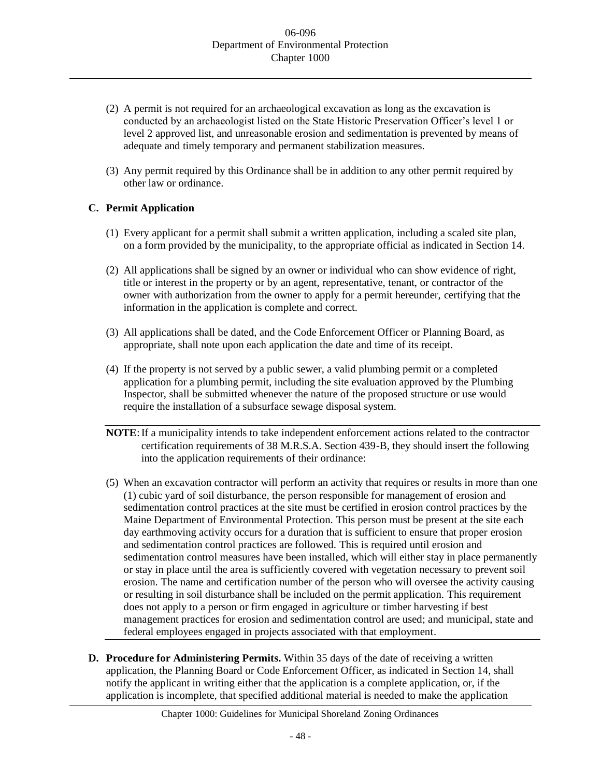- (2) A permit is not required for an archaeological excavation as long as the excavation is conducted by an archaeologist listed on the State Historic Preservation Officer's level 1 or level 2 approved list, and unreasonable erosion and sedimentation is prevented by means of adequate and timely temporary and permanent stabilization measures.
- (3) Any permit required by this Ordinance shall be in addition to any other permit required by other law or ordinance.

# **C. Permit Application**

- (1) Every applicant for a permit shall submit a written application, including a scaled site plan, on a form provided by the municipality, to the appropriate official as indicated in Section 14.
- (2) All applications shall be signed by an owner or individual who can show evidence of right, title or interest in the property or by an agent, representative, tenant, or contractor of the owner with authorization from the owner to apply for a permit hereunder, certifying that the information in the application is complete and correct.
- (3) All applications shall be dated, and the Code Enforcement Officer or Planning Board, as appropriate, shall note upon each application the date and time of its receipt.
- (4) If the property is not served by a public sewer, a valid plumbing permit or a completed application for a plumbing permit, including the site evaluation approved by the Plumbing Inspector, shall be submitted whenever the nature of the proposed structure or use would require the installation of a subsurface sewage disposal system.
- **NOTE**:If a municipality intends to take independent enforcement actions related to the contractor certification requirements of 38 M.R.S.A. Section 439-B, they should insert the following into the application requirements of their ordinance:
- (5) When an excavation contractor will perform an activity that requires or results in more than one (1) cubic yard of soil disturbance, the person responsible for management of erosion and sedimentation control practices at the site must be certified in erosion control practices by the Maine Department of Environmental Protection. This person must be present at the site each day earthmoving activity occurs for a duration that is sufficient to ensure that proper erosion and sedimentation control practices are followed. This is required until erosion and sedimentation control measures have been installed, which will either stay in place permanently or stay in place until the area is sufficiently covered with vegetation necessary to prevent soil erosion. The name and certification number of the person who will oversee the activity causing or resulting in soil disturbance shall be included on the permit application. This requirement does not apply to a person or firm engaged in agriculture or timber harvesting if best management practices for erosion and sedimentation control are used; and municipal, state and federal employees engaged in projects associated with that employment.
- **D. Procedure for Administering Permits.** Within 35 days of the date of receiving a written application, the Planning Board or Code Enforcement Officer, as indicated in Section 14, shall notify the applicant in writing either that the application is a complete application, or, if the application is incomplete, that specified additional material is needed to make the application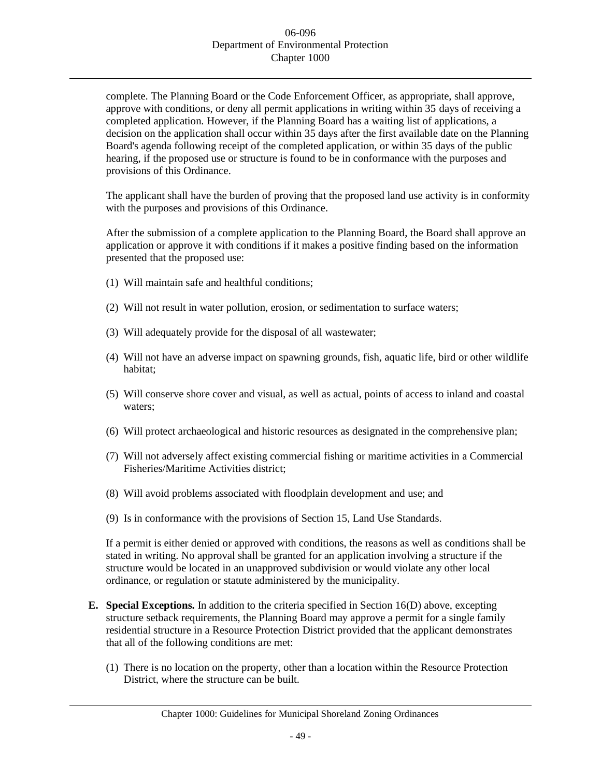complete. The Planning Board or the Code Enforcement Officer, as appropriate, shall approve, approve with conditions, or deny all permit applications in writing within 35 days of receiving a completed application. However, if the Planning Board has a waiting list of applications, a decision on the application shall occur within 35 days after the first available date on the Planning Board's agenda following receipt of the completed application, or within 35 days of the public hearing, if the proposed use or structure is found to be in conformance with the purposes and provisions of this Ordinance.

The applicant shall have the burden of proving that the proposed land use activity is in conformity with the purposes and provisions of this Ordinance.

After the submission of a complete application to the Planning Board, the Board shall approve an application or approve it with conditions if it makes a positive finding based on the information presented that the proposed use:

- (1) Will maintain safe and healthful conditions;
- (2) Will not result in water pollution, erosion, or sedimentation to surface waters;
- (3) Will adequately provide for the disposal of all wastewater;
- (4) Will not have an adverse impact on spawning grounds, fish, aquatic life, bird or other wildlife habitat;
- (5) Will conserve shore cover and visual, as well as actual, points of access to inland and coastal waters;
- (6) Will protect archaeological and historic resources as designated in the comprehensive plan;
- (7) Will not adversely affect existing commercial fishing or maritime activities in a Commercial Fisheries/Maritime Activities district;
- (8) Will avoid problems associated with floodplain development and use; and
- (9) Is in conformance with the provisions of Section 15, Land Use Standards.

If a permit is either denied or approved with conditions, the reasons as well as conditions shall be stated in writing. No approval shall be granted for an application involving a structure if the structure would be located in an unapproved subdivision or would violate any other local ordinance, or regulation or statute administered by the municipality.

- **E. Special Exceptions.** In addition to the criteria specified in Section 16(D) above, excepting structure setback requirements, the Planning Board may approve a permit for a single family residential structure in a Resource Protection District provided that the applicant demonstrates that all of the following conditions are met:
	- (1) There is no location on the property, other than a location within the Resource Protection District, where the structure can be built.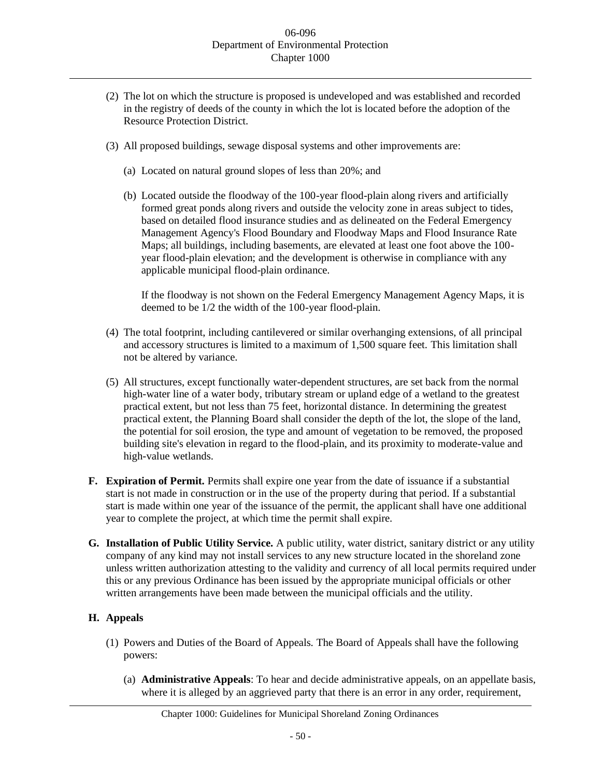- (2) The lot on which the structure is proposed is undeveloped and was established and recorded in the registry of deeds of the county in which the lot is located before the adoption of the Resource Protection District.
- (3) All proposed buildings, sewage disposal systems and other improvements are:
	- (a) Located on natural ground slopes of less than 20%; and
	- (b) Located outside the floodway of the 100-year flood-plain along rivers and artificially formed great ponds along rivers and outside the velocity zone in areas subject to tides, based on detailed flood insurance studies and as delineated on the Federal Emergency Management Agency's Flood Boundary and Floodway Maps and Flood Insurance Rate Maps; all buildings, including basements, are elevated at least one foot above the 100 year flood-plain elevation; and the development is otherwise in compliance with any applicable municipal flood-plain ordinance.

If the floodway is not shown on the Federal Emergency Management Agency Maps, it is deemed to be 1/2 the width of the 100-year flood-plain.

- (4) The total footprint, including cantilevered or similar overhanging extensions, of all principal and accessory structures is limited to a maximum of 1,500 square feet. This limitation shall not be altered by variance.
- (5) All structures, except functionally water-dependent structures, are set back from the normal high-water line of a water body, tributary stream or upland edge of a wetland to the greatest practical extent, but not less than 75 feet, horizontal distance. In determining the greatest practical extent, the Planning Board shall consider the depth of the lot, the slope of the land, the potential for soil erosion, the type and amount of vegetation to be removed, the proposed building site's elevation in regard to the flood-plain, and its proximity to moderate-value and high-value wetlands.
- **F. Expiration of Permit.** Permits shall expire one year from the date of issuance if a substantial start is not made in construction or in the use of the property during that period. If a substantial start is made within one year of the issuance of the permit, the applicant shall have one additional year to complete the project, at which time the permit shall expire.
- **G. Installation of Public Utility Service.** A public utility, water district, sanitary district or any utility company of any kind may not install services to any new structure located in the shoreland zone unless written authorization attesting to the validity and currency of all local permits required under this or any previous Ordinance has been issued by the appropriate municipal officials or other written arrangements have been made between the municipal officials and the utility.

# **H. Appeals**

- (1) Powers and Duties of the Board of Appeals. The Board of Appeals shall have the following powers:
	- (a) **Administrative Appeals**: To hear and decide administrative appeals, on an appellate basis, where it is alleged by an aggrieved party that there is an error in any order, requirement,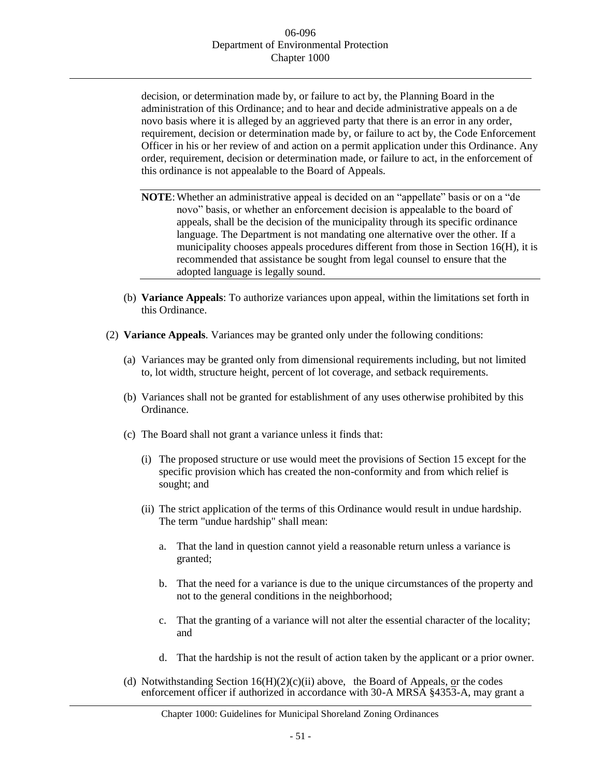decision, or determination made by, or failure to act by, the Planning Board in the administration of this Ordinance; and to hear and decide administrative appeals on a de novo basis where it is alleged by an aggrieved party that there is an error in any order, requirement, decision or determination made by, or failure to act by, the Code Enforcement Officer in his or her review of and action on a permit application under this Ordinance. Any order, requirement, decision or determination made, or failure to act, in the enforcement of this ordinance is not appealable to the Board of Appeals.

- NOTE: Whether an administrative appeal is decided on an "appellate" basis or on a "de novo" basis, or whether an enforcement decision is appealable to the board of appeals, shall be the decision of the municipality through its specific ordinance language. The Department is not mandating one alternative over the other. If a municipality chooses appeals procedures different from those in Section 16(H), it is recommended that assistance be sought from legal counsel to ensure that the adopted language is legally sound.
- (b) **Variance Appeals**: To authorize variances upon appeal, within the limitations set forth in this Ordinance.
- (2) **Variance Appeals**. Variances may be granted only under the following conditions:
	- (a) Variances may be granted only from dimensional requirements including, but not limited to, lot width, structure height, percent of lot coverage, and setback requirements.
	- (b) Variances shall not be granted for establishment of any uses otherwise prohibited by this Ordinance.
	- (c) The Board shall not grant a variance unless it finds that:
		- (i) The proposed structure or use would meet the provisions of Section 15 except for the specific provision which has created the non-conformity and from which relief is sought; and
		- (ii) The strict application of the terms of this Ordinance would result in undue hardship. The term "undue hardship" shall mean:
			- a. That the land in question cannot yield a reasonable return unless a variance is granted;
			- b. That the need for a variance is due to the unique circumstances of the property and not to the general conditions in the neighborhood;
			- c. That the granting of a variance will not alter the essential character of the locality; and
			- d. That the hardship is not the result of action taken by the applicant or a prior owner.
	- (d) Notwithstanding Section  $16(H)(2)(c)(ii)$  above, the Board of Appeals, or the codes enforcement officer if authorized in accordance with 30-A MRSA §4353-A, may grant a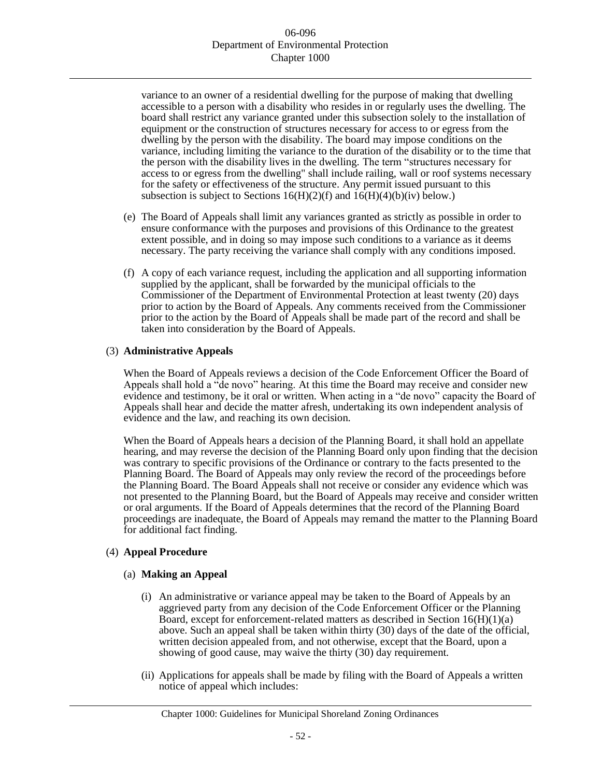variance to an owner of a residential dwelling for the purpose of making that dwelling accessible to a person with a disability who resides in or regularly uses the dwelling. The board shall restrict any variance granted under this subsection solely to the installation of equipment or the construction of structures necessary for access to or egress from the dwelling by the person with the disability. The board may impose conditions on the variance, including limiting the variance to the duration of the disability or to the time that the person with the disability lives in the dwelling. The term "structures necessary for access to or egress from the dwelling" shall include railing, wall or roof systems necessary for the safety or effectiveness of the structure. Any permit issued pursuant to this subsection is subject to Sections  $16(H)(2)(f)$  and  $16(H)(4)(b)(iv)$  below.)

- (e) The Board of Appeals shall limit any variances granted as strictly as possible in order to ensure conformance with the purposes and provisions of this Ordinance to the greatest extent possible, and in doing so may impose such conditions to a variance as it deems necessary. The party receiving the variance shall comply with any conditions imposed.
- (f) A copy of each variance request, including the application and all supporting information supplied by the applicant, shall be forwarded by the municipal officials to the Commissioner of the Department of Environmental Protection at least twenty (20) days prior to action by the Board of Appeals. Any comments received from the Commissioner prior to the action by the Board of Appeals shall be made part of the record and shall be taken into consideration by the Board of Appeals.

## (3) **Administrative Appeals**

When the Board of Appeals reviews a decision of the Code Enforcement Officer the Board of Appeals shall hold a "de novo" hearing. At this time the Board may receive and consider new evidence and testimony, be it oral or written. When acting in a "de novo" capacity the Board of Appeals shall hear and decide the matter afresh, undertaking its own independent analysis of evidence and the law, and reaching its own decision.

When the Board of Appeals hears a decision of the Planning Board, it shall hold an appellate hearing, and may reverse the decision of the Planning Board only upon finding that the decision was contrary to specific provisions of the Ordinance or contrary to the facts presented to the Planning Board. The Board of Appeals may only review the record of the proceedings before the Planning Board. The Board Appeals shall not receive or consider any evidence which was not presented to the Planning Board, but the Board of Appeals may receive and consider written or oral arguments. If the Board of Appeals determines that the record of the Planning Board proceedings are inadequate, the Board of Appeals may remand the matter to the Planning Board for additional fact finding.

## (4) **Appeal Procedure**

## (a) **Making an Appeal**

- (i) An administrative or variance appeal may be taken to the Board of Appeals by an aggrieved party from any decision of the Code Enforcement Officer or the Planning Board, except for enforcement-related matters as described in Section  $16(H)(1)(a)$ above. Such an appeal shall be taken within thirty (30) days of the date of the official, written decision appealed from, and not otherwise, except that the Board, upon a showing of good cause, may waive the thirty (30) day requirement.
- (ii) Applications for appeals shall be made by filing with the Board of Appeals a written notice of appeal which includes: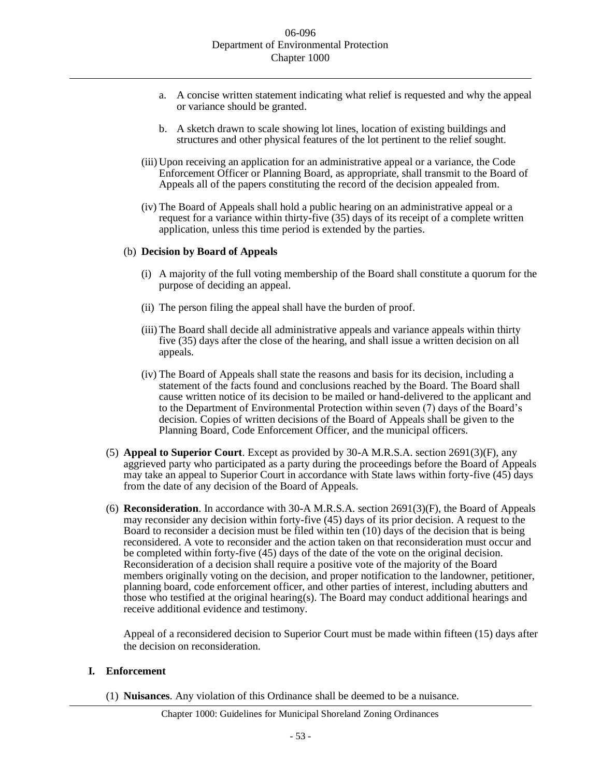- a. A concise written statement indicating what relief is requested and why the appeal or variance should be granted.
- b. A sketch drawn to scale showing lot lines, location of existing buildings and structures and other physical features of the lot pertinent to the relief sought.
- (iii) Upon receiving an application for an administrative appeal or a variance, the Code Enforcement Officer or Planning Board, as appropriate, shall transmit to the Board of Appeals all of the papers constituting the record of the decision appealed from.
- (iv) The Board of Appeals shall hold a public hearing on an administrative appeal or a request for a variance within thirty-five (35) days of its receipt of a complete written application, unless this time period is extended by the parties.

#### (b) **Decision by Board of Appeals**

- (i) A majority of the full voting membership of the Board shall constitute a quorum for the purpose of deciding an appeal.
- (ii) The person filing the appeal shall have the burden of proof.
- (iii) The Board shall decide all administrative appeals and variance appeals within thirty five (35) days after the close of the hearing, and shall issue a written decision on all appeals.
- (iv) The Board of Appeals shall state the reasons and basis for its decision, including a statement of the facts found and conclusions reached by the Board. The Board shall cause written notice of its decision to be mailed or hand-delivered to the applicant and to the Department of Environmental Protection within seven (7) days of the Board's decision. Copies of written decisions of the Board of Appeals shall be given to the Planning Board, Code Enforcement Officer, and the municipal officers.
- (5) **Appeal to Superior Court**. Except as provided by 30-A M.R.S.A. section 2691(3)(F), any aggrieved party who participated as a party during the proceedings before the Board of Appeals may take an appeal to Superior Court in accordance with State laws within forty-five (45) days from the date of any decision of the Board of Appeals.
- (6) **Reconsideration**. In accordance with 30-A M.R.S.A. section 2691(3)(F), the Board of Appeals may reconsider any decision within forty-five (45) days of its prior decision. A request to the Board to reconsider a decision must be filed within ten (10) days of the decision that is being reconsidered. A vote to reconsider and the action taken on that reconsideration must occur and be completed within forty-five (45) days of the date of the vote on the original decision. Reconsideration of a decision shall require a positive vote of the majority of the Board members originally voting on the decision, and proper notification to the landowner, petitioner, planning board, code enforcement officer, and other parties of interest, including abutters and those who testified at the original hearing(s). The Board may conduct additional hearings and receive additional evidence and testimony.

Appeal of a reconsidered decision to Superior Court must be made within fifteen (15) days after the decision on reconsideration.

#### **I. Enforcement**

(1) **Nuisances**. Any violation of this Ordinance shall be deemed to be a nuisance.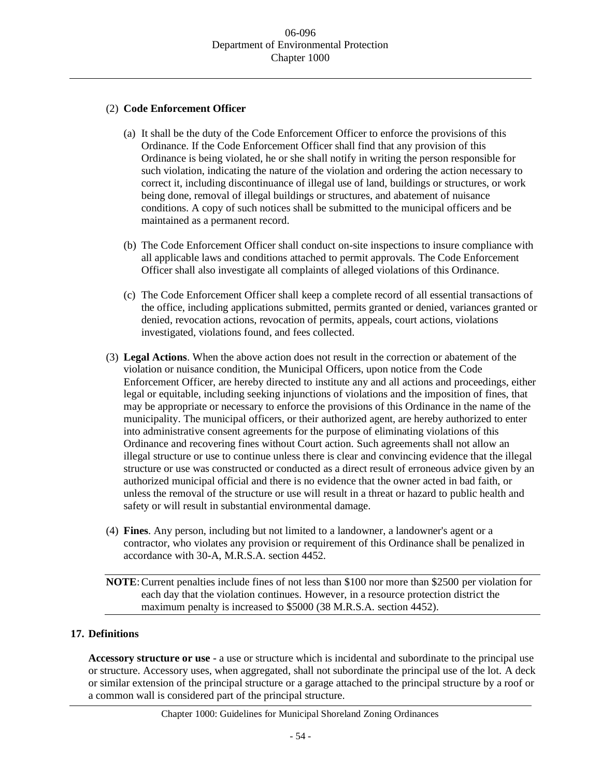# (2) **Code Enforcement Officer**

- (a) It shall be the duty of the Code Enforcement Officer to enforce the provisions of this Ordinance. If the Code Enforcement Officer shall find that any provision of this Ordinance is being violated, he or she shall notify in writing the person responsible for such violation, indicating the nature of the violation and ordering the action necessary to correct it, including discontinuance of illegal use of land, buildings or structures, or work being done, removal of illegal buildings or structures, and abatement of nuisance conditions. A copy of such notices shall be submitted to the municipal officers and be maintained as a permanent record.
- (b) The Code Enforcement Officer shall conduct on-site inspections to insure compliance with all applicable laws and conditions attached to permit approvals. The Code Enforcement Officer shall also investigate all complaints of alleged violations of this Ordinance.
- (c) The Code Enforcement Officer shall keep a complete record of all essential transactions of the office, including applications submitted, permits granted or denied, variances granted or denied, revocation actions, revocation of permits, appeals, court actions, violations investigated, violations found, and fees collected.
- (3) **Legal Actions**. When the above action does not result in the correction or abatement of the violation or nuisance condition, the Municipal Officers, upon notice from the Code Enforcement Officer, are hereby directed to institute any and all actions and proceedings, either legal or equitable, including seeking injunctions of violations and the imposition of fines, that may be appropriate or necessary to enforce the provisions of this Ordinance in the name of the municipality. The municipal officers, or their authorized agent, are hereby authorized to enter into administrative consent agreements for the purpose of eliminating violations of this Ordinance and recovering fines without Court action. Such agreements shall not allow an illegal structure or use to continue unless there is clear and convincing evidence that the illegal structure or use was constructed or conducted as a direct result of erroneous advice given by an authorized municipal official and there is no evidence that the owner acted in bad faith, or unless the removal of the structure or use will result in a threat or hazard to public health and safety or will result in substantial environmental damage.
- (4) **Fines**. Any person, including but not limited to a landowner, a landowner's agent or a contractor, who violates any provision or requirement of this Ordinance shall be penalized in accordance with 30-A, M.R.S.A. section 4452.

**NOTE**:Current penalties include fines of not less than \$100 nor more than \$2500 per violation for each day that the violation continues. However, in a resource protection district the maximum penalty is increased to \$5000 (38 M.R.S.A. section 4452).

# **17. Definitions**

**Accessory structure or use** - a use or structure which is incidental and subordinate to the principal use or structure. Accessory uses, when aggregated, shall not subordinate the principal use of the lot. A deck or similar extension of the principal structure or a garage attached to the principal structure by a roof or a common wall is considered part of the principal structure.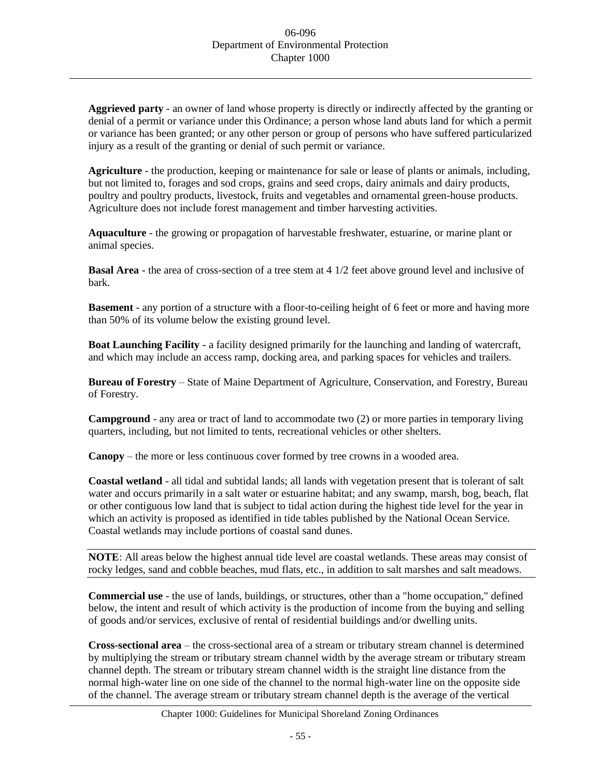**Aggrieved party** - an owner of land whose property is directly or indirectly affected by the granting or denial of a permit or variance under this Ordinance; a person whose land abuts land for which a permit or variance has been granted; or any other person or group of persons who have suffered particularized injury as a result of the granting or denial of such permit or variance.

**Agriculture** - the production, keeping or maintenance for sale or lease of plants or animals, including, but not limited to, forages and sod crops, grains and seed crops, dairy animals and dairy products, poultry and poultry products, livestock, fruits and vegetables and ornamental green-house products. Agriculture does not include forest management and timber harvesting activities.

**Aquaculture** - the growing or propagation of harvestable freshwater, estuarine, or marine plant or animal species.

**Basal Area** - the area of cross-section of a tree stem at 4 1/2 feet above ground level and inclusive of bark.

**Basement** - any portion of a structure with a floor-to-ceiling height of 6 feet or more and having more than 50% of its volume below the existing ground level.

**Boat Launching Facility** - a facility designed primarily for the launching and landing of watercraft, and which may include an access ramp, docking area, and parking spaces for vehicles and trailers.

**Bureau of Forestry** – State of Maine Department of Agriculture, Conservation, and Forestry, Bureau of Forestry.

**Campground** - any area or tract of land to accommodate two (2) or more parties in temporary living quarters, including, but not limited to tents, recreational vehicles or other shelters.

**Canopy** – the more or less continuous cover formed by tree crowns in a wooded area.

**Coastal wetland** - all tidal and subtidal lands; all lands with vegetation present that is tolerant of salt water and occurs primarily in a salt water or estuarine habitat; and any swamp, marsh, bog, beach, flat or other contiguous low land that is subject to tidal action during the highest tide level for the year in which an activity is proposed as identified in tide tables published by the National Ocean Service. Coastal wetlands may include portions of coastal sand dunes.

**NOTE:** All areas below the highest annual tide level are coastal wetlands. These areas may consist of rocky ledges, sand and cobble beaches, mud flats, etc., in addition to salt marshes and salt meadows.

**Commercial use** - the use of lands, buildings, or structures, other than a "home occupation," defined below, the intent and result of which activity is the production of income from the buying and selling of goods and/or services, exclusive of rental of residential buildings and/or dwelling units.

**Cross-sectional area** – the cross-sectional area of a stream or tributary stream channel is determined by multiplying the stream or tributary stream channel width by the average stream or tributary stream channel depth. The stream or tributary stream channel width is the straight line distance from the normal high-water line on one side of the channel to the normal high-water line on the opposite side of the channel. The average stream or tributary stream channel depth is the average of the vertical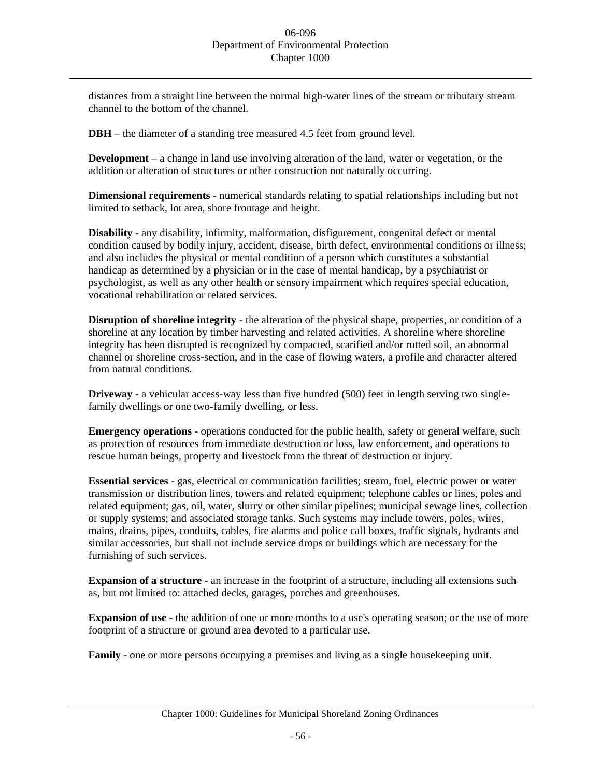distances from a straight line between the normal high-water lines of the stream or tributary stream channel to the bottom of the channel.

**DBH** – the diameter of a standing tree measured 4.5 feet from ground level.

**Development** – a change in land use involving alteration of the land, water or vegetation, or the addition or alteration of structures or other construction not naturally occurring.

**Dimensional requirements** - numerical standards relating to spatial relationships including but not limited to setback, lot area, shore frontage and height.

**Disability** - any disability, infirmity, malformation, disfigurement, congenital defect or mental condition caused by bodily injury, accident, disease, birth defect, environmental conditions or illness; and also includes the physical or mental condition of a person which constitutes a substantial handicap as determined by a physician or in the case of mental handicap, by a psychiatrist or psychologist, as well as any other health or sensory impairment which requires special education, vocational rehabilitation or related services.

**Disruption of shoreline integrity** - the alteration of the physical shape, properties, or condition of a shoreline at any location by timber harvesting and related activities. A shoreline where shoreline integrity has been disrupted is recognized by compacted, scarified and/or rutted soil, an abnormal channel or shoreline cross-section, and in the case of flowing waters, a profile and character altered from natural conditions.

**Driveway** - a vehicular access-way less than five hundred (500) feet in length serving two singlefamily dwellings or one two-family dwelling, or less.

**Emergency operations** - operations conducted for the public health, safety or general welfare, such as protection of resources from immediate destruction or loss, law enforcement, and operations to rescue human beings, property and livestock from the threat of destruction or injury.

**Essential services** - gas, electrical or communication facilities; steam, fuel, electric power or water transmission or distribution lines, towers and related equipment; telephone cables or lines, poles and related equipment; gas, oil, water, slurry or other similar pipelines; municipal sewage lines, collection or supply systems; and associated storage tanks. Such systems may include towers, poles, wires, mains, drains, pipes, conduits, cables, fire alarms and police call boxes, traffic signals, hydrants and similar accessories, but shall not include service drops or buildings which are necessary for the furnishing of such services.

**Expansion of a structure** - an increase in the footprint of a structure, including all extensions such as, but not limited to: attached decks, garages, porches and greenhouses.

**Expansion of use** - the addition of one or more months to a use's operating season; or the use of more footprint of a structure or ground area devoted to a particular use.

**Family** - one or more persons occupying a premises and living as a single house keeping unit.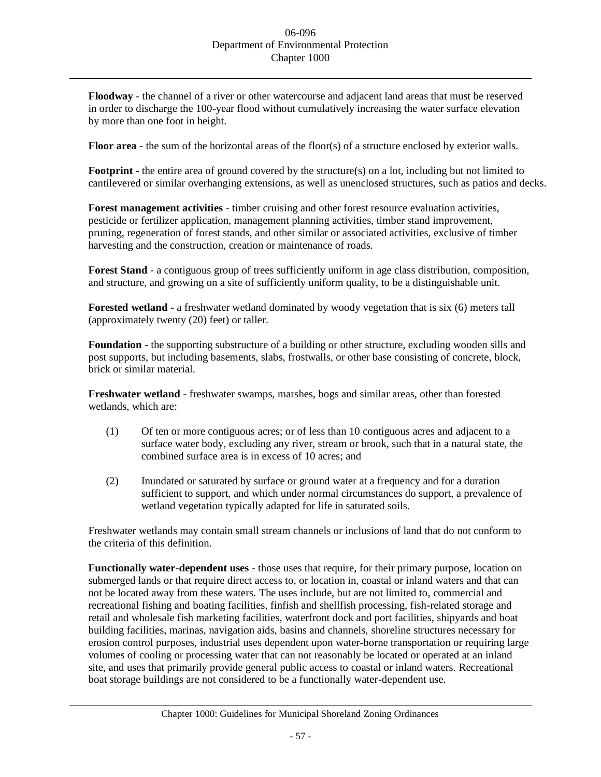**Floodway** - the channel of a river or other watercourse and adjacent land areas that must be reserved in order to discharge the 100-year flood without cumulatively increasing the water surface elevation by more than one foot in height.

**Floor area** - the sum of the horizontal areas of the floor(s) of a structure enclosed by exterior walls.

**Footprint** - the entire area of ground covered by the structure(s) on a lot, including but not limited to cantilevered or similar overhanging extensions, as well as unenclosed structures, such as patios and decks.

**Forest management activities** - timber cruising and other forest resource evaluation activities, pesticide or fertilizer application, management planning activities, timber stand improvement, pruning, regeneration of forest stands, and other similar or associated activities, exclusive of timber harvesting and the construction, creation or maintenance of roads.

**Forest Stand** - a contiguous group of trees sufficiently uniform in age class distribution, composition, and structure, and growing on a site of sufficiently uniform quality, to be a distinguishable unit.

**Forested wetland** - a freshwater wetland dominated by woody vegetation that is six (6) meters tall (approximately twenty (20) feet) or taller.

**Foundation** - the supporting substructure of a building or other structure, excluding wooden sills and post supports, but including basements, slabs, frostwalls, or other base consisting of concrete, block, brick or similar material.

**Freshwater wetland** - freshwater swamps, marshes, bogs and similar areas, other than forested wetlands, which are:

- (1) Of ten or more contiguous acres; or of less than 10 contiguous acres and adjacent to a surface water body, excluding any river, stream or brook, such that in a natural state, the combined surface area is in excess of 10 acres; and
- (2) Inundated or saturated by surface or ground water at a frequency and for a duration sufficient to support, and which under normal circumstances do support, a prevalence of wetland vegetation typically adapted for life in saturated soils.

Freshwater wetlands may contain small stream channels or inclusions of land that do not conform to the criteria of this definition.

**Functionally water-dependent uses** - those uses that require, for their primary purpose, location on submerged lands or that require direct access to, or location in, coastal or inland waters and that can not be located away from these waters. The uses include, but are not limited to, commercial and recreational fishing and boating facilities, finfish and shellfish processing, fish-related storage and retail and wholesale fish marketing facilities, waterfront dock and port facilities, shipyards and boat building facilities, marinas, navigation aids, basins and channels, shoreline structures necessary for erosion control purposes, industrial uses dependent upon water-borne transportation or requiring large volumes of cooling or processing water that can not reasonably be located or operated at an inland site, and uses that primarily provide general public access to coastal or inland waters. Recreational boat storage buildings are not considered to be a functionally water-dependent use.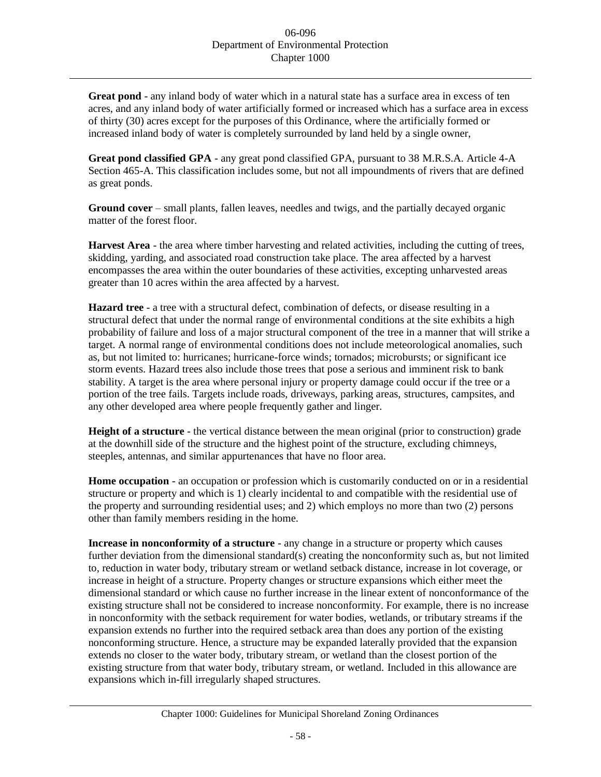**Great pond** - any inland body of water which in a natural state has a surface area in excess of ten acres, and any inland body of water artificially formed or increased which has a surface area in excess of thirty (30) acres except for the purposes of this Ordinance, where the artificially formed or increased inland body of water is completely surrounded by land held by a single owner,

**Great pond classified GPA** - any great pond classified GPA, pursuant to 38 M.R.S.A. Article 4-A Section 465-A. This classification includes some, but not all impoundments of rivers that are defined as great ponds.

**Ground cover** – small plants, fallen leaves, needles and twigs, and the partially decayed organic matter of the forest floor.

**Harvest Area** - the area where timber harvesting and related activities, including the cutting of trees, skidding, yarding, and associated road construction take place. The area affected by a harvest encompasses the area within the outer boundaries of these activities, excepting unharvested areas greater than 10 acres within the area affected by a harvest.

**Hazard tree** - a tree with a structural defect, combination of defects, or disease resulting in a structural defect that under the normal range of environmental conditions at the site exhibits a high probability of failure and loss of a major structural component of the tree in a manner that will strike a target. A normal range of environmental conditions does not include meteorological anomalies, such as, but not limited to: hurricanes; hurricane-force winds; tornados; microbursts; or significant ice storm events. Hazard trees also include those trees that pose a serious and imminent risk to bank stability. A target is the area where personal injury or property damage could occur if the tree or a portion of the tree fails. Targets include roads, driveways, parking areas, structures, campsites, and any other developed area where people frequently gather and linger.

**Height of a structure** - the vertical distance between the mean original (prior to construction) grade at the downhill side of the structure and the highest point of the structure, excluding chimneys, steeples, antennas, and similar appurtenances that have no floor area.

**Home occupation** - an occupation or profession which is customarily conducted on or in a residential structure or property and which is 1) clearly incidental to and compatible with the residential use of the property and surrounding residential uses; and 2) which employs no more than two (2) persons other than family members residing in the home.

**Increase in nonconformity of a structure** - any change in a structure or property which causes further deviation from the dimensional standard(s) creating the nonconformity such as, but not limited to, reduction in water body, tributary stream or wetland setback distance, increase in lot coverage, or increase in height of a structure. Property changes or structure expansions which either meet the dimensional standard or which cause no further increase in the linear extent of nonconformance of the existing structure shall not be considered to increase nonconformity. For example, there is no increase in nonconformity with the setback requirement for water bodies, wetlands, or tributary streams if the expansion extends no further into the required setback area than does any portion of the existing nonconforming structure. Hence, a structure may be expanded laterally provided that the expansion extends no closer to the water body, tributary stream, or wetland than the closest portion of the existing structure from that water body, tributary stream, or wetland. Included in this allowance are expansions which in-fill irregularly shaped structures.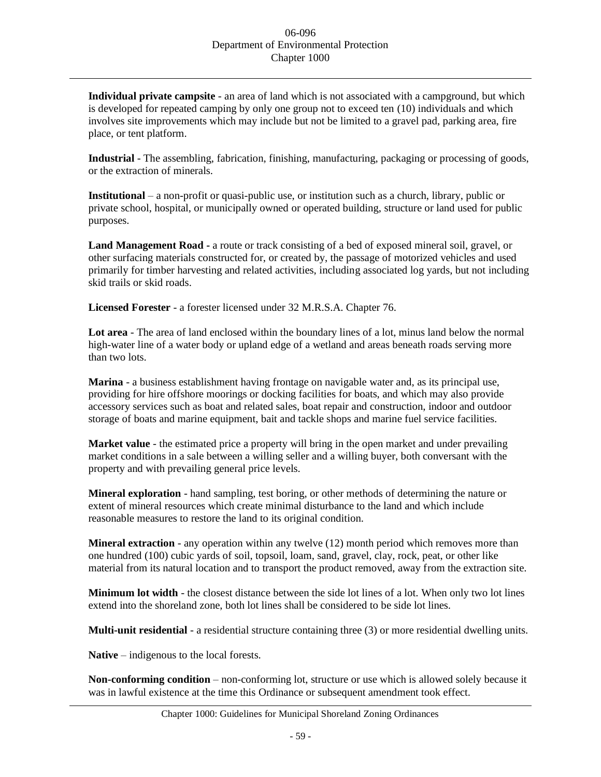**Individual private campsite** - an area of land which is not associated with a campground, but which is developed for repeated camping by only one group not to exceed ten (10) individuals and which involves site improvements which may include but not be limited to a gravel pad, parking area, fire place, or tent platform.

**Industrial** - The assembling, fabrication, finishing, manufacturing, packaging or processing of goods, or the extraction of minerals.

**Institutional** – a non-profit or quasi-public use, or institution such as a church, library, public or private school, hospital, or municipally owned or operated building, structure or land used for public purposes.

**Land Management Road -** a route or track consisting of a bed of exposed mineral soil, gravel, or other surfacing materials constructed for, or created by, the passage of motorized vehicles and used primarily for timber harvesting and related activities, including associated log yards, but not including skid trails or skid roads.

**Licensed Forester** - a forester licensed under 32 M.R.S.A. Chapter 76.

**Lot area** - The area of land enclosed within the boundary lines of a lot, minus land below the normal high-water line of a water body or upland edge of a wetland and areas beneath roads serving more than two lots.

**Marina** - a business establishment having frontage on navigable water and, as its principal use, providing for hire offshore moorings or docking facilities for boats, and which may also provide accessory services such as boat and related sales, boat repair and construction, indoor and outdoor storage of boats and marine equipment, bait and tackle shops and marine fuel service facilities.

**Market value** - the estimated price a property will bring in the open market and under prevailing market conditions in a sale between a willing seller and a willing buyer, both conversant with the property and with prevailing general price levels.

**Mineral exploration** - hand sampling, test boring, or other methods of determining the nature or extent of mineral resources which create minimal disturbance to the land and which include reasonable measures to restore the land to its original condition.

**Mineral extraction** - any operation within any twelve (12) month period which removes more than one hundred (100) cubic yards of soil, topsoil, loam, sand, gravel, clay, rock, peat, or other like material from its natural location and to transport the product removed, away from the extraction site.

**Minimum lot width** - the closest distance between the side lot lines of a lot. When only two lot lines extend into the shoreland zone, both lot lines shall be considered to be side lot lines.

**Multi-unit residential** - a residential structure containing three (3) or more residential dwelling units.

**Native** – indigenous to the local forests.

**Non-conforming condition** – non-conforming lot, structure or use which is allowed solely because it was in lawful existence at the time this Ordinance or subsequent amendment took effect.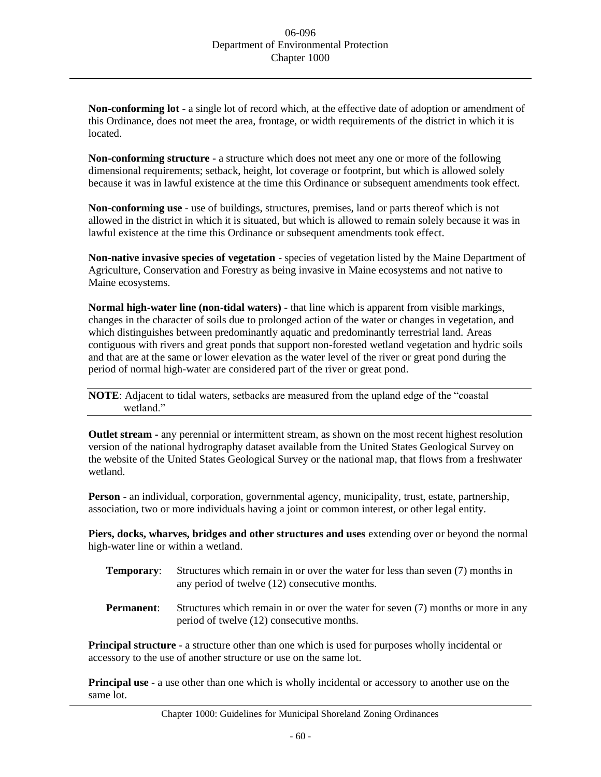**Non-conforming lot** - a single lot of record which, at the effective date of adoption or amendment of this Ordinance, does not meet the area, frontage, or width requirements of the district in which it is located.

**Non-conforming structure** - a structure which does not meet any one or more of the following dimensional requirements; setback, height, lot coverage or footprint, but which is allowed solely because it was in lawful existence at the time this Ordinance or subsequent amendments took effect.

**Non-conforming use** - use of buildings, structures, premises, land or parts thereof which is not allowed in the district in which it is situated, but which is allowed to remain solely because it was in lawful existence at the time this Ordinance or subsequent amendments took effect.

**Non-native invasive species of vegetation** - species of vegetation listed by the Maine Department of Agriculture, Conservation and Forestry as being invasive in Maine ecosystems and not native to Maine ecosystems.

**Normal high-water line (non-tidal waters)** - that line which is apparent from visible markings, changes in the character of soils due to prolonged action of the water or changes in vegetation, and which distinguishes between predominantly aquatic and predominantly terrestrial land. Areas contiguous with rivers and great ponds that support non-forested wetland vegetation and hydric soils and that are at the same or lower elevation as the water level of the river or great pond during the period of normal high-water are considered part of the river or great pond.

**NOTE**: Adjacent to tidal waters, setbacks are measured from the upland edge of the "coastal" wetland."

**Outlet stream -** any perennial or intermittent stream, as shown on the most recent highest resolution version of the national hydrography dataset available from the United States Geological Survey on the website of the United States Geological Survey or the national map, that flows from a freshwater wetland.

**Person** - an individual, corporation, governmental agency, municipality, trust, estate, partnership, association, two or more individuals having a joint or common interest, or other legal entity.

**Piers, docks, wharves, bridges and other structures and uses** extending over or beyond the normal high-water line or within a wetland.

- **Temporary:** Structures which remain in or over the water for less than seven (7) months in any period of twelve (12) consecutive months.
- **Permanent:** Structures which remain in or over the water for seven (7) months or more in any period of twelve (12) consecutive months.

**Principal structure** - a structure other than one which is used for purposes wholly incidental or accessory to the use of another structure or use on the same lot.

**Principal use** - a use other than one which is wholly incidental or accessory to another use on the same lot.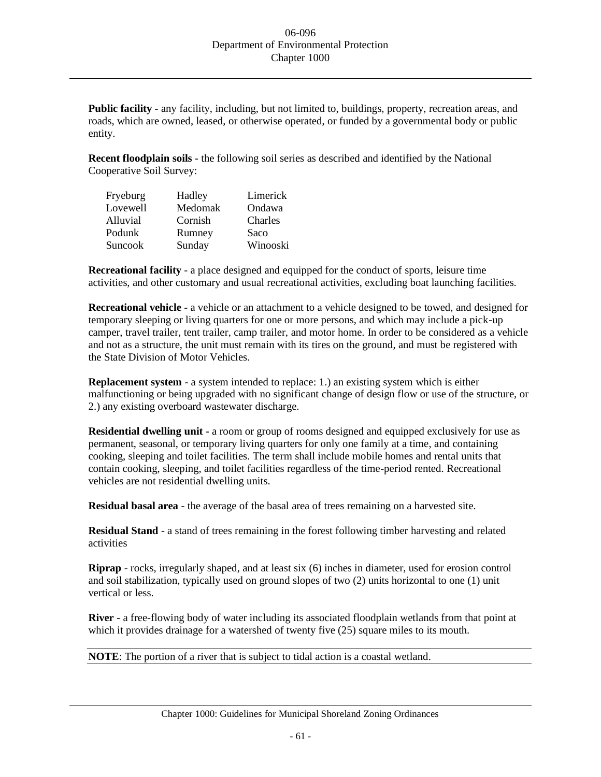**Public facility** - any facility, including, but not limited to, buildings, property, recreation areas, and roads, which are owned, leased, or otherwise operated, or funded by a governmental body or public entity.

**Recent floodplain soils** - the following soil series as described and identified by the National Cooperative Soil Survey:

| Fryeburg        | Hadley  | Limerick |
|-----------------|---------|----------|
| Lovewell        | Medomak | Ondawa   |
| <b>Alluvial</b> | Cornish | Charles  |
| Podunk          | Rumney  | Saco     |
| Suncook         | Sunday  | Winooski |

**Recreational facility** - a place designed and equipped for the conduct of sports, leisure time activities, and other customary and usual recreational activities, excluding boat launching facilities.

**Recreational vehicle** - a vehicle or an attachment to a vehicle designed to be towed, and designed for temporary sleeping or living quarters for one or more persons, and which may include a pick-up camper, travel trailer, tent trailer, camp trailer, and motor home. In order to be considered as a vehicle and not as a structure, the unit must remain with its tires on the ground, and must be registered with the State Division of Motor Vehicles.

**Replacement system** - a system intended to replace: 1.) an existing system which is either malfunctioning or being upgraded with no significant change of design flow or use of the structure, or 2.) any existing overboard wastewater discharge.

**Residential dwelling unit** - a room or group of rooms designed and equipped exclusively for use as permanent, seasonal, or temporary living quarters for only one family at a time, and containing cooking, sleeping and toilet facilities. The term shall include mobile homes and rental units that contain cooking, sleeping, and toilet facilities regardless of the time-period rented. Recreational vehicles are not residential dwelling units.

**Residual basal area** - the average of the basal area of trees remaining on a harvested site.

**Residual Stand** - a stand of trees remaining in the forest following timber harvesting and related activities

**Riprap** - rocks, irregularly shaped, and at least six (6) inches in diameter, used for erosion control and soil stabilization, typically used on ground slopes of two (2) units horizontal to one (1) unit vertical or less.

**River** - a free-flowing body of water including its associated floodplain wetlands from that point at which it provides drainage for a watershed of twenty five  $(25)$  square miles to its mouth.

**NOTE**: The portion of a river that is subject to tidal action is a coastal wetland.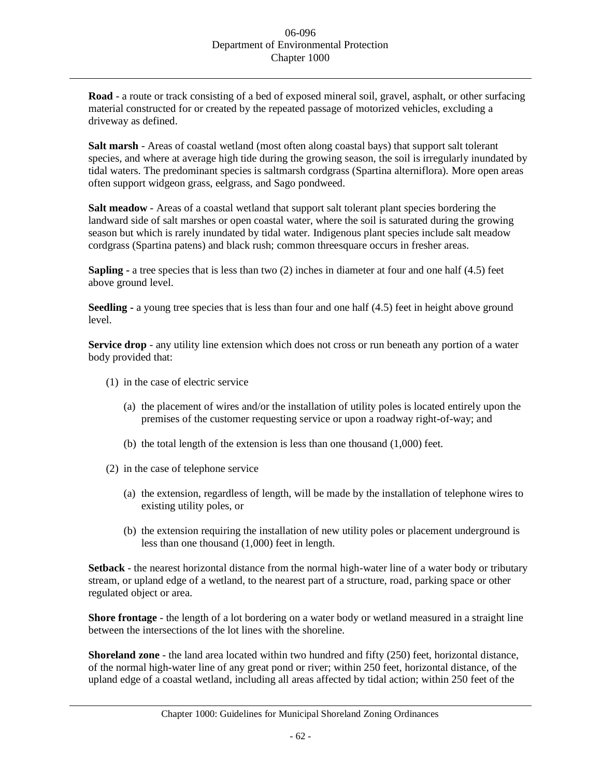**Road** - a route or track consisting of a bed of exposed mineral soil, gravel, asphalt, or other surfacing material constructed for or created by the repeated passage of motorized vehicles, excluding a driveway as defined.

**Salt marsh** - Areas of coastal wetland (most often along coastal bays) that support salt tolerant species, and where at average high tide during the growing season, the soil is irregularly inundated by tidal waters. The predominant species is saltmarsh cordgrass (Spartina alterniflora). More open areas often support widgeon grass, eelgrass, and Sago pondweed.

**Salt meadow** - Areas of a coastal wetland that support salt tolerant plant species bordering the landward side of salt marshes or open coastal water, where the soil is saturated during the growing season but which is rarely inundated by tidal water. Indigenous plant species include salt meadow cordgrass (Spartina patens) and black rush; common threesquare occurs in fresher areas.

**Sapling -** a tree species that is less than two (2) inches in diameter at four and one half (4.5) feet above ground level.

**Seedling -** a young tree species that is less than four and one half (4.5) feet in height above ground level.

**Service drop** - any utility line extension which does not cross or run beneath any portion of a water body provided that:

- (1) in the case of electric service
	- (a) the placement of wires and/or the installation of utility poles is located entirely upon the premises of the customer requesting service or upon a roadway right-of-way; and
	- (b) the total length of the extension is less than one thousand (1,000) feet.
- (2) in the case of telephone service
	- (a) the extension, regardless of length, will be made by the installation of telephone wires to existing utility poles, or
	- (b) the extension requiring the installation of new utility poles or placement underground is less than one thousand (1,000) feet in length.

**Setback** - the nearest horizontal distance from the normal high-water line of a water body or tributary stream, or upland edge of a wetland, to the nearest part of a structure, road, parking space or other regulated object or area.

**Shore frontage** - the length of a lot bordering on a water body or wetland measured in a straight line between the intersections of the lot lines with the shoreline.

**Shoreland zone** - the land area located within two hundred and fifty (250) feet, horizontal distance, of the normal high-water line of any great pond or river; within 250 feet, horizontal distance, of the upland edge of a coastal wetland, including all areas affected by tidal action; within 250 feet of the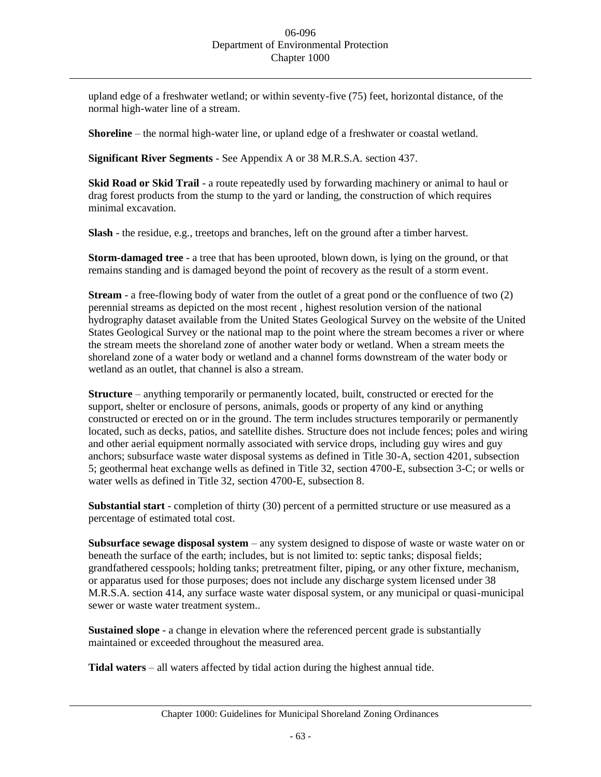upland edge of a freshwater wetland; or within seventy-five (75) feet, horizontal distance, of the normal high-water line of a stream.

**Shoreline** – the normal high-water line, or upland edge of a freshwater or coastal wetland.

**Significant River Segments** - See Appendix A or 38 M.R.S.A. section 437.

**Skid Road or Skid Trail** - a route repeatedly used by forwarding machinery or animal to haul or drag forest products from the stump to the yard or landing, the construction of which requires minimal excavation.

**Slash** - the residue, e.g., treetops and branches, left on the ground after a timber harvest.

**Storm-damaged tree** - a tree that has been uprooted, blown down, is lying on the ground, or that remains standing and is damaged beyond the point of recovery as the result of a storm event.

**Stream** - a free-flowing body of water from the outlet of a great pond or the confluence of two (2) perennial streams as depicted on the most recent , highest resolution version of the national hydrography dataset available from the United States Geological Survey on the website of the United States Geological Survey or the national map to the point where the stream becomes a river or where the stream meets the shoreland zone of another water body or wetland. When a stream meets the shoreland zone of a water body or wetland and a channel forms downstream of the water body or wetland as an outlet, that channel is also a stream.

**Structure** – anything temporarily or permanently located, built, constructed or erected for the support, shelter or enclosure of persons, animals, goods or property of any kind or anything constructed or erected on or in the ground. The term includes structures temporarily or permanently located, such as decks, patios, and satellite dishes. Structure does not include fences; poles and wiring and other aerial equipment normally associated with service drops, including guy wires and guy anchors; subsurface waste water disposal systems as defined in Title 30-A, section 4201, subsection 5; geothermal heat exchange wells as defined in Title 32, section 4700-E, subsection 3-C; or wells or water wells as defined in Title 32, section 4700-E, subsection 8.

**Substantial start** - completion of thirty (30) percent of a permitted structure or use measured as a percentage of estimated total cost.

**Subsurface sewage disposal system** – any system designed to dispose of waste or waste water on or beneath the surface of the earth; includes, but is not limited to: septic tanks; disposal fields; grandfathered cesspools; holding tanks; pretreatment filter, piping, or any other fixture, mechanism, or apparatus used for those purposes; does not include any discharge system licensed under 38 M.R.S.A. section 414, any surface waste water disposal system, or any municipal or quasi-municipal sewer or waste water treatment system..

**Sustained slope** - a change in elevation where the referenced percent grade is substantially maintained or exceeded throughout the measured area.

**Tidal waters** – all waters affected by tidal action during the highest annual tide.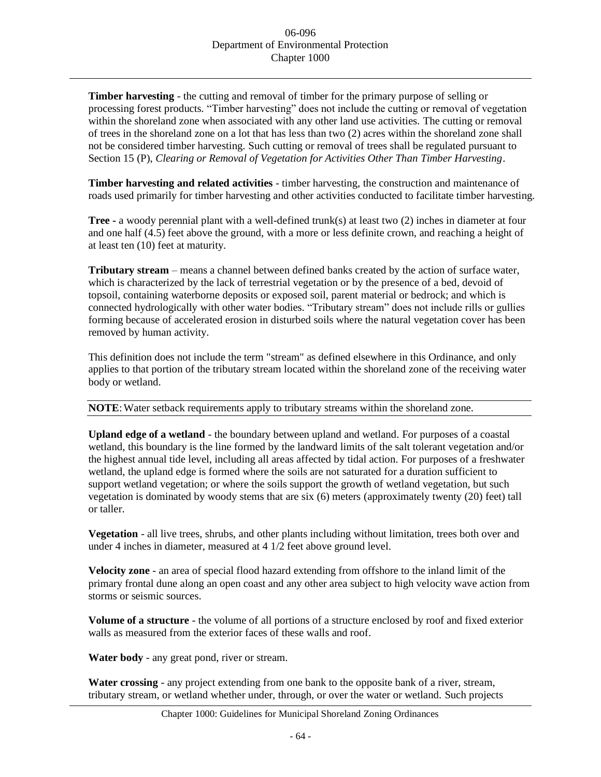**Timber harvesting** - the cutting and removal of timber for the primary purpose of selling or processing forest products. "Timber harvesting" does not include the cutting or removal of vegetation within the shoreland zone when associated with any other land use activities. The cutting or removal of trees in the shoreland zone on a lot that has less than two (2) acres within the shoreland zone shall not be considered timber harvesting. Such cutting or removal of trees shall be regulated pursuant to Section 15 (P), *Clearing or Removal of Vegetation for Activities Other Than Timber Harvesting*.

**Timber harvesting and related activities** - timber harvesting, the construction and maintenance of roads used primarily for timber harvesting and other activities conducted to facilitate timber harvesting.

**Tree -** a woody perennial plant with a well-defined trunk(s) at least two (2) inches in diameter at four and one half (4.5) feet above the ground, with a more or less definite crown, and reaching a height of at least ten (10) feet at maturity.

**Tributary stream** – means a channel between defined banks created by the action of surface water, which is characterized by the lack of terrestrial vegetation or by the presence of a bed, devoid of topsoil, containing waterborne deposits or exposed soil, parent material or bedrock; and which is connected hydrologically with other water bodies. "Tributary stream" does not include rills or gullies forming because of accelerated erosion in disturbed soils where the natural vegetation cover has been removed by human activity.

This definition does not include the term "stream" as defined elsewhere in this Ordinance, and only applies to that portion of the tributary stream located within the shoreland zone of the receiving water body or wetland.

## **NOTE:** Water setback requirements apply to tributary streams within the shoreland zone.

**Upland edge of a wetland** - the boundary between upland and wetland. For purposes of a coastal wetland, this boundary is the line formed by the landward limits of the salt tolerant vegetation and/or the highest annual tide level, including all areas affected by tidal action. For purposes of a freshwater wetland, the upland edge is formed where the soils are not saturated for a duration sufficient to support wetland vegetation; or where the soils support the growth of wetland vegetation, but such vegetation is dominated by woody stems that are six (6) meters (approximately twenty (20) feet) tall or taller.

**Vegetation** - all live trees, shrubs, and other plants including without limitation, trees both over and under 4 inches in diameter, measured at 4 1/2 feet above ground level.

**Velocity zone** - an area of special flood hazard extending from offshore to the inland limit of the primary frontal dune along an open coast and any other area subject to high velocity wave action from storms or seismic sources.

**Volume of a structure** - the volume of all portions of a structure enclosed by roof and fixed exterior walls as measured from the exterior faces of these walls and roof.

**Water body** - any great pond, river or stream.

**Water crossing** - any project extending from one bank to the opposite bank of a river, stream, tributary stream, or wetland whether under, through, or over the water or wetland. Such projects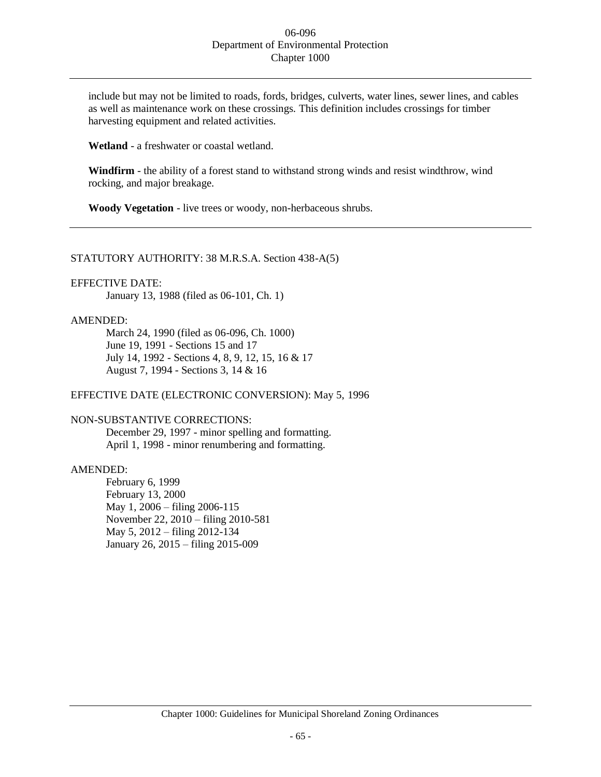include but may not be limited to roads, fords, bridges, culverts, water lines, sewer lines, and cables as well as maintenance work on these crossings. This definition includes crossings for timber harvesting equipment and related activities.

**Wetland** - a freshwater or coastal wetland.

**Windfirm** - the ability of a forest stand to withstand strong winds and resist windthrow, wind rocking, and major breakage.

**Woody Vegetation** - live trees or woody, non-herbaceous shrubs.

#### STATUTORY AUTHORITY: 38 M.R.S.A. Section 438-A(5)

## EFFECTIVE DATE:

January 13, 1988 (filed as 06-101, Ch. 1)

## AMENDED:

March 24, 1990 (filed as 06-096, Ch. 1000) June 19, 1991 - Sections 15 and 17 July 14, 1992 - Sections 4, 8, 9, 12, 15, 16 & 17 August 7, 1994 - Sections 3, 14 & 16

#### EFFECTIVE DATE (ELECTRONIC CONVERSION): May 5, 1996

## NON-SUBSTANTIVE CORRECTIONS:

December 29, 1997 - minor spelling and formatting. April 1, 1998 - minor renumbering and formatting.

# AMENDED:

February 6, 1999 February 13, 2000 May 1, 2006 – filing 2006-115 November 22, 2010 – filing 2010-581 May 5, 2012 – filing 2012-134 January 26, 2015 – filing 2015-009